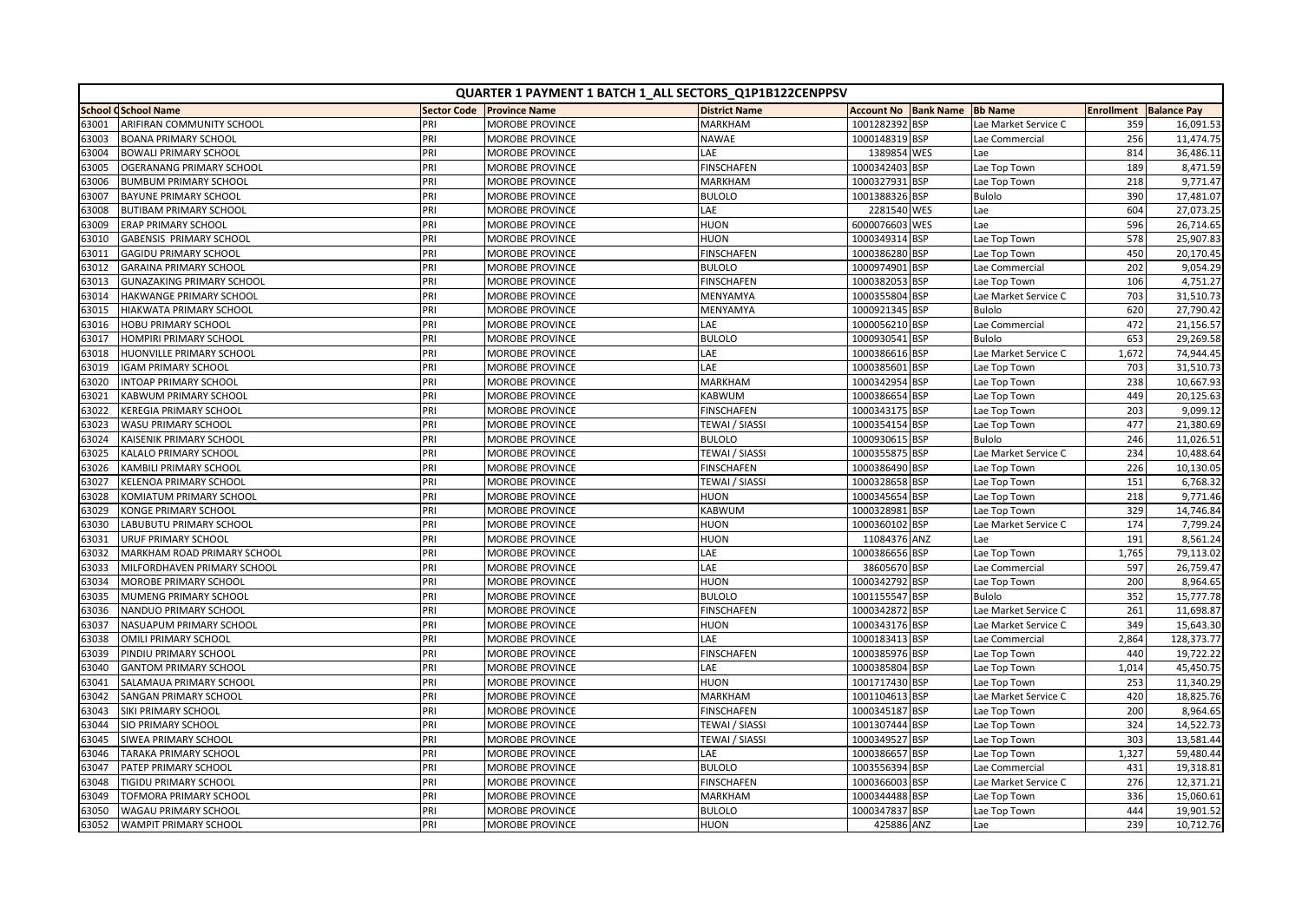|       | QUARTER 1 PAYMENT 1 BATCH 1_ALL SECTORS_Q1P1B122CENPPSV |     |                           |                       |                             |            |                      |                   |                    |
|-------|---------------------------------------------------------|-----|---------------------------|-----------------------|-----------------------------|------------|----------------------|-------------------|--------------------|
|       | <b>School CSchool Name</b>                              |     | Sector Code Province Name | <b>District Name</b>  | <b>Account No Bank Name</b> |            | <b>Bb Name</b>       | <b>Enrollment</b> | <b>Balance Pay</b> |
| 63001 | ARIFIRAN COMMUNITY SCHOOL                               | PRI | <b>MOROBE PROVINCE</b>    | <b>MARKHAM</b>        | 1001282392 BSP              |            | Lae Market Service C | 359               | 16,091.53          |
| 63003 | <b>BOANA PRIMARY SCHOOL</b>                             | PRI | <b>MOROBE PROVINCE</b>    | <b>NAWAE</b>          | 1000148319 BSP              |            | Lae Commercial       | 256               | 11,474.75          |
| 63004 | <b>BOWALI PRIMARY SCHOOL</b>                            | PRI | MOROBE PROVINCE           | LAE                   | 1389854 WES                 |            | Lae                  | 814               | 36,486.11          |
| 63005 | OGERANANG PRIMARY SCHOOL                                | PRI | MOROBE PROVINCE           | <b>FINSCHAFEN</b>     | 1000342403 BSP              |            | Lae Top Town         | 189               | 8,471.59           |
| 63006 | <b>BUMBUM PRIMARY SCHOOL</b>                            | PRI | MOROBE PROVINCE           | <b>MARKHAM</b>        | 1000327931                  | <b>BSP</b> | Lae Top Town         | 218               | 9,771.47           |
| 63007 | <b>BAYUNE PRIMARY SCHOOL</b>                            | PRI | MOROBE PROVINCE           | <b>BULOLO</b>         | 1001388326 BSP              |            | <b>Bulolo</b>        | 390               | 17,481.07          |
| 53008 | <b>BUTIBAM PRIMARY SCHOOL</b>                           | PRI | MOROBE PROVINCE           | LAE                   | 2281540 WES                 |            | Lae                  | 604               | 27,073.25          |
| 63009 | <b>ERAP PRIMARY SCHOOL</b>                              | PRI | MOROBE PROVINCE           | HUON                  | 6000076603 WES              |            | Lae                  | 596               | 26,714.65          |
| 63010 | <b>GABENSIS PRIMARY SCHOOL</b>                          | PRI | MOROBE PROVINCE           | HUON                  | 1000349314 BSP              |            | Lae Top Town         | 578               | 25,907.83          |
| 63011 | <b>GAGIDU PRIMARY SCHOOL</b>                            | PRI | MOROBE PROVINCE           | <b>FINSCHAFEN</b>     | 1000386280 BSP              |            | Lae Top Town         | 450               | 20,170.45          |
| 63012 | <b>GARAINA PRIMARY SCHOOL</b>                           | PRI | <b>MOROBE PROVINCE</b>    | <b>BULOLO</b>         | 1000974901 BSP              |            | Lae Commercial       | 202               | 9,054.29           |
| 63013 | <b>GUNAZAKING PRIMARY SCHOOL</b>                        | PRI | MOROBE PROVINCE           | <b>FINSCHAFEN</b>     | 1000382053 BSP              |            | Lae Top Town         | 106               | 4,751.27           |
| 63014 | <b>HAKWANGE PRIMARY SCHOOL</b>                          | PRI | MOROBE PROVINCE           | MENYAMYA              | 1000355804 BSP              |            | Lae Market Service C | 703               | 31,510.73          |
| 63015 | <b>HIAKWATA PRIMARY SCHOOL</b>                          | PRI | MOROBE PROVINCE           | MENYAMYA              | 1000921345 BSP              |            | <b>Bulolo</b>        | 620               | 27,790.42          |
| 63016 | <b>HOBU PRIMARY SCHOOL</b>                              | PRI | MOROBE PROVINCE           | LAE                   | 1000056210 BSP              |            | Lae Commercial       | 472               | 21,156.5           |
| 63017 | <b>HOMPIRI PRIMARY SCHOOL</b>                           | PRI | MOROBE PROVINCE           | <b>BULOLO</b>         | 1000930541 BSP              |            | <b>Bulolo</b>        | 653               | 29,269.58          |
| 63018 | HUONVILLE PRIMARY SCHOOL                                | PRI | MOROBE PROVINCE           | LAE                   | 1000386616 BSP              |            | Lae Market Service C | 1,672             | 74,944.45          |
| 63019 | <b>IGAM PRIMARY SCHOOL</b>                              | PRI | MOROBE PROVINCE           | LAE                   | 1000385601 BSP              |            | Lae Top Town         | 703               | 31,510.73          |
| 63020 | <b>INTOAP PRIMARY SCHOOL</b>                            | PRI | MOROBE PROVINCE           | <b>MARKHAM</b>        | 1000342954 BSP              |            | Lae Top Town         | 238               | 10,667.93          |
| 63021 | KABWUM PRIMARY SCHOOL                                   | PRI | MOROBE PROVINCE           | KABWUM                | 1000386654 BSP              |            | Lae Top Town         | 449               | 20,125.63          |
| 53022 | <b>KEREGIA PRIMARY SCHOOL</b>                           | PRI | MOROBE PROVINCE           | <b>FINSCHAFEN</b>     | 1000343175 BSP              |            | Lae Top Town         | 203               | 9,099.12           |
| 63023 | WASU PRIMARY SCHOOL                                     | PRI | MOROBE PROVINCE           | TEWAI / SIASSI        | 1000354154 BSP              |            | Lae Top Town         | 477               | 21,380.69          |
| 63024 | KAISENIK PRIMARY SCHOOL                                 | PRI | MOROBE PROVINCE           | <b>BULOLO</b>         | 1000930615 BSP              |            | <b>Bulolo</b>        | 246               | 11,026.5           |
| 63025 | KALALO PRIMARY SCHOOL                                   | PRI | MOROBE PROVINCE           | <b>TEWAI / SIASSI</b> | 1000355875 BSP              |            | Lae Market Service C | 234               | 10,488.64          |
| 63026 | <b>KAMBILI PRIMARY SCHOOL</b>                           | PRI | <b>MOROBE PROVINCE</b>    | <b>FINSCHAFEN</b>     | 1000386490 BSP              |            | Lae Top Town         | 226               | 10,130.05          |
| 63027 | KELENOA PRIMARY SCHOOL                                  | PRI | MOROBE PROVINCE           | TEWAI / SIASSI        | 1000328658 BSP              |            | Lae Top Town         | 151               | 6,768.32           |
| 63028 | KOMIATUM PRIMARY SCHOOL                                 | PRI | MOROBE PROVINCE           | HUON                  | 1000345654 BSP              |            | Lae Top Town         | 218               | 9,771.46           |
| 63029 | <b>KONGE PRIMARY SCHOOL</b>                             | PRI | MOROBE PROVINCE           | KABWUM                | 1000328981 BSP              |            | Lae Top Town         | 329               | 14,746.84          |
| 63030 | LABUBUTU PRIMARY SCHOOL                                 | PRI | <b>MOROBE PROVINCE</b>    | <b>HUON</b>           | 1000360102 BSP              |            | Lae Market Service C | 174               | 7,799.24           |
| 53031 | <b>URUF PRIMARY SCHOOL</b>                              | PRI | MOROBE PROVINCE           | HUON                  | 11084376 ANZ                |            | Lae                  | 191               | 8,561.24           |
| 63032 | MARKHAM ROAD PRIMARY SCHOOL                             | PRI | MOROBE PROVINCE           | LAE                   | 1000386656 BSP              |            | Lae Top Town         | 1,765             | 79,113.02          |
| 63033 | MILFORDHAVEN PRIMARY SCHOOL                             | PRI | MOROBE PROVINCE           | LAE                   | 38605670 BSP                |            | Lae Commercial       | 597               | 26,759.47          |
| 63034 | MOROBE PRIMARY SCHOOL                                   | PRI | MOROBE PROVINCE           | <b>HUON</b>           | 1000342792 BSP              |            | Lae Top Town         | 200               | 8,964.65           |
| 63035 | MUMENG PRIMARY SCHOOL                                   | PRI | MOROBE PROVINCE           | <b>BULOLO</b>         | 1001155547 BSP              |            | <b>Bulolo</b>        | 352               | 15,777.78          |
| 63036 | NANDUO PRIMARY SCHOOL                                   | PRI | MOROBE PROVINCE           | <b>FINSCHAFEN</b>     | 1000342872 BSP              |            | Lae Market Service C | 261               | 11,698.8           |
| 63037 | NASUAPUM PRIMARY SCHOOL                                 | PRI | MOROBE PROVINCE           | <b>HUON</b>           | 1000343176 BSP              |            | Lae Market Service C | 349               | 15,643.30          |
| 63038 | OMILI PRIMARY SCHOOL                                    | PRI | MOROBE PROVINCE           | LAE                   | 1000183413 BSP              |            | Lae Commercial       | 2,864             | 128,373.77         |
| 63039 | PINDIU PRIMARY SCHOOL                                   | PRI | MOROBE PROVINCE           | <b>FINSCHAFEN</b>     | 1000385976 BSP              |            | Lae Top Town         | 440               | 19,722.22          |
| 63040 | <b>GANTOM PRIMARY SCHOOL</b>                            | PRI | MOROBE PROVINCE           | LAE                   | 1000385804 BSP              |            | Lae Top Town         | 1,014             | 45,450.75          |
| 63041 | SALAMAUA PRIMARY SCHOOL                                 | PRI | MOROBE PROVINCE           | HUON                  | 1001717430 BSP              |            | Lae Top Town         | 253               | 11,340.29          |
| 63042 | SANGAN PRIMARY SCHOOL                                   | PRI | MOROBE PROVINCE           | MARKHAM               | 1001104613 BSP              |            | Lae Market Service C | 420               | 18,825.76          |
| 53043 | SIKI PRIMARY SCHOOL                                     | PRI | MOROBE PROVINCE           | <b>FINSCHAFEN</b>     | 1000345187 BSP              |            | Lae Top Town         | 200               | 8,964.65           |
| 63044 | <b>SIO PRIMARY SCHOOL</b>                               | PRI | MOROBE PROVINCE           | <b>TEWAI / SIASSI</b> | 1001307444 BSP              |            | Lae Top Town         | 324               | 14,522.73          |
| 53045 | <b>SIWEA PRIMARY SCHOOL</b>                             | PRI | <b>MOROBE PROVINCE</b>    | <b>TEWAI / SIASSI</b> | 1000349527 BSP              |            | Lae Top Town         | 303               | 13,581.44          |
| 53046 | <b>TARAKA PRIMARY SCHOOL</b>                            | PRI | MOROBE PROVINCE           | LAE                   | 1000386657 BSP              |            | Lae Top Town         | 1,327             | 59,480.44          |
| 63047 | PATEP PRIMARY SCHOOL                                    | PRI | MOROBE PROVINCE           | <b>BULOLO</b>         | 1003556394                  | <b>BSP</b> | Lae Commercial       | 431               | 19,318.81          |
| 63048 | TIGIDU PRIMARY SCHOOL                                   | PRI | MOROBE PROVINCE           | <b>FINSCHAFEN</b>     | 1000366003 BSP              |            | Lae Market Service C | 276               | 12,371.21          |
| 63049 | TOFMORA PRIMARY SCHOOL                                  | PRI | <b>MOROBE PROVINCE</b>    | MARKHAM               | 1000344488 BSP              |            | Lae Top Town         | 336               | 15,060.61          |
| 63050 | <b>WAGAU PRIMARY SCHOOL</b>                             | PRI | MOROBE PROVINCE           | <b>BULOLO</b>         | 1000347837 BSP              |            | Lae Top Town         | 444               | 19,901.52          |
| 63052 | <b>WAMPIT PRIMARY SCHOOL</b>                            | PRI | <b>MOROBE PROVINCE</b>    | <b>HUON</b>           | 425886 ANZ                  |            | Lae                  | 239               | 10,712.76          |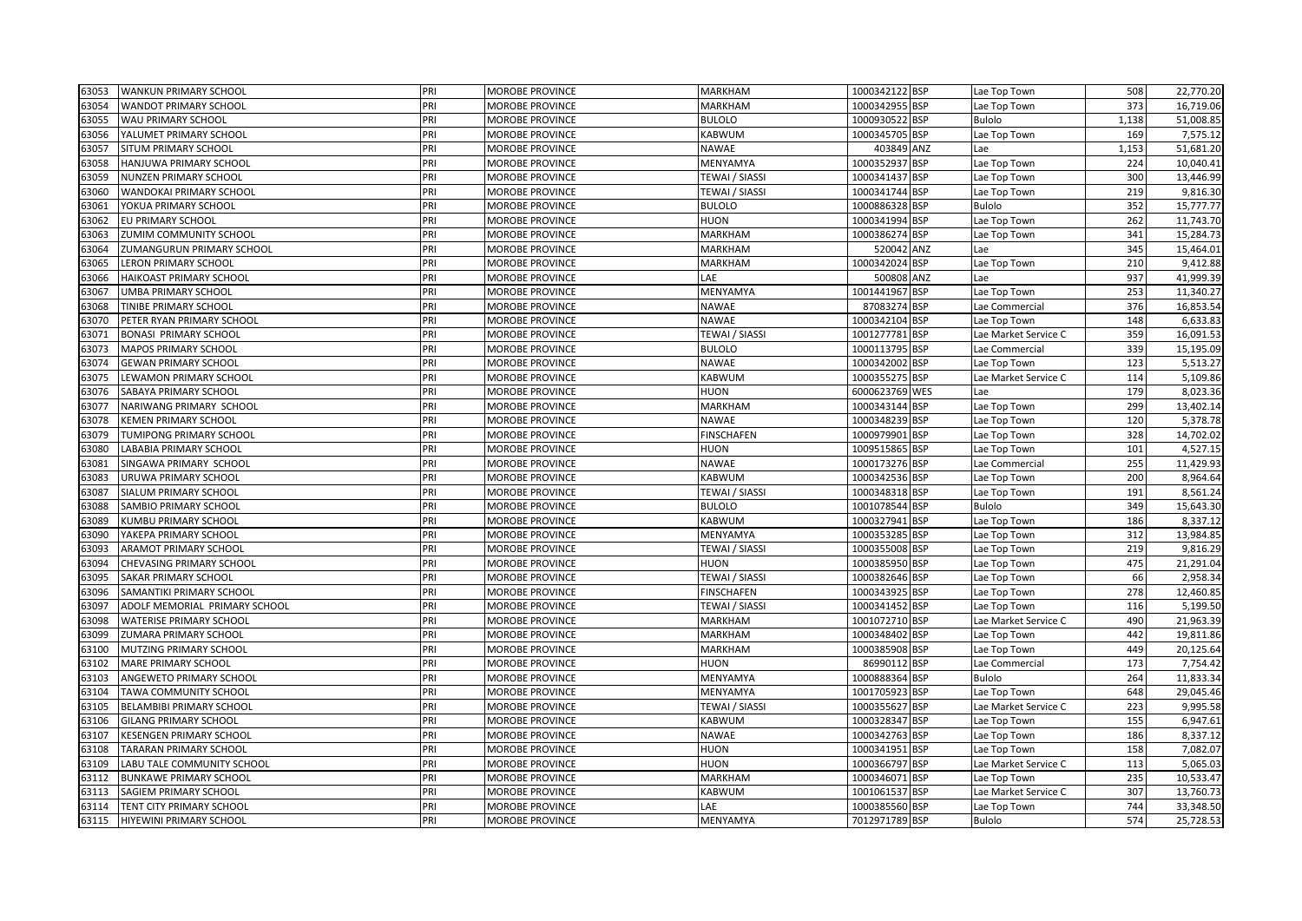| 63053 | <b>WANKUN PRIMARY SCHOOL</b>     | PRI | <b>MOROBE PROVINCE</b> | <b>MARKHAM</b>        | 1000342122 BSP | Lae Top Town         | 508        | 22,770.20 |
|-------|----------------------------------|-----|------------------------|-----------------------|----------------|----------------------|------------|-----------|
| 63054 | <b>WANDOT PRIMARY SCHOOL</b>     | PRI | MOROBE PROVINCE        | MARKHAM               | 1000342955 BSP | Lae Top Town         | 373        | 16,719.06 |
| 63055 | <b>WAU PRIMARY SCHOOL</b>        | PRI | MOROBE PROVINCE        | <b>BULOLO</b>         | 1000930522 BSP | <b>Bulolo</b>        | 1,138      | 51,008.85 |
| 63056 | YALUMET PRIMARY SCHOOL           | PRI | MOROBE PROVINCE        | KABWUM                | 1000345705 BSP | Lae Top Town         | 169        | 7,575.12  |
| 63057 | SITUM PRIMARY SCHOOL             | PRI | MOROBE PROVINCE        | <b>NAWAE</b>          | 403849 ANZ     | Lae                  | 1,153      | 51,681.20 |
| 63058 | HANJUWA PRIMARY SCHOOL           | PRI | MOROBE PROVINCE        | MENYAMYA              | 1000352937 BSP | Lae Top Town         | 224        | 10,040.41 |
| 53059 | NUNZEN PRIMARY SCHOOL            | PRI | MOROBE PROVINCE        | TEWAI / SIASSI        | 1000341437 BSP | Lae Top Town         | 300        | 13,446.99 |
| 63060 | WANDOKAI PRIMARY SCHOOL          | PRI | <b>MOROBE PROVINCE</b> | TEWAI / SIASSI        | 1000341744 BSP | Lae Top Town         | 219        | 9,816.30  |
| 63061 | YOKUA PRIMARY SCHOOL             | PRI | MOROBE PROVINCE        | <b>BULOLO</b>         | 1000886328 BSP | Bulolo               | 352        | 15,777.77 |
| 63062 | EU PRIMARY SCHOOL                | PRI | <b>MOROBE PROVINCE</b> | <b>HUON</b>           | 1000341994 BSP | Lae Top Town         | 262        | 11,743.70 |
| 63063 | ZUMIM COMMUNITY SCHOOL           | PRI | MOROBE PROVINCE        | MARKHAM               | 1000386274 BSP | Lae Top Town         | 341        | 15,284.73 |
| 53064 | <b>ZUMANGURUN PRIMARY SCHOOL</b> | PRI | MOROBE PROVINCE        | MARKHAM               | 520042 ANZ     | Lae                  | 345        | 15,464.01 |
| 53065 | <b>LERON PRIMARY SCHOOL</b>      | pri | MOROBE PROVINCE        | <b>MARKHAM</b>        | 1000342024 BSP | Lae Top Town         | 210        | 9,412.88  |
| 53066 | <b>HAIKOAST PRIMARY SCHOOL</b>   | PRI | MOROBE PROVINCE        | LAE                   | 500808 ANZ     | Lae                  | 937        | 41,999.39 |
| 63067 | <b>UMBA PRIMARY SCHOOL</b>       | PRI | MOROBE PROVINCE        | MENYAMYA              | 1001441967 BSP | Lae Top Town         | 253        | 11,340.27 |
| 63068 | <b>TINIBE PRIMARY SCHOOL</b>     | PRI | MOROBE PROVINCE        | <b>NAWAE</b>          | 87083274 BSP   | Lae Commercial       | 376        | 16,853.54 |
| 63070 | PETER RYAN PRIMARY SCHOOL        | PRI | MOROBE PROVINCE        | <b>NAWAE</b>          | 1000342104 BSP | Lae Top Town         | 148        | 6,633.83  |
| 63071 | <b>BONASI PRIMARY SCHOOL</b>     | PRI | MOROBE PROVINCE        | TEWAI / SIASSI        | 1001277781 BSP | Lae Market Service C | 359        | 16,091.53 |
| 63073 | <b>MAPOS PRIMARY SCHOOL</b>      | PRI | <b>MOROBE PROVINCE</b> | <b>BULOLO</b>         | 1000113795 BSP | Lae Commercial       | 339        | 15,195.09 |
| 63074 | <b>GEWAN PRIMARY SCHOOL</b>      | PRI | MOROBE PROVINCE        | <b>NAWAE</b>          | 1000342002 BSP | Lae Top Town         | 123        | 5,513.27  |
| 63075 | LEWAMON PRIMARY SCHOOL           | PRI | MOROBE PROVINCE        | <b>KABWUM</b>         | 1000355275 BSP | Lae Market Service C | 114        | 5,109.86  |
| 53076 | SABAYA PRIMARY SCHOOL            | PRI | MOROBE PROVINCE        | <b>HUON</b>           | 6000623769 WES | Lae                  | 179        | 8,023.36  |
| 63077 | NARIWANG PRIMARY SCHOOL          | PRI | MOROBE PROVINCE        | <b>MARKHAM</b>        | 1000343144 BSP | Lae Top Town         | 299        | 13,402.14 |
| 63078 | <b>KEMEN PRIMARY SCHOOL</b>      | PRI | MOROBE PROVINCE        | <b>NAWAE</b>          | 1000348239 BSP | Lae Top Town         | 120        | 5,378.78  |
| 63079 | TUMIPONG PRIMARY SCHOOL          | PRI | MOROBE PROVINCE        | <b>FINSCHAFEN</b>     | 1000979901 BSP | Lae Top Town         | 328        | 14,702.02 |
| 63080 | LABABIA PRIMARY SCHOOL           | PRI | MOROBE PROVINCE        | HUON                  | 1009515865 BSP | Lae Top Town         | 101        | 4,527.15  |
| 63081 | SINGAWA PRIMARY SCHOOL           | PRI | MOROBE PROVINCE        | <b>NAWAE</b>          | 1000173276 BSP | Lae Commercial       | 255        | 11,429.93 |
| 53083 | URUWA PRIMARY SCHOOL             | PRI | MOROBE PROVINCE        | KABWUM                | 1000342536 BSP | Lae Top Town         | 200        | 8,964.64  |
| 63087 | SIALUM PRIMARY SCHOOL            | PRI | MOROBE PROVINCE        | TEWAI / SIASSI        | 1000348318 BSP | Lae Top Town         | 191        | 8,561.24  |
| 53088 | SAMBIO PRIMARY SCHOOL            | PRI | MOROBE PROVINCE        | <b>BULOLO</b>         | 1001078544 BSP | Bulolo               | 349        | 15,643.30 |
| 53089 | KUMBU PRIMARY SCHOOL             | PRI | MOROBE PROVINCE        | KABWUM                | 1000327941 BSP | Lae Top Town         | 186        | 8,337.12  |
| 63090 | YAKEPA PRIMARY SCHOOL            | PRI | <b>MOROBE PROVINCE</b> | MENYAMYA              | 1000353285 BSP | Lae Top Town         | 312        | 13,984.85 |
| 63093 | ARAMOT PRIMARY SCHOOL            | PRI | MOROBE PROVINCE        | <b>TEWAI / SIASSI</b> | 1000355008 BSP | Lae Top Town         | 219        | 9,816.29  |
| 63094 | CHEVASING PRIMARY SCHOOL         | PRI | MOROBE PROVINCE        | <b>HUON</b>           | 1000385950 BSP | Lae Top Town         | 475        | 21,291.04 |
| 63095 | SAKAR PRIMARY SCHOOL             | PRI | MOROBE PROVINCE        | TEWAI / SIASSI        | 1000382646 BSP | Lae Top Town         | 66         | 2,958.34  |
| 53096 | SAMANTIKI PRIMARY SCHOOL         | PRI | <b>MOROBE PROVINCE</b> | <b>FINSCHAFEN</b>     | 1000343925 BSP | Lae Top Town         | 278        | 12,460.85 |
| 53097 | ADOLF MEMORIAL PRIMARY SCHOOL    | pri | MOROBE PROVINCE        | TEWAI / SIASSI        | 1000341452 BSP | Lae Top Town         | 116        | 5,199.50  |
| 53098 | <b>WATERISE PRIMARY SCHOOL</b>   | PRI | MOROBE PROVINCE        | <b>MARKHAM</b>        | 1001072710 BSP | Lae Market Service C | 490        | 21,963.39 |
| 53099 | ZUMARA PRIMARY SCHOOL            | PRI | MOROBE PROVINCE        | <b>MARKHAM</b>        | 1000348402 BSP | Lae Top Town         | 442        | 19,811.86 |
| 63100 | MUTZING PRIMARY SCHOOL           | PRI | MOROBE PROVINCE        | MARKHAM               | 1000385908 BSP | Lae Top Town         | 449        | 20,125.64 |
| 63102 | MARE PRIMARY SCHOOL              | PRI | MOROBE PROVINCE        | <b>HUON</b>           | 86990112 BSP   | Lae Commercial       | 173        | 7,754.42  |
| 63103 | ANGEWETO PRIMARY SCHOOL          | PRI | <b>MOROBE PROVINCE</b> | MENYAMYA              | 1000888364 BSP | <b>Bulolo</b>        | 264        | 11,833.34 |
| 63104 | TAWA COMMUNITY SCHOOL            | pri | MOROBE PROVINCE        | MENYAMYA              | 1001705923 BSP | Lae Top Town         | 648        | 29,045.46 |
| 53105 | BELAMBIBI PRIMARY SCHOOL         | PRI | MOROBE PROVINCE        | TEWAI / SIASSI        | 1000355627 BSP | Lae Market Service C | 223        | 9,995.58  |
| 53106 | <b>GILANG PRIMARY SCHOOL</b>     | PRI | MOROBE PROVINCE        | KABWUM                | 1000328347 BSP | Lae Top Town         | 155        | 6,947.61  |
| 63107 | <b>KESENGEN PRIMARY SCHOOL</b>   | PRI | MOROBE PROVINCE        | <b>NAWAE</b>          | 1000342763 BSP | Lae Top Town         | 186        | 8,337.12  |
| 63108 | <b>TARARAN PRIMARY SCHOOL</b>    | PRI | MOROBE PROVINCE        | <b>HUON</b>           | 1000341951 BSP | Lae Top Town         | 158        | 7,082.07  |
| 63109 | LABU TALE COMMUNITY SCHOOL       | PRI | MOROBE PROVINCE        | <b>HUON</b>           | 1000366797 BSP | Lae Market Service C | 113        | 5,065.03  |
| 63112 | <b>BUNKAWE PRIMARY SCHOOL</b>    | pri | <b>MOROBE PROVINCE</b> | MARKHAM               | 1000346071 BSP | Lae Top Town         | 235        | 10,533.47 |
| 63113 | SAGIEM PRIMARY SCHOOL            | PRI | MOROBE PROVINCE        | KABWUM                | 1001061537 BSP | Lae Market Service C | 307<br>744 | 13,760.73 |
| 63114 | TENT CITY PRIMARY SCHOOL         | PRI | MOROBE PROVINCE        | LAE                   | 1000385560 BSP | Lae Top Town         |            | 33,348.50 |
| 63115 | HIYEWINI PRIMARY SCHOOL          | PRI | MOROBE PROVINCE        | MENYAMYA              | 7012971789 BSP | <b>Bulolo</b>        | 574        | 25,728.53 |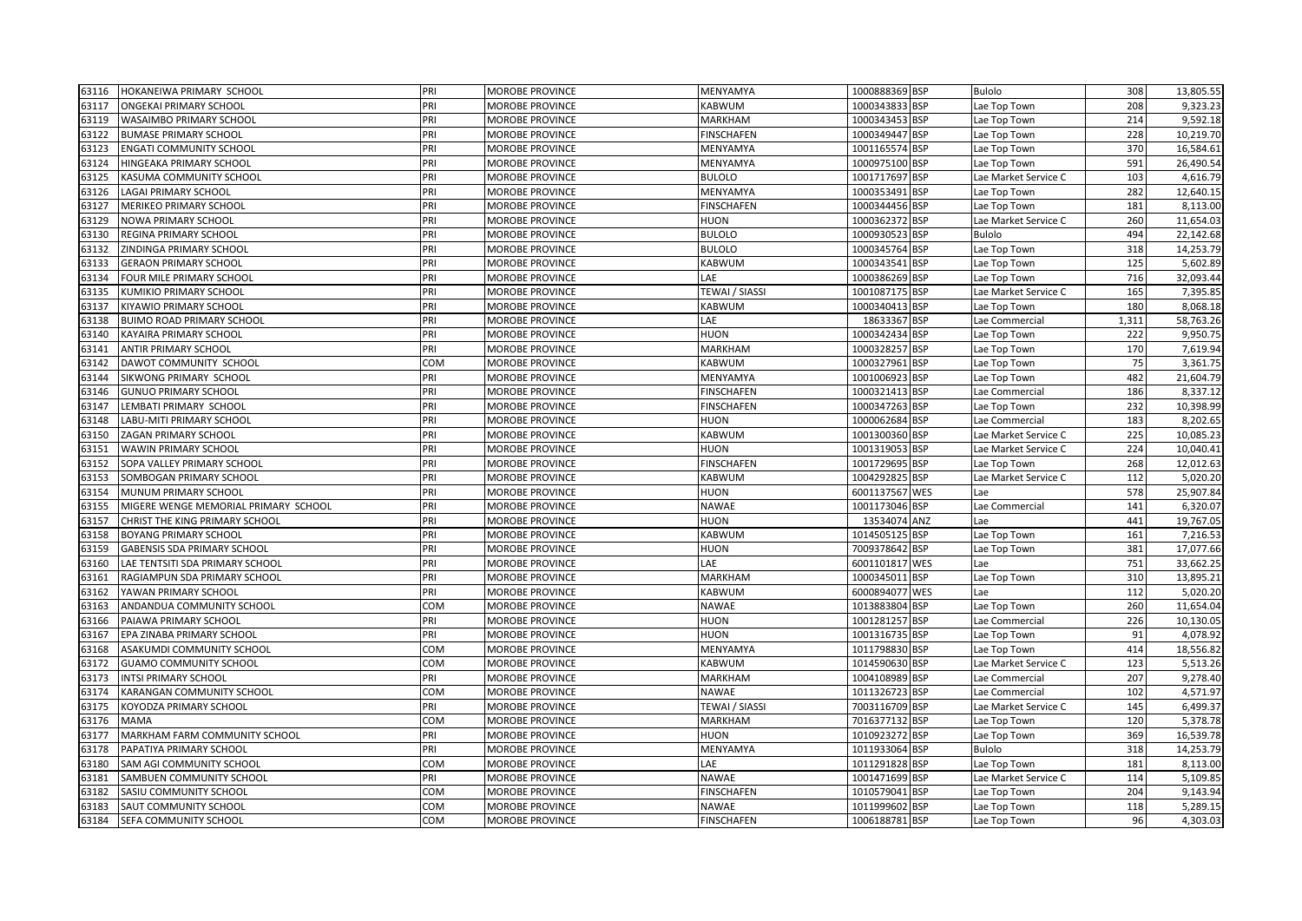| 63116 | HOKANEIWA PRIMARY SCHOOL             | PRI        | <b>MOROBE PROVINCE</b> | MENYAMYA              | 1000888369 BSP | <b>Bulolo</b>        | 308   | 13,805.55 |
|-------|--------------------------------------|------------|------------------------|-----------------------|----------------|----------------------|-------|-----------|
| 63117 | ONGEKAI PRIMARY SCHOOL               | PRI        | MOROBE PROVINCE        | KABWUM                | 1000343833 BSP | Lae Top Town         | 208   | 9,323.23  |
| 63119 | WASAIMBO PRIMARY SCHOOL              | PRI        | MOROBE PROVINCE        | MARKHAM               | 1000343453 BSP | Lae Top Town         | 214   | 9,592.18  |
| 63122 | <b>BUMASE PRIMARY SCHOOL</b>         | PRI        | MOROBE PROVINCE        | <b>FINSCHAFEN</b>     | 1000349447 BSP | Lae Top Town         | 228   | 10,219.70 |
| 63123 | <b>ENGATI COMMUNITY SCHOOL</b>       | PRI        | MOROBE PROVINCE        | MENYAMYA              | 1001165574 BSP | Lae Top Town         | 370   | 16,584.61 |
| 63124 | HINGEAKA PRIMARY SCHOOL              | PRI        | MOROBE PROVINCE        | MENYAMYA              | 1000975100 BSP | Lae Top Town         | 591   | 26,490.54 |
| 63125 | KASUMA COMMUNITY SCHOOL              | PRI        | <b>MOROBE PROVINCE</b> | <b>BULOLO</b>         | 1001717697 BSP | Lae Market Service C | 103   | 4,616.79  |
| 63126 | <b>LAGAI PRIMARY SCHOOL</b>          | PRI        | <b>MOROBE PROVINCE</b> | MENYAMYA              | 1000353491 BSP | Lae Top Town         | 282   | 12,640.15 |
| 63127 | MERIKEO PRIMARY SCHOOL               | PRI        | <b>MOROBE PROVINCE</b> | <b>FINSCHAFEN</b>     | 1000344456 BSP | Lae Top Town         | 181   | 8,113.00  |
| 63129 | NOWA PRIMARY SCHOOL                  | PRI        | MOROBE PROVINCE        | <b>HUON</b>           | 1000362372 BSP | Lae Market Service C | 260   | 11,654.03 |
| 63130 | REGINA PRIMARY SCHOOL                | PRI        | MOROBE PROVINCE        | <b>BULOLO</b>         | 1000930523 BSP | Bulolo               | 494   | 22,142.68 |
| 63132 | ZINDINGA PRIMARY SCHOOL              | PRI        | MOROBE PROVINCE        | <b>BULOLO</b>         | 1000345764 BSP | ae Top Town          | 318   | 14,253.79 |
| 63133 | <b>GERAON PRIMARY SCHOOL</b>         | PRI        | MOROBE PROVINCE        | KABWUM                | 1000343541 BSP | Lae Top Town         | 125   | 5,602.89  |
| 63134 | FOUR MILE PRIMARY SCHOOL             | PRI        | MOROBE PROVINCE        | LAE                   | 1000386269 BSP | Lae Top Town         | 716   | 32,093.44 |
| 63135 | KUMIKIO PRIMARY SCHOOL               | PRI        | MOROBE PROVINCE        | <b>TEWAI / SIASSI</b> | 1001087175 BSP | ae Market Service C  | 165   | 7,395.85  |
| 63137 | KIYAWIO PRIMARY SCHOOL               | PRI        | <b>MOROBE PROVINCE</b> | KABWUM                | 1000340413 BSP | Lae Top Town         | 180   | 8,068.18  |
| 63138 | <b>BUIMO ROAD PRIMARY SCHOOL</b>     | PRI        | MOROBE PROVINCE        | LAE                   | 18633367 BSP   | Lae Commercial       | 1,311 | 58,763.26 |
| 63140 | KAYAIRA PRIMARY SCHOOL               | PRI        | <b>MOROBE PROVINCE</b> | <b>HUON</b>           | 1000342434 BSP | Lae Top Town         | 222   | 9,950.75  |
| 63141 | <b>ANTIR PRIMARY SCHOOL</b>          | PRI        | MOROBE PROVINCE        | <b>MARKHAM</b>        | 1000328257 BSP | ae Top Town.         | 170   | 7,619.94  |
| 63142 | DAWOT COMMUNITY SCHOOL               | COM        | <b>MOROBE PROVINCE</b> | <b>KABWUM</b>         | 1000327961 BSP | Lae Top Town         | 75    | 3,361.75  |
| 63144 | SIKWONG PRIMARY SCHOOL               | PRI        | MOROBE PROVINCE        | MENYAMYA              | 1001006923 BSP | Lae Top Town         | 482   | 21,604.79 |
| 63146 | <b>GUNUO PRIMARY SCHOOL</b>          | PRI        | MOROBE PROVINCE        | <b>FINSCHAFEN</b>     | 1000321413 BSP | Lae Commercial       | 186   | 8,337.12  |
| 63147 | LEMBATI PRIMARY SCHOOL               | PRI        | MOROBE PROVINCE        | <b>FINSCHAFEN</b>     | 1000347263 BSP | Lae Top Town         | 232   | 10,398.99 |
| 63148 | LABU-MITI PRIMARY SCHOOL             | PRI        | <b>MOROBE PROVINCE</b> | <b>HUON</b>           | 1000062684 BSP | Lae Commercial       | 183   | 8,202.65  |
| 63150 | ZAGAN PRIMARY SCHOOL                 | PRI        | <b>MOROBE PROVINCE</b> | KABWUM                | 1001300360 BSP | Lae Market Service C | 225   | 10,085.23 |
| 63151 | WAWIN PRIMARY SCHOOL                 | PRI        | MOROBE PROVINCE        | <b>HUON</b>           | 1001319053 BSP | Lae Market Service C | 224   | 10,040.41 |
| 63152 | SOPA VALLEY PRIMARY SCHOOL           | PRI        | <b>MOROBE PROVINCE</b> | <b>FINSCHAFEN</b>     | 1001729695 BSP | Lae Top Town         | 268   | 12,012.63 |
| 63153 | SOMBOGAN PRIMARY SCHOOL              | PRI        | MOROBE PROVINCE        | <b>KABWUM</b>         | 1004292825 BSP | Lae Market Service C | 112   | 5,020.20  |
| 63154 | MUNUM PRIMARY SCHOOL                 | PRI        | MOROBE PROVINCE        | <b>HUON</b>           | 6001137567 WES | Lae                  | 578   | 25,907.84 |
| 63155 | MIGERE WENGE MEMORIAL PRIMARY SCHOOL | PRI        | MOROBE PROVINCE        | <b>NAWAE</b>          | 1001173046 BSP | Lae Commercial       | 141   | 6,320.07  |
| 63157 | CHRIST THE KING PRIMARY SCHOOL       | PRI        | <b>MOROBE PROVINCE</b> | <b>HUON</b>           | 13534074 ANZ   | Lae                  | 441   | 19,767.05 |
| 63158 | <b>BOYANG PRIMARY SCHOOL</b>         | PRI        | <b>MOROBE PROVINCE</b> | <b>KABWUM</b>         | 1014505125 BSP | Lae Top Town         | 161   | 7,216.53  |
| 63159 | GABENSIS SDA PRIMARY SCHOOL          | PRI        | MOROBE PROVINCE        | <b>HUON</b>           | 7009378642 BSP | Lae Top Town         | 381   | 17,077.66 |
| 63160 | LAE TENTSITI SDA PRIMARY SCHOOL      | PRI        | MOROBE PROVINCE        | LAE                   | 6001101817 WES | Lae                  | 751   | 33,662.25 |
| 63161 | RAGIAMPUN SDA PRIMARY SCHOOL         | PRI        | MOROBE PROVINCE        | <b>MARKHAM</b>        | 1000345011 BSP | Lae Top Town         | 310   | 13,895.21 |
| 63162 | YAWAN PRIMARY SCHOOL                 | PRI        | MOROBE PROVINCE        | KABWUM                | 6000894077 WES | Lae                  | 112   | 5,020.20  |
| 63163 | ANDANDUA COMMUNITY SCHOOL            | COM        | <b>MOROBE PROVINCE</b> | <b>NAWAE</b>          | 1013883804 BSP | Lae Top Town         | 260   | 11,654.04 |
| 63166 | PAIAWA PRIMARY SCHOOL                | PRI        | MOROBE PROVINCE        | <b>HUON</b>           | 1001281257 BSP | Lae Commercial       | 226   | 10,130.05 |
| 63167 | EPA ZINABA PRIMARY SCHOOL            | PRI        | MOROBE PROVINCE        | <b>HUON</b>           | 1001316735 BSP | Lae Top Town         | 91    | 4,078.92  |
| 63168 | ASAKUMDI COMMUNITY SCHOOL            | COM        | MOROBE PROVINCE        | MENYAMYA              | 1011798830 BSP | Lae Top Town         | 414   | 18,556.82 |
| 63172 | <b>GUAMO COMMUNITY SCHOOL</b>        | COM        | MOROBE PROVINCE        | KABWUM                | 1014590630 BSP | Lae Market Service C | 123   | 5,513.26  |
| 63173 | <b>INTSI PRIMARY SCHOOL</b>          | PRI        | MOROBE PROVINCE        | MARKHAM               | 1004108989 BSP | Lae Commercial       | 207   | 9,278.40  |
| 63174 | KARANGAN COMMUNITY SCHOOL            | COM        | MOROBE PROVINCE        | NAWAE                 | 1011326723 BSP | Lae Commercial       | 102   | 4,571.97  |
| 63175 | KOYODZA PRIMARY SCHOOL               | PRI        | <b>MOROBE PROVINCE</b> | <b>TEWAI / SIASSI</b> | 7003116709 BSP | Lae Market Service C | 145   | 6,499.37  |
| 63176 | <b>MAMA</b>                          | COM        | MOROBE PROVINCE        | <b>MARKHAM</b>        | 7016377132 BSP | Lae Top Town         | 120   | 5,378.78  |
| 63177 | MARKHAM FARM COMMUNITY SCHOOL        | PRI        | MOROBE PROVINCE        | <b>HUON</b>           | 1010923272 BSP | Lae Top Town         | 369   | 16,539.78 |
| 63178 | PAPATIYA PRIMARY SCHOOL              | PRI        | <b>MOROBE PROVINCE</b> | MENYAMYA              | 1011933064 BSP | <b>Bulolo</b>        | 318   | 14,253.79 |
| 63180 | SAM AGI COMMUNITY SCHOOL             | COM        | MOROBE PROVINCE        | LAE                   | 1011291828 BSP | Lae Top Town         | 181   | 8,113.00  |
| 63181 | SAMBUEN COMMUNITY SCHOOL             | PRI        | MOROBE PROVINCE        | NAWAE                 | 1001471699 BSP | Lae Market Service C | 114   | 5,109.85  |
| 63182 | SASIU COMMUNITY SCHOOL               | <b>COM</b> | MOROBE PROVINCE        | <b>FINSCHAFEN</b>     | 1010579041 BSP | Lae Top Town         | 204   | 9,143.94  |
| 63183 | SAUT COMMUNITY SCHOOL                | COM        | <b>MOROBE PROVINCE</b> | <b>NAWAE</b>          | 1011999602 BSP | Lae Top Town         | 118   | 5,289.15  |
| 63184 | SEFA COMMUNITY SCHOOL                | COM        | MOROBE PROVINCE        | <b>FINSCHAFEN</b>     | 1006188781 BSP | Lae Top Town         | 96    | 4,303.03  |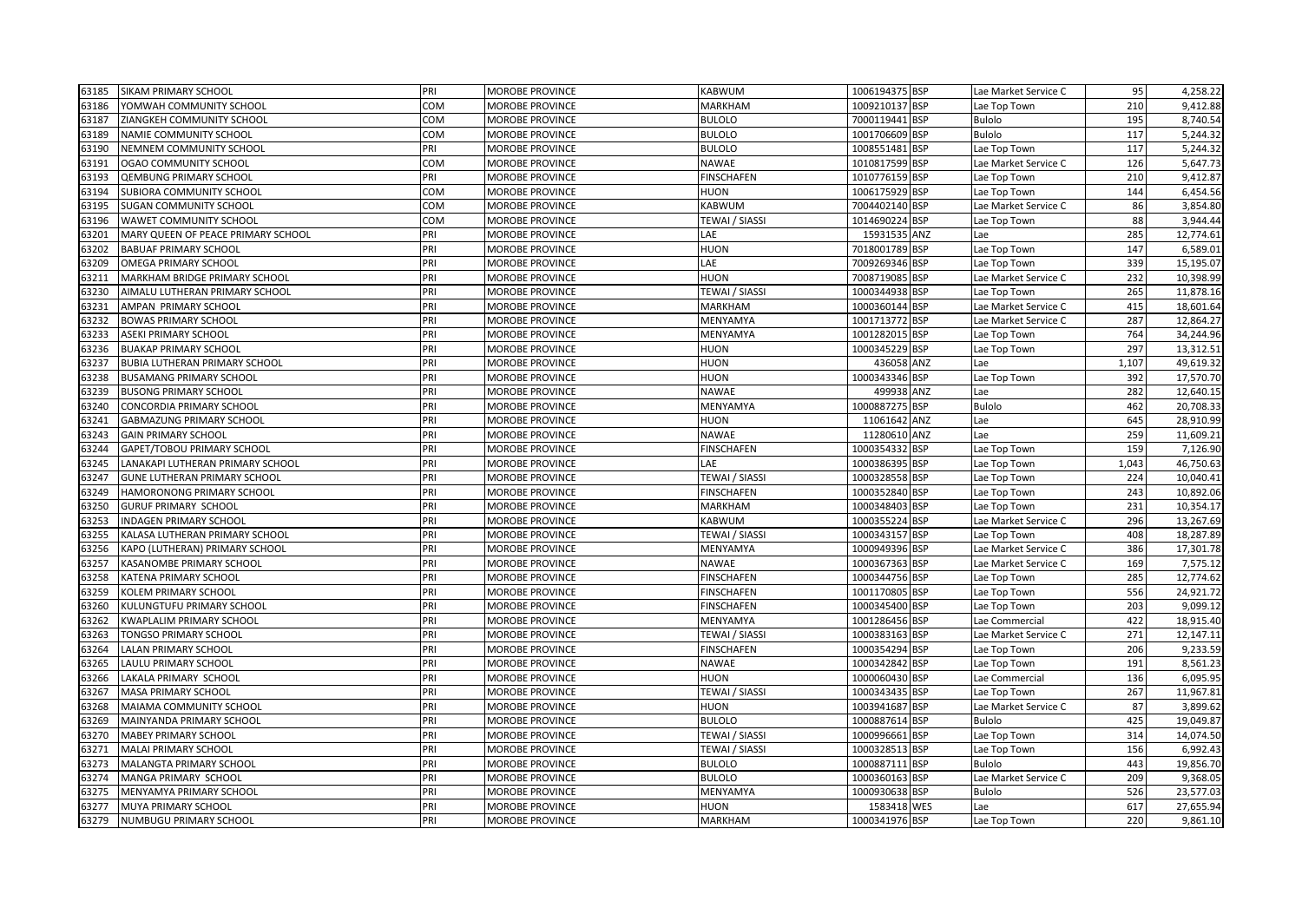| 63185 | SIKAM PRIMARY SCHOOL               | PRI | MOROBE PROVINCE | <b>KABWUM</b>         | 1006194375 BSP | Lae Market Service C | 95    | 4,258.22  |
|-------|------------------------------------|-----|-----------------|-----------------------|----------------|----------------------|-------|-----------|
| 63186 | YOMWAH COMMUNITY SCHOOL            | COM | MOROBE PROVINCE | <b>MARKHAM</b>        | 1009210137 BSP | Lae Top Town         | 210   | 9,412.88  |
| 63187 | ZIANGKEH COMMUNITY SCHOOL          | COM | MOROBE PROVINCE | <b>BULOLO</b>         | 7000119441 BSP | <b>Bulolo</b>        | 195   | 8,740.54  |
| 63189 | NAMIE COMMUNITY SCHOOL             | COM | MOROBE PROVINCE | <b>BULOLO</b>         | 1001706609 BSP | <b>Bulolo</b>        | 117   | 5,244.32  |
| 63190 | NEMNEM COMMUNITY SCHOOL            | PRI | MOROBE PROVINCE | <b>BULOLO</b>         | 1008551481 BSP | Lae Top Town         | 117   | 5,244.32  |
| 63191 | OGAO COMMUNITY SCHOOL              | COM | MOROBE PROVINCE | <b>NAWAE</b>          | 1010817599 BSP | Lae Market Service C | 126   | 5,647.73  |
| 63193 | <b>QEMBUNG PRIMARY SCHOOL</b>      | PRI | MOROBE PROVINCE | <b>FINSCHAFEN</b>     | 1010776159 BSP | Lae Top Town         | 210   | 9,412.87  |
| 63194 | SUBIORA COMMUNITY SCHOOL           | COM | MOROBE PROVINCE | HUON                  | 1006175929 BSP | Lae Top Town         | 144   | 6,454.56  |
| 63195 | <b>SUGAN COMMUNITY SCHOOL</b>      | COM | MOROBE PROVINCE | KABWUM                | 7004402140 BSP | Lae Market Service C | 86    | 3,854.80  |
| 63196 | WAWET COMMUNITY SCHOOL             | COM | MOROBE PROVINCE | <b>TEWAI / SIASSI</b> | 1014690224 BSP | Lae Top Town         | 88    | 3,944.44  |
| 63201 | MARY QUEEN OF PEACE PRIMARY SCHOOL | PRI | MOROBE PROVINCE | LAE                   | 15931535 ANZ   | Lae                  | 285   | 12,774.61 |
| 63202 | <b>BABUAF PRIMARY SCHOOL</b>       | PRI | MOROBE PROVINCE | <b>HUON</b>           | 7018001789 BSP | Lae Top Town         | 147   | 6,589.01  |
| 63209 | OMEGA PRIMARY SCHOOL               | PRI | MOROBE PROVINCE | LAE                   | 7009269346 BSP | Lae Top Town         | 339   | 15,195.07 |
| 63211 | MARKHAM BRIDGE PRIMARY SCHOOL      | PRI | MOROBE PROVINCE | HUON                  | 7008719085 BSP | Lae Market Service C | 232   | 10,398.99 |
| 63230 | AIMALU LUTHERAN PRIMARY SCHOOL     | PRI | MOROBE PROVINCE | TEWAI / SIASSI        | 1000344938 BSP | Lae Top Town         | 265   | 11,878.16 |
| 63231 | AMPAN PRIMARY SCHOOL               | PRI | MOROBE PROVINCE | MARKHAM               | 1000360144 BSP | Lae Market Service C | 415   | 18,601.64 |
| 63232 | <b>BOWAS PRIMARY SCHOOL</b>        | PRI | MOROBE PROVINCE | MENYAMYA              | 1001713772 BSP | Lae Market Service C | 287   | 12,864.27 |
| 63233 | <b>ASEKI PRIMARY SCHOOL</b>        | PRI | MOROBE PROVINCE | MENYAMYA              | 1001282015 BSP | Lae Top Town         | 764   | 34,244.96 |
| 63236 | <b>BUAKAP PRIMARY SCHOOL</b>       | PRI | MOROBE PROVINCE | <b>HUON</b>           | 1000345229 BSP | Lae Top Town         | 297   | 13,312.51 |
| 63237 | BUBIA LUTHERAN PRIMARY SCHOOL      | PRI | MOROBE PROVINCE | HUON                  | 436058 ANZ     | Lae                  | 1,107 | 49,619.32 |
| 63238 | <b>BUSAMANG PRIMARY SCHOOL</b>     | PRI | MOROBE PROVINCE | <b>HUON</b>           | 1000343346 BSP | Lae Top Town         | 392   | 17,570.70 |
| 63239 | <b>BUSONG PRIMARY SCHOOL</b>       | PRI | MOROBE PROVINCE | NAWAE                 | 499938 ANZ     | Lae                  | 282   | 12,640.15 |
| 63240 | CONCORDIA PRIMARY SCHOOL           | PRI | MOROBE PROVINCE | MENYAMYA              | 1000887275 BSP | Bulolo               | 462   | 20,708.33 |
| 63241 | <b>GABMAZUNG PRIMARY SCHOOL</b>    | PRI | MOROBE PROVINCE | <b>HUON</b>           | 11061642 ANZ   | Lae                  | 645   | 28,910.99 |
| 63243 | <b>GAIN PRIMARY SCHOOL</b>         | PRI | MOROBE PROVINCE | <b>NAWAE</b>          | 11280610 ANZ   | Lae                  | 259   | 11,609.21 |
| 63244 | GAPET/TOBOU PRIMARY SCHOOL         | PRI | MOROBE PROVINCE | <b>FINSCHAFEN</b>     | 1000354332 BSP | Lae Top Town         | 159   | 7,126.90  |
| 63245 | LANAKAPI LUTHERAN PRIMARY SCHOOL   | PRI | MOROBE PROVINCE | LAE                   | 1000386395 BSP | Lae Top Town         | 1,043 | 46,750.63 |
| 63247 | GUNE LUTHERAN PRIMARY SCHOOL       | PRI | MOROBE PROVINCE | <b>TEWAI / SIASSI</b> | 1000328558 BSP | Lae Top Town         | 224   | 10,040.41 |
| 63249 | HAMORONONG PRIMARY SCHOOL          | PRI | MOROBE PROVINCE | <b>FINSCHAFEN</b>     | 1000352840 BSP | Lae Top Town         | 243   | 10,892.06 |
| 63250 | <b>GURUF PRIMARY SCHOOL</b>        | PRI | MOROBE PROVINCE | MARKHAM               | 1000348403 BSP | Lae Top Town         | 231   | 10,354.17 |
| 63253 | <b>INDAGEN PRIMARY SCHOOL</b>      | PRI | MOROBE PROVINCE | KABWUM                | 1000355224 BSP | Lae Market Service C | 296   | 13,267.69 |
| 63255 | KALASA LUTHERAN PRIMARY SCHOOL     | PRI | MOROBE PROVINCE | <b>TEWAI / SIASSI</b> | 1000343157 BSP | Lae Top Town         | 408   | 18,287.89 |
| 63256 | KAPO (LUTHERAN) PRIMARY SCHOOL     | PRI | MOROBE PROVINCE | MENYAMYA              | 1000949396 BSP | Lae Market Service C | 386   | 17,301.78 |
| 63257 | KASANOMBE PRIMARY SCHOOL           | PRI | MOROBE PROVINCE | NAWAE                 | 1000367363 BSP | Lae Market Service C | 169   | 7,575.12  |
| 63258 | KATENA PRIMARY SCHOOL              | PRI | MOROBE PROVINCE | <b>FINSCHAFEN</b>     | 1000344756 BSP | Lae Top Town         | 285   | 12,774.62 |
| 63259 | KOLEM PRIMARY SCHOOL               | PRI | MOROBE PROVINCE | <b>FINSCHAFEN</b>     | 1001170805 BSP | Lae Top Town         | 556   | 24,921.72 |
| 63260 | KULUNGTUFU PRIMARY SCHOOL          | PRI | MOROBE PROVINCE | <b>FINSCHAFEN</b>     | 1000345400 BSP | Lae Top Town         | 203   | 9,099.12  |
| 63262 | KWAPLALIM PRIMARY SCHOOL           | PRI | MOROBE PROVINCE | MENYAMYA              | 1001286456 BSP | Lae Commercial       | 422   | 18,915.40 |
| 63263 | TONGSO PRIMARY SCHOOL              | PRI | MOROBE PROVINCE | TEWAI / SIASSI        | 1000383163 BSP | Lae Market Service C | 271   | 12,147.11 |
| 63264 | LALAN PRIMARY SCHOOL               | PRI | MOROBE PROVINCE | <b>FINSCHAFEN</b>     | 1000354294 BSP | Lae Top Town         | 206   | 9,233.59  |
| 63265 | LAULU PRIMARY SCHOOL               | PRI | MOROBE PROVINCE | <b>NAWAE</b>          | 1000342842 BSP | Lae Top Town         | 191   | 8,561.23  |
| 63266 | LAKALA PRIMARY SCHOOL              | PRI | MOROBE PROVINCE | <b>HUON</b>           | 1000060430 BSP | Lae Commercial       | 136   | 6,095.95  |
| 63267 | <b>MASA PRIMARY SCHOOL</b>         | PRI | MOROBE PROVINCE | <b>TEWAI / SIASSI</b> | 1000343435 BSP | Lae Top Town         | 267   | 11,967.81 |
| 63268 | MAIAMA COMMUNITY SCHOOL            | PRI | MOROBE PROVINCE | HUON                  | 1003941687 BSP | Lae Market Service C | 87    | 3,899.62  |
| 63269 | MAINYANDA PRIMARY SCHOOL           | PRI | MOROBE PROVINCE | <b>BULOLO</b>         | 1000887614 BSP | <b>Bulolo</b>        | 425   | 19,049.87 |
| 63270 | MABEY PRIMARY SCHOOL               | PRI | MOROBE PROVINCE | <b>TEWAI / SIASSI</b> | 1000996661 BSP | Lae Top Town         | 314   | 14,074.50 |
| 63271 | MALAI PRIMARY SCHOOL               | PRI | MOROBE PROVINCE | <b>TEWAI / SIASSI</b> | 1000328513 BSP | Lae Top Town         | 156   | 6,992.43  |
| 63273 | MALANGTA PRIMARY SCHOOL            | PRI | MOROBE PROVINCE | <b>BULOLO</b>         | 1000887111 BSP | <b>Bulolo</b>        | 443   | 19,856.70 |
| 63274 | MANGA PRIMARY SCHOOL               | PRI | MOROBE PROVINCE | <b>BULOLO</b>         | 1000360163 BSP | Lae Market Service C | 209   | 9,368.05  |
| 63275 | MENYAMYA PRIMARY SCHOOL            | PRI | MOROBE PROVINCE | MENYAMYA              | 1000930638 BSP | <b>Bulolo</b>        | 526   | 23,577.03 |
| 63277 | MUYA PRIMARY SCHOOL                | PRI | MOROBE PROVINCE | <b>HUON</b>           | 1583418 WES    | Lae                  | 617   | 27,655.94 |
| 63279 | NUMBUGU PRIMARY SCHOOL             | PRI | MOROBE PROVINCE | <b>MARKHAM</b>        | 1000341976 BSP | Lae Top Town         | 220   | 9,861.10  |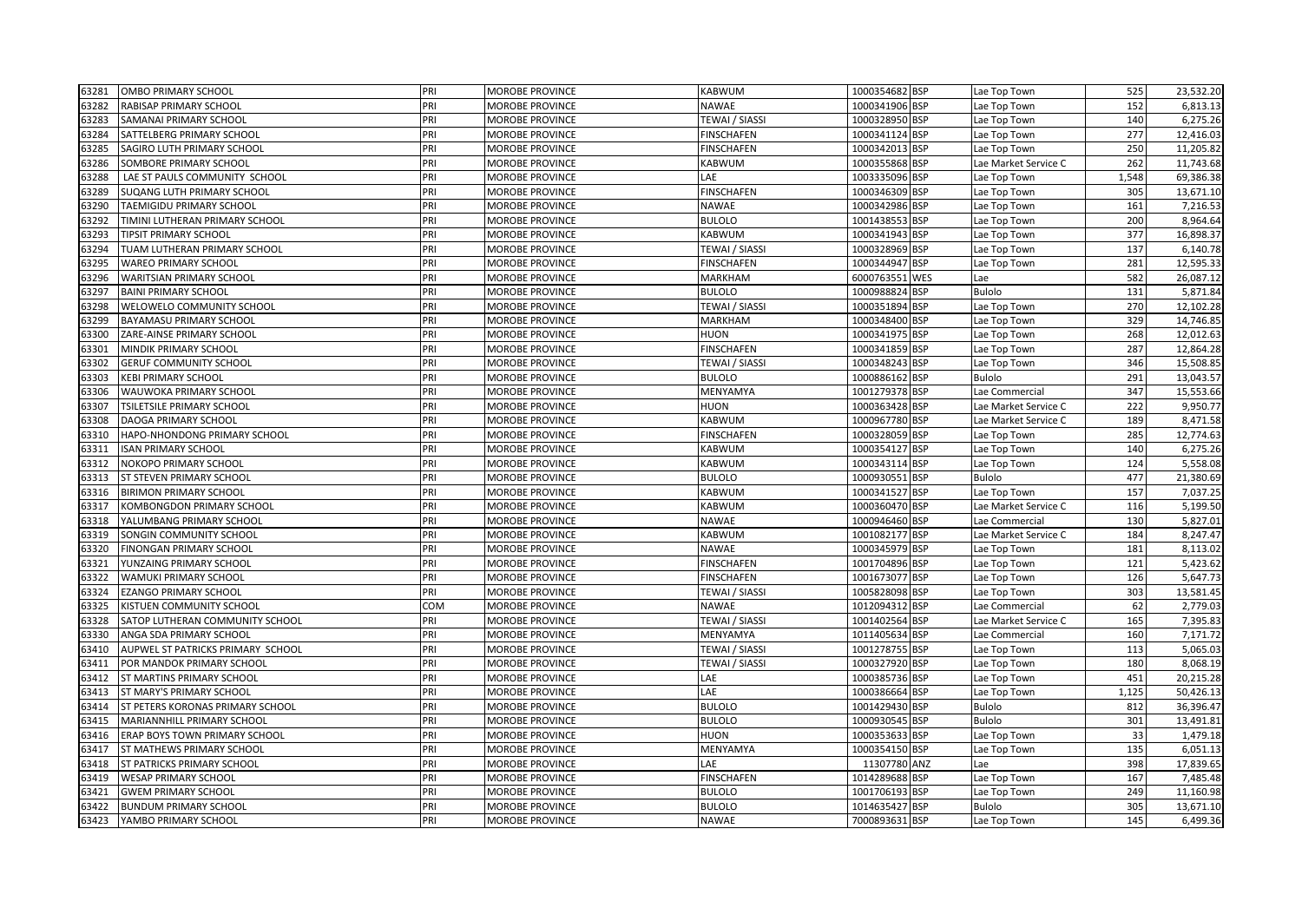| 63281 | OMBO PRIMARY SCHOOL               | PRI | <b>MOROBE PROVINCE</b> | <b>KABWUM</b>         | 1000354682 BSP | Lae Top Town         | 525   | 23,532.20 |
|-------|-----------------------------------|-----|------------------------|-----------------------|----------------|----------------------|-------|-----------|
| 63282 | RABISAP PRIMARY SCHOOL            | PRI | MOROBE PROVINCE        | <b>NAWAE</b>          | 1000341906 BSP | Lae Top Town         | 152   | 6,813.13  |
| 63283 | SAMANAI PRIMARY SCHOOL            | PRI | <b>MOROBE PROVINCE</b> | <b>TEWAI / SIASSI</b> | 1000328950 BSP | Lae Top Town         | 140   | 6,275.26  |
| 63284 | SATTELBERG PRIMARY SCHOOL         | PRI | MOROBE PROVINCE        | <b>FINSCHAFEN</b>     | 1000341124 BSP | Lae Top Town         | 277   | 12,416.03 |
| 63285 | SAGIRO LUTH PRIMARY SCHOOL        | PRI | MOROBE PROVINCE        | <b>FINSCHAFEN</b>     | 1000342013 BSP | Lae Top Town         | 250   | 11,205.82 |
| 63286 | SOMBORE PRIMARY SCHOOL            | PRI | MOROBE PROVINCE        | KABWUM                | 1000355868 BSP | Lae Market Service C | 262   | 11,743.68 |
| 63288 | LAE ST PAULS COMMUNITY SCHOOL     | PRI | <b>MOROBE PROVINCE</b> | LAE                   | 1003335096 BSP | Lae Top Town         | 1,548 | 69,386.38 |
| 63289 | SUQANG LUTH PRIMARY SCHOOL        | PRI | <b>MOROBE PROVINCE</b> | <b>FINSCHAFEN</b>     | 1000346309 BSP | Lae Top Town         | 305   | 13,671.10 |
| 63290 | TAEMIGIDU PRIMARY SCHOOL          | PRI | <b>MOROBE PROVINCE</b> | <b>NAWAE</b>          | 1000342986 BSP | Lae Top Town         | 161   | 7,216.53  |
| 63292 | TIMINI LUTHERAN PRIMARY SCHOOL    | PRI | MOROBE PROVINCE        | <b>BULOLO</b>         | 1001438553 BSP | Lae Top Town         | 200   | 8,964.64  |
| 63293 | TIPSIT PRIMARY SCHOOL             | PRI | MOROBE PROVINCE        | KABWUM                | 1000341943 BSP | Lae Top Town         | 377   | 16,898.37 |
| 63294 | TUAM LUTHERAN PRIMARY SCHOOL      | PRI | MOROBE PROVINCE        | <b>TEWAI / SIASSI</b> | 1000328969 BSP | ae Top Town          | 137   | 6,140.78  |
| 63295 | <b>WAREO PRIMARY SCHOOL</b>       | PRI | MOROBE PROVINCE        | <b>FINSCHAFEN</b>     | 1000344947 BSP | Lae Top Town         | 281   | 12,595.33 |
| 63296 | <b>WARITSIAN PRIMARY SCHOOL</b>   | PRI | MOROBE PROVINCE        | <b>MARKHAM</b>        | 6000763551 WES | Lae                  | 582   | 26,087.12 |
| 63297 | <b>BAINI PRIMARY SCHOOL</b>       | PRI | MOROBE PROVINCE        | <b>BULOLO</b>         | 1000988824 BSP | <b>Bulolo</b>        | 131   | 5,871.84  |
| 63298 | WELOWELO COMMUNITY SCHOOL         | PRI | <b>MOROBE PROVINCE</b> | <b>TEWAI / SIASSI</b> | 1000351894 BSP | Lae Top Town         | 270   | 12,102.28 |
| 63299 | BAYAMASU PRIMARY SCHOOL           | PRI | MOROBE PROVINCE        | <b>MARKHAM</b>        | 1000348400 BSP | Lae Top Town         | 329   | 14,746.85 |
| 63300 | ZARE-AINSE PRIMARY SCHOOL         | PRI | <b>MOROBE PROVINCE</b> | <b>HUON</b>           | 1000341975 BSP | Lae Top Town         | 268   | 12,012.63 |
| 63301 | MINDIK PRIMARY SCHOOL             | PRI | MOROBE PROVINCE        | <b>FINSCHAFEN</b>     | 1000341859 BSP | Lae Top Town         | 287   | 12,864.28 |
| 63302 | <b>GERUF COMMUNITY SCHOOL</b>     | PRI | MOROBE PROVINCE        | <b>TEWAI / SIASSI</b> | 1000348243 BSP | Lae Top Town         | 346   | 15,508.85 |
| 63303 | <b>KEBI PRIMARY SCHOOL</b>        | PRI | MOROBE PROVINCE        | <b>BULOLO</b>         | 1000886162 BSP | Bulolo               | 291   | 13,043.57 |
| 63306 | WAUWOKA PRIMARY SCHOOL            | PRI | <b>MOROBE PROVINCE</b> | MENYAMYA              | 1001279378 BSP | Lae Commercial       | 347   | 15,553.66 |
| 63307 | TSILETSILE PRIMARY SCHOOL         | PRI | <b>MOROBE PROVINCE</b> | <b>HUON</b>           | 1000363428 BSP | Lae Market Service C | 222   | 9,950.77  |
| 63308 | DAOGA PRIMARY SCHOOL              | PRI | <b>MOROBE PROVINCE</b> | KABWUM                | 1000967780 BSP | Lae Market Service C | 189   | 8,471.58  |
| 63310 | HAPO-NHONDONG PRIMARY SCHOOL      | PRI | MOROBE PROVINCE        | <b>FINSCHAFEN</b>     | 1000328059 BSP | Lae Top Town         | 285   | 12,774.63 |
| 63311 | <b>ISAN PRIMARY SCHOOL</b>        | PRI | MOROBE PROVINCE        | KABWUM                | 1000354127 BSP | Lae Top Town         | 140   | 6,275.26  |
| 63312 | NOKOPO PRIMARY SCHOOL             | PRI | MOROBE PROVINCE        | <b>KABWUM</b>         | 1000343114 BSP | Lae Top Town         | 124   | 5,558.08  |
| 63313 | ST STEVEN PRIMARY SCHOOL          | PRI | MOROBE PROVINCE        | <b>BULOLO</b>         | 1000930551 BSP | Bulolo               | 477   | 21,380.69 |
| 63316 | <b>BIRIMON PRIMARY SCHOOL</b>     | PRI | MOROBE PROVINCE        | <b>KABWUM</b>         | 1000341527 BSP | Lae Top Town         | 157   | 7,037.25  |
| 63317 | KOMBONGDON PRIMARY SCHOOL         | PRI | MOROBE PROVINCE        | KABWUM                | 1000360470 BSP | Lae Market Service C | 116   | 5,199.50  |
| 63318 | YALUMBANG PRIMARY SCHOOL          | PRI | MOROBE PROVINCE        | NAWAE                 | 1000946460 BSP | ae Commercial.       | 130   | 5,827.01  |
| 63319 | SONGIN COMMUNITY SCHOOL           | PRI | <b>MOROBE PROVINCE</b> | KABWUM                | 1001082177 BSP | Lae Market Service C | 184   | 8,247.47  |
| 63320 | FINONGAN PRIMARY SCHOOL           | PRI | MOROBE PROVINCE        | <b>NAWAE</b>          | 1000345979 BSP | Lae Top Town         | 181   | 8,113.02  |
| 63321 | YUNZAING PRIMARY SCHOOL           | PRI | MOROBE PROVINCE        | <b>FINSCHAFEN</b>     | 1001704896 BSP | Lae Top Town         | 121   | 5,423.62  |
| 63322 | WAMUKI PRIMARY SCHOOL             | PRI | MOROBE PROVINCE        | <b>FINSCHAFEN</b>     | 1001673077 BSP | Lae Top Town         | 126   | 5,647.73  |
| 63324 | EZANGO PRIMARY SCHOOL             | PRI | MOROBE PROVINCE        | <b>TEWAI / SIASSI</b> | 1005828098 BSP | Lae Top Town         | 303   | 13,581.45 |
| 63325 | KISTUEN COMMUNITY SCHOOL          | COM | MOROBE PROVINCE        | <b>NAWAE</b>          | 1012094312 BSP | Lae Commercial       | 62    | 2,779.03  |
| 63328 | SATOP LUTHERAN COMMUNITY SCHOOL   | PRI | <b>MOROBE PROVINCE</b> | <b>TEWAI / SIASSI</b> | 1001402564 BSP | Lae Market Service C | 165   | 7,395.83  |
| 63330 | ANGA SDA PRIMARY SCHOOL           | PRI | MOROBE PROVINCE        | MENYAMYA              | 1011405634 BSP | ae Commercial        | 160   | 7,171.72  |
| 63410 | AUPWEL ST PATRICKS PRIMARY SCHOOL | PRI | MOROBE PROVINCE        | <b>TEWAI / SIASSI</b> | 1001278755 BSP | Lae Top Town         | 113   | 5,065.03  |
| 63411 | POR MANDOK PRIMARY SCHOOL         | PRI | MOROBE PROVINCE        | <b>TEWAI / SIASSI</b> | 1000327920 BSP | ae Top Town          | 180   | 8,068.19  |
| 63412 | ST MARTINS PRIMARY SCHOOL         | PRI | MOROBE PROVINCE        | LAE                   | 1000385736 BSP | Lae Top Town         | 451   | 20,215.28 |
| 63413 | ST MARY'S PRIMARY SCHOOL          | PRI | MOROBE PROVINCE        | LAE                   | 1000386664 BSP | ae Top Town          | 1,125 | 50,426.13 |
| 63414 | ST PETERS KORONAS PRIMARY SCHOOL  | PRI | MOROBE PROVINCE        | <b>BULOLO</b>         | 1001429430 BSP | Bulolo               | 812   | 36,396.47 |
| 63415 | MARIANNHILL PRIMARY SCHOOL        | PRI | <b>MOROBE PROVINCE</b> | <b>BULOLO</b>         | 1000930545 BSP | <b>Bulolo</b>        | 301   | 13,491.81 |
| 63416 | ERAP BOYS TOWN PRIMARY SCHOOL     | PRI | MOROBE PROVINCE        | <b>HUON</b>           | 1000353633 BSP | Lae Top Town         | 33    | 1,479.18  |
| 63417 | ST MATHEWS PRIMARY SCHOOL         | PRI | MOROBE PROVINCE        | MENYAMYA              | 1000354150 BSP | Lae Top Town         | 135   | 6,051.13  |
| 63418 | ST PATRICKS PRIMARY SCHOOL        | PRI | MOROBE PROVINCE        | LAE                   | 11307780 ANZ   | Lae                  | 398   | 17,839.65 |
| 63419 | <b>WESAP PRIMARY SCHOOL</b>       | PRI | MOROBE PROVINCE        | <b>FINSCHAFEN</b>     | 1014289688 BSP | Lae Top Town         | 167   | 7,485.48  |
| 63421 | <b>GWEM PRIMARY SCHOOL</b>        | PRI | MOROBE PROVINCE        | <b>BULOLO</b>         | 1001706193 BSP | Lae Top Town         | 249   | 11,160.98 |
| 63422 | <b>BUNDUM PRIMARY SCHOOL</b>      | PRI | <b>MOROBE PROVINCE</b> | <b>BULOLO</b>         | 1014635427 BSP | <b>Bulolo</b>        | 305   | 13,671.10 |
| 63423 | YAMBO PRIMARY SCHOOL              | PRI | MOROBE PROVINCE        | <b>NAWAE</b>          | 7000893631 BSP | Lae Top Town         | 145   | 6,499.36  |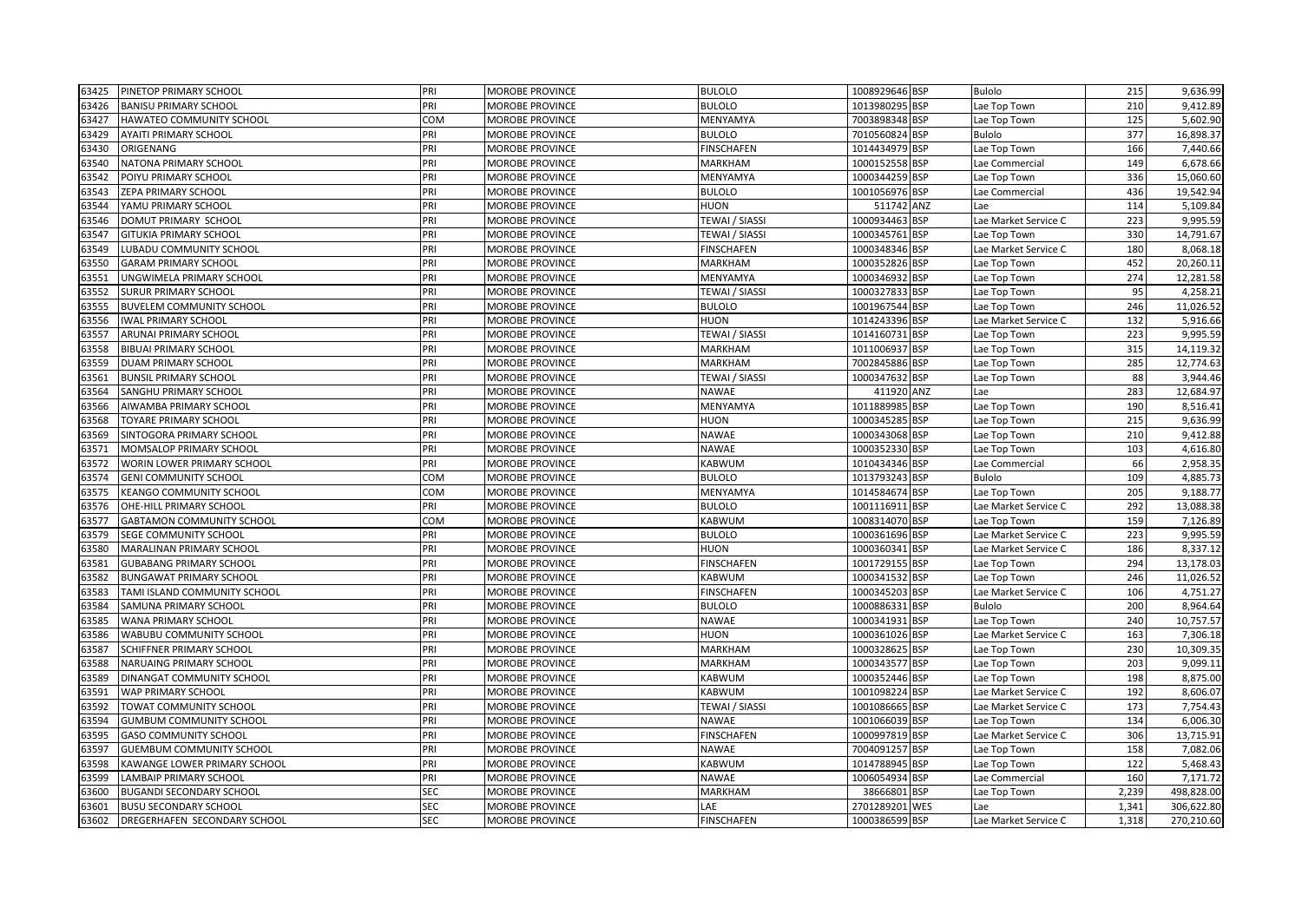| 63425 | PINETOP PRIMARY SCHOOL          | PRI        | <b>MOROBE PROVINCE</b> | <b>BULOLO</b>     | 1008929646 BSP | <b>Bulolo</b>        | 215   | 9,636.99   |
|-------|---------------------------------|------------|------------------------|-------------------|----------------|----------------------|-------|------------|
| 63426 | <b>BANISU PRIMARY SCHOOL</b>    | PRI        | MOROBE PROVINCE        | <b>BULOLO</b>     | 1013980295 BSP | Lae Top Town         | 210   | 9,412.89   |
| 63427 | <b>HAWATEO COMMUNITY SCHOOL</b> | COM        | MOROBE PROVINCE        | MENYAMYA          | 7003898348 BSP | Lae Top Town         | 125   | 5,602.90   |
| 63429 | <b>AYAITI PRIMARY SCHOOL</b>    | PRI        | MOROBE PROVINCE        | <b>BULOLO</b>     | 7010560824 BSP | Bulolo               | 377   | 16,898.37  |
| 63430 | ORIGENANG                       | PRI        | MOROBE PROVINCE        | <b>FINSCHAFEN</b> | 1014434979 BSP | Lae Top Town         | 166   | 7,440.66   |
| 63540 | NATONA PRIMARY SCHOOL           | PRI        | MOROBE PROVINCE        | <b>MARKHAM</b>    | 1000152558 BSP | Lae Commercial       | 149   | 6,678.66   |
| 63542 | POIYU PRIMARY SCHOOL            | PRI        | <b>MOROBE PROVINCE</b> | MENYAMYA          | 1000344259 BSP | Lae Top Town         | 336   | 15,060.60  |
| 63543 | ZEPA PRIMARY SCHOOL             | PRI        | MOROBE PROVINCE        | <b>BULOLO</b>     | 1001056976 BSP | Lae Commercial       | 436   | 19,542.94  |
| 63544 | YAMU PRIMARY SCHOOL             | PRI        | MOROBE PROVINCE        | <b>HUON</b>       | 511742 ANZ     | Lae                  | 114   | 5,109.84   |
| 63546 | DOMUT PRIMARY SCHOOL            | PRI        | MOROBE PROVINCE        | TEWAI / SIASSI    | 1000934463 BSP | Lae Market Service C | 223   | 9,995.59   |
| 63547 | <b>GITUKIA PRIMARY SCHOOL</b>   | PRI        | MOROBE PROVINCE        | TEWAI / SIASSI    | 1000345761 BSP | Lae Top Town         | 330   | 14,791.67  |
| 53549 | LUBADU COMMUNITY SCHOOL         | PRI        | MOROBE PROVINCE        | <b>FINSCHAFEN</b> | 1000348346 BSP | Lae Market Service C | 180   | 8,068.18   |
| 63550 | <b>GARAM PRIMARY SCHOOL</b>     | PRI        | MOROBE PROVINCE        | MARKHAM           | 1000352826 BSP | Lae Top Town         | 452   | 20,260.11  |
| 63551 | UNGWIMELA PRIMARY SCHOOL        | PRI        | <b>MOROBE PROVINCE</b> | MENYAMYA          | 1000346932 BSP | Lae Top Town         | 274   | 12,281.58  |
| 63552 | <b>SURUR PRIMARY SCHOOL</b>     | PRI        | MOROBE PROVINCE        | TEWAI / SIASSI    | 1000327833 BSP | Lae Top Town         | 95    | 4,258.21   |
| 63555 | <b>BUVELEM COMMUNITY SCHOOL</b> | PRI        | MOROBE PROVINCE        | <b>BULOLO</b>     | 1001967544 BSP | Lae Top Town         | 246   | 11,026.52  |
| 63556 | <b>IWAL PRIMARY SCHOOL</b>      | PRI        | MOROBE PROVINCE        | <b>HUON</b>       | 1014243396 BSP | Lae Market Service C | 132   | 5,916.66   |
| 63557 | ARUNAI PRIMARY SCHOOL           | PRI        | MOROBE PROVINCE        | TEWAI / SIASSI    | 1014160731 BSP | Lae Top Town         | 223   | 9,995.59   |
| 63558 | <b>BIBUAI PRIMARY SCHOOL</b>    | PRI        | MOROBE PROVINCE        | MARKHAM           | 1011006937 BSP | Lae Top Town         | 315   | 14,119.32  |
| 53559 | DUAM PRIMARY SCHOOL             | PRI        | MOROBE PROVINCE        | <b>MARKHAM</b>    | 7002845886 BSP | Lae Top Town         | 285   | 12,774.63  |
| 63561 | <b>BUNSIL PRIMARY SCHOOL</b>    | PRI        | MOROBE PROVINCE        | TEWAI / SIASSI    | 1000347632 BSP | Lae Top Town         | 88    | 3,944.46   |
| 53564 | SANGHU PRIMARY SCHOOL           | PRI        | MOROBE PROVINCE        | NAWAE             | 411920 ANZ     | Lae                  | 283   | 12,684.97  |
| 63566 | AIWAMBA PRIMARY SCHOOL          | PRI        | <b>MOROBE PROVINCE</b> | MENYAMYA          | 1011889985 BSP | Lae Top Town         | 190   | 8,516.41   |
| 63568 | <b>TOYARE PRIMARY SCHOOL</b>    | PRI        | MOROBE PROVINCE        | <b>HUON</b>       | 1000345285 BSP | Lae Top Town         | 215   | 9,636.99   |
| 63569 | SINTOGORA PRIMARY SCHOOL        | PRI        | MOROBE PROVINCE        | <b>NAWAE</b>      | 1000343068 BSP | Lae Top Town         | 210   | 9,412.88   |
| 63571 | MOMSALOP PRIMARY SCHOOL         | PRI        | MOROBE PROVINCE        | <b>NAWAE</b>      | 1000352330 BSP | Lae Top Town         | 103   | 4,616.80   |
| 63572 | WORIN LOWER PRIMARY SCHOOL      | PRI        | MOROBE PROVINCE        | <b>KABWUM</b>     | 1010434346 BSP | Lae Commercial       | 66    | 2,958.35   |
| 63574 | <b>GENI COMMUNITY SCHOOL</b>    | COM        | MOROBE PROVINCE        | <b>BULOLO</b>     | 1013793243 BSP | Bulolo               | 109   | 4,885.73   |
| 63575 | <b>KEANGO COMMUNITY SCHOOL</b>  | COM        | MOROBE PROVINCE        | MENYAMYA          | 1014584674 BSP | Lae Top Town         | 205   | 9,188.77   |
| 63576 | OHE-HILL PRIMARY SCHOOL         | pri        | MOROBE PROVINCE        | <b>BULOLO</b>     | 1001116911 BSP | Lae Market Service C | 292   | 13,088.38  |
| 53577 | GABTAMON COMMUNITY SCHOOL       | COM        | MOROBE PROVINCE        | KABWUM            | 1008314070 BSP | Lae Top Town         | 159   | 7,126.89   |
| 63579 | SEGE COMMUNITY SCHOOL           | PRI        | MOROBE PROVINCE        | <b>BULOLO</b>     | 1000361696 BSP | Lae Market Service C | 223   | 9,995.59   |
| 63580 | MARALINAN PRIMARY SCHOOL        | PRI        | MOROBE PROVINCE        | <b>HUON</b>       | 1000360341 BSP | Lae Market Service C | 186   | 8,337.12   |
| 63581 | <b>GUBABANG PRIMARY SCHOOL</b>  | PRI        | <b>MOROBE PROVINCE</b> | <b>FINSCHAFEN</b> | 1001729155 BSP | Lae Top Town         | 294   | 13,178.03  |
| 63582 | <b>BUNGAWAT PRIMARY SCHOOL</b>  | PRI        | MOROBE PROVINCE        | <b>KABWUM</b>     | 1000341532 BSP | Lae Top Town         | 246   | 11,026.52  |
| 53583 | TAMI ISLAND COMMUNITY SCHOOL    | pri        | MOROBE PROVINCE        | <b>FINSCHAFEN</b> | 1000345203 BSP | Lae Market Service C | 106   | 4,751.27   |
| 53584 | SAMUNA PRIMARY SCHOOL           | PRI        | MOROBE PROVINCE        | <b>BULOLO</b>     | 1000886331 BSP | <b>Bulolo</b>        | 200   | 8,964.64   |
| 53585 | <b>WANA PRIMARY SCHOOL</b>      | pri        | MOROBE PROVINCE        | <b>NAWAE</b>      | 1000341931 BSP | Lae Top Town         | 240   | 10,757.57  |
| 53586 | WABUBU COMMUNITY SCHOOL         | PRI        | MOROBE PROVINCE        | <b>HUON</b>       | 1000361026 BSP | Lae Market Service C | 163   | 7,306.18   |
| 63587 | <b>SCHIFFNER PRIMARY SCHOOL</b> | PRI        | MOROBE PROVINCE        | <b>MARKHAM</b>    | 1000328625 BSP | Lae Top Town         | 230   | 10,309.35  |
| 63588 | NARUAING PRIMARY SCHOOL         | PRI        | MOROBE PROVINCE        | MARKHAM           | 1000343577 BSP | Lae Top Town         | 203   | 9,099.11   |
| 63589 | DINANGAT COMMUNITY SCHOOL       | PRI        | MOROBE PROVINCE        | KABWUM            | 1000352446 BSP | Lae Top Town         | 198   | 8,875.00   |
| 63591 | WAP PRIMARY SCHOOL              | pri        | <b>MOROBE PROVINCE</b> | KABWUM            | 1001098224 BSP | Lae Market Service C | 192   | 8,606.07   |
| 53592 | TOWAT COMMUNITY SCHOOL          | PRI        | MOROBE PROVINCE        | TEWAI / SIASSI    | 1001086665 BSP | Lae Market Service C | 173   | 7,754.43   |
| 63594 | <b>GUMBUM COMMUNITY SCHOOL</b>  | PRI        | MOROBE PROVINCE        | <b>NAWAE</b>      | 1001066039 BSP | Lae Top Town         | 134   | 6,006.30   |
| 63595 | <b>GASO COMMUNITY SCHOOL</b>    | PRI        | MOROBE PROVINCE        | <b>FINSCHAFEN</b> | 1000997819 BSP | Lae Market Service C | 306   | 13,715.91  |
| 63597 | <b>GUEMBUM COMMUNITY SCHOOL</b> | PRI        | MOROBE PROVINCE        | <b>NAWAE</b>      | 7004091257 BSP | Lae Top Town         | 158   | 7,082.06   |
| 63598 | KAWANGE LOWER PRIMARY SCHOOL    | PRI        | MOROBE PROVINCE        | <b>KABWUM</b>     | 1014788945 BSP | Lae Top Town         | 122   | 5,468.43   |
| 63599 | <b>LAMBAIP PRIMARY SCHOOL</b>   | PRI        | MOROBE PROVINCE        | <b>NAWAE</b>      | 1006054934 BSP | Lae Commercial       | 160   | 7,171.72   |
| 63600 | <b>BUGANDI SECONDARY SCHOOL</b> | <b>SEC</b> | MOROBE PROVINCE        | MARKHAM           | 38666801 BSP   | Lae Top Town         | 2,239 | 498,828.00 |
| 63601 | <b>BUSU SECONDARY SCHOOL</b>    | <b>SEC</b> | <b>MOROBE PROVINCE</b> | LAE               | 2701289201 WES | Lae                  | 1,341 | 306,622.80 |
| 63602 | DREGERHAFEN SECONDARY SCHOOL    | <b>SEC</b> | <b>MOROBE PROVINCE</b> | <b>FINSCHAFEN</b> | 1000386599 BSP | Lae Market Service C | 1,318 | 270,210.60 |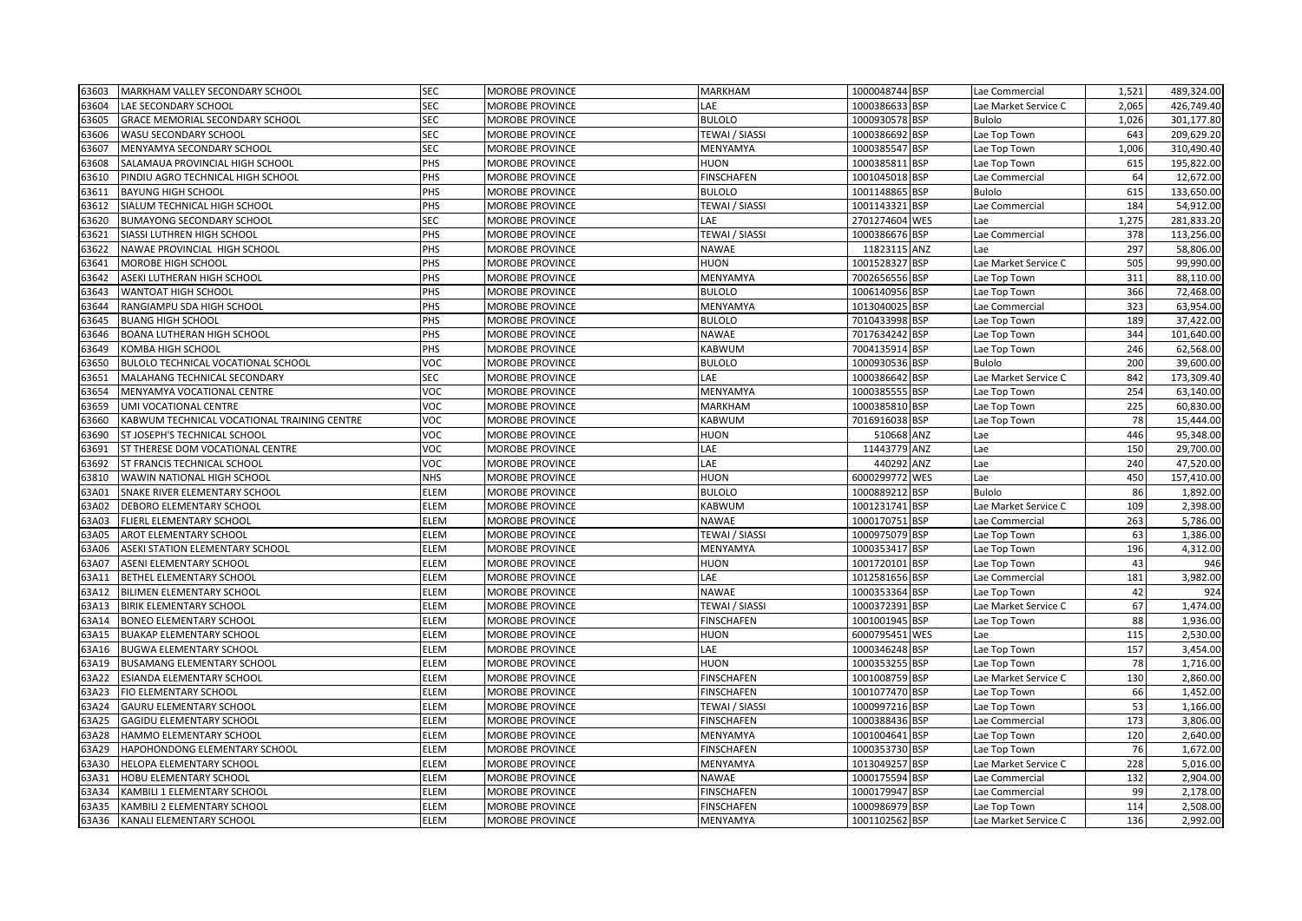| 63603 | MARKHAM VALLEY SECONDARY SCHOOL             | <b>SEC</b> | <b>MOROBE PROVINCE</b> | <b>MARKHAM</b>    | 1000048744 BSP | Lae Commercial       | 1,521 | 489,324.00 |
|-------|---------------------------------------------|------------|------------------------|-------------------|----------------|----------------------|-------|------------|
| 63604 | LAE SECONDARY SCHOOL                        | SEC        | <b>MOROBE PROVINCE</b> | LAE               | 1000386633 BSP | Lae Market Service C | 2,065 | 426,749.40 |
| 63605 | GRACE MEMORIAL SECONDARY SCHOOL             | SEC        | <b>MOROBE PROVINCE</b> | <b>BULOLO</b>     | 1000930578 BSP | <b>Bulolo</b>        | 1,026 | 301,177.80 |
| 53606 | WASU SECONDARY SCHOOL                       | SEC        | MOROBE PROVINCE        | TEWAI / SIASSI    | 1000386692 BSP | Lae Top Town         | 643   | 209,629.20 |
| 63607 | MENYAMYA SECONDARY SCHOOL                   | SEC        | <b>MOROBE PROVINCE</b> | MENYAMYA          | 1000385547 BSP | Lae Top Town         | 1,006 | 310,490.40 |
| 53608 | SALAMAUA PROVINCIAL HIGH SCHOOL             | PHS        | <b>MOROBE PROVINCE</b> | HUON              | 1000385811 BSP | Lae Top Town         | 615   | 195,822.00 |
| 53610 | PINDIU AGRO TECHNICAL HIGH SCHOOL           | PHS        | <b>MOROBE PROVINCE</b> | <b>FINSCHAFEN</b> | 1001045018 BSP | Lae Commercial       | 64    | 12,672.00  |
| 63611 | <b>BAYUNG HIGH SCHOOL</b>                   | PHS        | <b>MOROBE PROVINCE</b> | <b>BULOLO</b>     | 1001148865 BSP | <b>Bulolo</b>        | 615   | 133,650.00 |
| 63612 | SIALUM TECHNICAL HIGH SCHOOL                | PHS        | <b>MOROBE PROVINCE</b> | TEWAI / SIASSI    | 1001143321 BSP | Lae Commercial       | 184   | 54,912.00  |
| 53620 | <b>BUMAYONG SECONDARY SCHOOL</b>            | SEC        | MOROBE PROVINCE        | LAE               | 2701274604 WES | Lae                  | 1,275 | 281,833.20 |
| 53621 | SIASSI LUTHREN HIGH SCHOOL                  | PHS        | <b>MOROBE PROVINCE</b> | TEWAI / SIASSI    | 1000386676 BSP | Lae Commercial       | 378   | 113,256.00 |
| 53622 | NAWAE PROVINCIAL HIGH SCHOOL                | PHS        | <b>MOROBE PROVINCE</b> | <b>NAWAE</b>      | 11823115 ANZ   | Lae                  | 297   | 58,806.00  |
| 53641 | MOROBE HIGH SCHOOL                          | PHS        | <b>MOROBE PROVINCE</b> | <b>HUON</b>       | 1001528327 BSP | Lae Market Service C | 505   | 99,990.00  |
| 53642 | ASEKI LUTHERAN HIGH SCHOOL                  | PHS        | MOROBE PROVINCE        | MENYAMYA          | 7002656556 BSP | Lae Top Town         | 311   | 88,110.00  |
| 53643 | WANTOAT HIGH SCHOOL                         | PHS        | <b>MOROBE PROVINCE</b> | <b>BULOLO</b>     | 1006140956 BSP | Lae Top Town         | 366   | 72,468.00  |
| 63644 | RANGIAMPU SDA HIGH SCHOOL                   | PHS        | <b>MOROBE PROVINCE</b> | MENYAMYA          | 1013040025 BSP | Lae Commercial       | 323   | 63,954.00  |
| 63645 | <b>BUANG HIGH SCHOOL</b>                    | PHS        | <b>MOROBE PROVINCE</b> | <b>BULOLO</b>     | 7010433998 BSP | Lae Top Town         | 189   | 37,422.00  |
| 63646 | BOANA LUTHERAN HIGH SCHOOL                  | PHS        | <b>MOROBE PROVINCE</b> | <b>NAWAE</b>      | 7017634242 BSP | Lae Top Town         | 344   | 101,640.00 |
| 53649 | KOMBA HIGH SCHOOL                           | PHS        | <b>MOROBE PROVINCE</b> | <b>KABWUM</b>     | 7004135914 BSP | Lae Top Town         | 246   | 62,568.00  |
| 63650 | BULOLO TECHNICAL VOCATIONAL SCHOOL          | VOC        | <b>MOROBE PROVINCE</b> | <b>BULOLO</b>     | 1000930536 BSP | Bulolo               | 200   | 39,600.00  |
| 63651 | MALAHANG TECHNICAL SECONDARY                | <b>SEC</b> | <b>MOROBE PROVINCE</b> | LAE               | 1000386642 BSP | Lae Market Service C | 842   | 173,309.40 |
| 53654 | MENYAMYA VOCATIONAL CENTRE                  | VOC        | <b>MOROBE PROVINCE</b> | MENYAMYA          | 1000385555 BSP | Lae Top Town         | 254   | 63,140.00  |
| 63659 | UMI VOCATIONAL CENTRE                       | VOC        | <b>MOROBE PROVINCE</b> | MARKHAM           | 1000385810 BSP | Lae Top Town         | 225   | 60,830.00  |
| 63660 | KABWUM TECHNICAL VOCATIONAL TRAINING CENTRE | VOC        | <b>MOROBE PROVINCE</b> | <b>KABWUM</b>     | 7016916038 BSP | Lae Top Town         | 78    | 15,444.00  |
| 63690 | ST JOSEPH'S TECHNICAL SCHOOL                | VOC        | <b>MOROBE PROVINCE</b> | <b>HUON</b>       | 510668 ANZ     | Lae                  | 446   | 95,348.00  |
| 53691 | ST THERESE DOM VOCATIONAL CENTRE            | VOC        | MOROBE PROVINCE        | LAE               | 11443779 ANZ   | Lae                  | 150   | 29,700.00  |
| 53692 | ST FRANCIS TECHNICAL SCHOOL                 | VOC        | <b>MOROBE PROVINCE</b> | LAE               | 440292 ANZ     | Lae                  | 240   | 47,520.00  |
| 63810 | WAWIN NATIONAL HIGH SCHOOL                  | <b>NHS</b> | MOROBE PROVINCE        | <b>HUON</b>       | 6000299772 WES | Lae                  | 450   | 157,410.00 |
| 63A01 | SNAKE RIVER ELEMENTARY SCHOOL               | ELEM       | <b>MOROBE PROVINCE</b> | <b>BULOLO</b>     | 1000889212 BSP | Bulolo               | 86    | 1,892.00   |
| 53A02 | DEBORO ELEMENTARY SCHOOL                    | ELEM       | <b>MOROBE PROVINCE</b> | KABWUM            | 1001231741 BSP | Lae Market Service C | 109   | 2,398.00   |
| 63A03 | FLIERL ELEMENTARY SCHOOL                    | ELEM       | <b>MOROBE PROVINCE</b> | <b>NAWAE</b>      | 1000170751 BSP | Lae Commercial       | 263   | 5,786.00   |
| 63A05 | AROT ELEMENTARY SCHOOL                      | ELEM       | <b>MOROBE PROVINCE</b> | TEWAI / SIASSI    | 1000975079 BSP | Lae Top Town         | 63    | 1,386.00   |
| 63A06 | ASEKI STATION ELEMENTARY SCHOOL             | ELEM       | <b>MOROBE PROVINCE</b> | MENYAMYA          | 1000353417 BSP | Lae Top Town         | 196   | 4,312.00   |
| 63A07 | ASENI ELEMENTARY SCHOOL                     | ELEM       | MOROBE PROVINCE        | <b>HUON</b>       | 1001720101 BSP | Lae Top Town         | 43    | 946        |
| 63A11 | BETHEL ELEMENTARY SCHOOL                    | ELEM       | MOROBE PROVINCE        | LAE               | 1012581656 BSP | Lae Commercial       | 181   | 3,982.00   |
| 53A12 | BILIMEN ELEMENTARY SCHOOL                   | ELEM       | MOROBE PROVINCE        | <b>NAWAE</b>      | 1000353364 BSP | Lae Top Town         | 42    | 924        |
| 63A13 | <b>BIRIK ELEMENTARY SCHOOL</b>              | ELEM       | <b>MOROBE PROVINCE</b> | TEWAI / SIASSI    | 1000372391 BSP | Lae Market Service C | 67    | 1,474.00   |
| 53A14 | <b>BONEO ELEMENTARY SCHOOL</b>              | ELEM       | <b>MOROBE PROVINCE</b> | <b>FINSCHAFEN</b> | 1001001945 BSP | Lae Top Town         | 88    | 1,936.00   |
| 63A15 | <b>BUAKAP ELEMENTARY SCHOOL</b>             | ELEM       | <b>MOROBE PROVINCE</b> | <b>HUON</b>       | 6000795451 WES | Lae                  | 115   | 2,530.00   |
| 63A16 | <b>BUGWA ELEMENTARY SCHOOL</b>              | ELEM       | <b>MOROBE PROVINCE</b> | LAE               | 1000346248 BSP | Lae Top Town         | 157   | 3,454.00   |
| 63A19 | <b>BUSAMANG ELEMENTARY SCHOOL</b>           | ELEM       | <b>MOROBE PROVINCE</b> | <b>HUON</b>       | 1000353255 BSP | Lae Top Town         | 78    | 1,716.00   |
| 63A22 | ESIANDA ELEMENTARY SCHOOL                   | ELEM       | MOROBE PROVINCE        | <b>FINSCHAFEN</b> | 1001008759 BSP | Lae Market Service C | 130   | 2,860.00   |
| 63A23 | FIO ELEMENTARY SCHOOL                       | ELEM       | MOROBE PROVINCE        | <b>FINSCHAFEN</b> | 1001077470 BSP | Lae Top Town         | 66    | 1,452.00   |
| 63A24 | <b>GAURU ELEMENTARY SCHOOL</b>              | ELEM       | <b>MOROBE PROVINCE</b> | TEWAI / SIASSI    | 1000997216 BSP | Lae Top Town         | 53    | 1,166.00   |
| 63A25 | <b>GAGIDU ELEMENTARY SCHOOL</b>             | ELEM       | <b>MOROBE PROVINCE</b> | <b>FINSCHAFEN</b> | 1000388436 BSP | Lae Commercial       | 173   | 3,806.00   |
| 53A28 | HAMMO ELEMENTARY SCHOOL                     | ELEM       | MOROBE PROVINCE        | MENYAMYA          | 1001004641 BSP | Lae Top Town         | 120   | 2,640.00   |
| 63A29 | HAPOHONDONG ELEMENTARY SCHOOL               | ELEM       | <b>MOROBE PROVINCE</b> | <b>FINSCHAFEN</b> | 1000353730 BSP | Lae Top Town         | 76    | 1,672.00   |
| 63A30 | HELOPA ELEMENTARY SCHOOL                    | ELEM       | <b>MOROBE PROVINCE</b> | MENYAMYA          | 1013049257 BSP | Lae Market Service C | 228   | 5,016.00   |
| 63A31 | HOBU ELEMENTARY SCHOOL                      | ELEM       | MOROBE PROVINCE        | <b>NAWAE</b>      | 1000175594 BSP | Lae Commercial       | 132   | 2,904.00   |
| 63A34 | KAMBILI 1 ELEMENTARY SCHOOL                 | ELEM       | <b>MOROBE PROVINCE</b> | <b>FINSCHAFEN</b> | 1000179947 BSP | Lae Commercial       | 99    | 2,178.00   |
| 63A35 | KAMBILI 2 ELEMENTARY SCHOOL                 | ELEM       | MOROBE PROVINCE        | <b>FINSCHAFEN</b> | 1000986979 BSP | Lae Top Town         | 114   | 2,508.00   |
| 63A36 | KANALI ELEMENTARY SCHOOL                    | ELEM       | <b>MOROBE PROVINCE</b> | MENYAMYA          | 1001102562 BSP | Lae Market Service C | 136   | 2,992.00   |
|       |                                             |            |                        |                   |                |                      |       |            |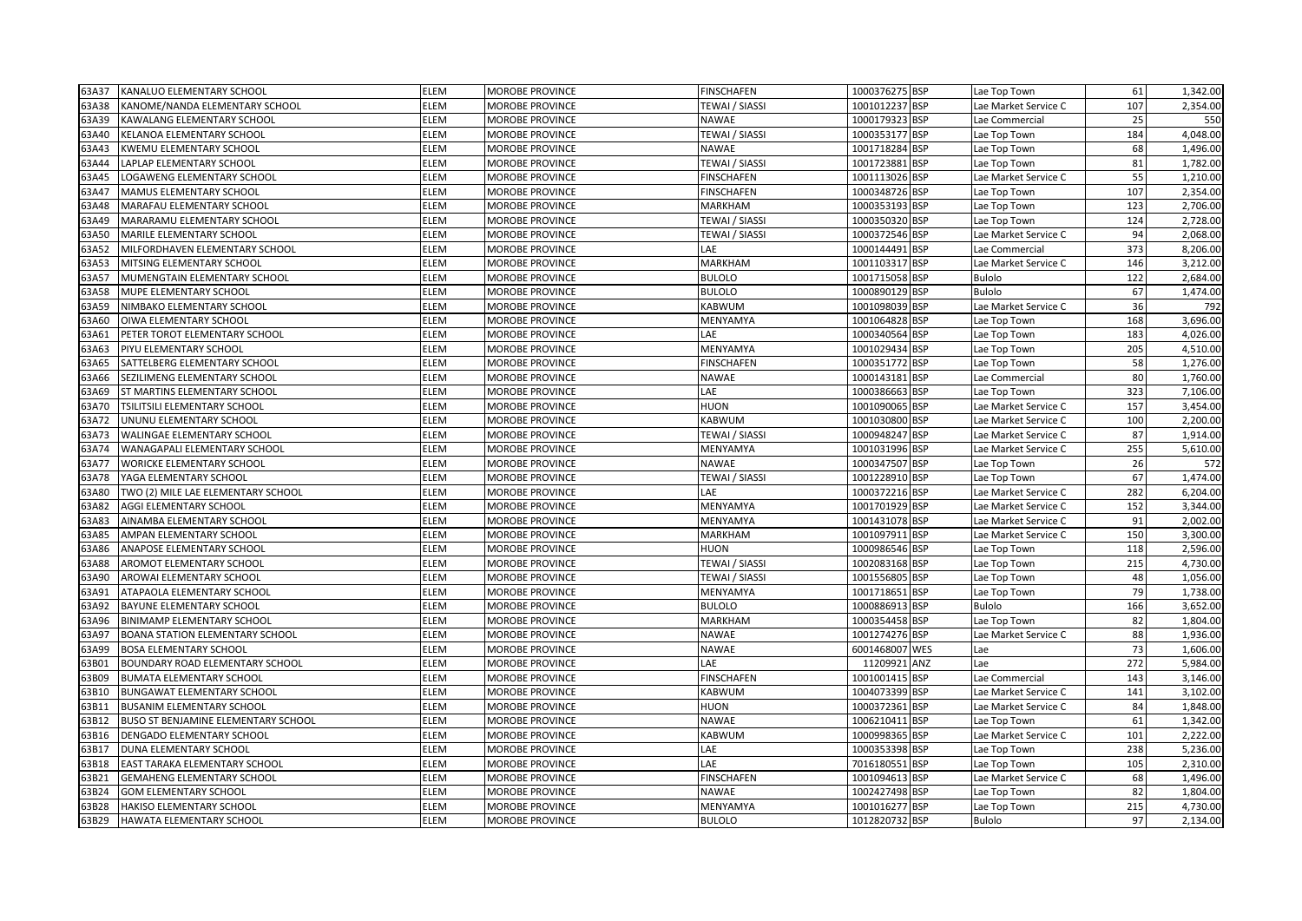| 63A37 | KANALUO ELEMENTARY SCHOOL              | <b>ELEM</b> | <b>MOROBE PROVINCE</b> | <b>FINSCHAFEN</b>     | 1000376275 BSP | Lae Top Town         | 61  | 1,342.00 |
|-------|----------------------------------------|-------------|------------------------|-----------------------|----------------|----------------------|-----|----------|
| 63A38 | KANOME/NANDA ELEMENTARY SCHOOL         | ELEM        | MOROBE PROVINCE        | <b>TEWAI / SIASSI</b> | 1001012237 BSP | Lae Market Service C | 107 | 2,354.00 |
| 63A39 | <b>KAWALANG ELEMENTARY SCHOOL</b>      | <b>ELEM</b> | MOROBE PROVINCE        | <b>NAWAE</b>          | 1000179323 BSP | Lae Commercial       | 25  | 550      |
| 63A40 | KELANOA ELEMENTARY SCHOOL              | <b>ELEM</b> | MOROBE PROVINCE        | TEWAI / SIASSI        | 1000353177 BSP | Lae Top Town         | 184 | 4,048.00 |
| 63A43 | KWEMU ELEMENTARY SCHOOL                | ELEM        | MOROBE PROVINCE        | <b>NAWAE</b>          | 1001718284 BSP | Lae Top Town         | 68  | 1,496.00 |
| 63A44 | LAPLAP ELEMENTARY SCHOOL               | ELEM        | MOROBE PROVINCE        | TEWAI / SIASSI        | 1001723881 BSP | Lae Top Town         | 81  | 1,782.00 |
| 63A45 | LOGAWENG ELEMENTARY SCHOOL             | ELEM        | MOROBE PROVINCE        | <b>FINSCHAFEN</b>     | 1001113026 BSP | Lae Market Service C | 55  | 1,210.00 |
| 63A47 | MAMUS ELEMENTARY SCHOOL                | <b>ELEM</b> | MOROBE PROVINCE        | <b>FINSCHAFEN</b>     | 1000348726 BSP | Lae Top Town         | 107 | 2,354.00 |
| 63A48 | MARAFAU ELEMENTARY SCHOOL              | <b>ELEM</b> | <b>MOROBE PROVINCE</b> | <b>MARKHAM</b>        | 1000353193 BSP | Lae Top Town         | 123 | 2,706.00 |
| 63A49 | MARARAMU ELEMENTARY SCHOOL             | <b>ELEM</b> | MOROBE PROVINCE        | TEWAI / SIASSI        | 1000350320 BSP | Lae Top Town         | 124 | 2,728.00 |
| 63A50 | MARILE ELEMENTARY SCHOOL               | ELEM        | MOROBE PROVINCE        | TEWAI / SIASSI        | 1000372546 BSP | Lae Market Service C | 94  | 2,068.00 |
| 53A52 | MILFORDHAVEN ELEMENTARY SCHOOL         | ELEM        | MOROBE PROVINCE        | LAE                   | 1000144491 BSP | Lae Commercial       | 373 | 8,206.00 |
| 63A53 | MITSING ELEMENTARY SCHOOL              | ELEM        | MOROBE PROVINCE        | MARKHAM               | 1001103317 BSP | Lae Market Service C | 146 | 3,212.00 |
| 63A57 | MUMENGTAIN ELEMENTARY SCHOOL           | ELEM        | MOROBE PROVINCE        | <b>BULOLO</b>         | 1001715058 BSP | <b>Bulolo</b>        | 122 | 2,684.00 |
| 63A58 | MUPE ELEMENTARY SCHOOL                 | ELEM        | MOROBE PROVINCE        | <b>BULOLO</b>         | 1000890129 BSP | <b>Bulolo</b>        | 67  | 1,474.00 |
| 63A59 | NIMBAKO ELEMENTARY SCHOOL              | <b>ELEM</b> | MOROBE PROVINCE        | KABWUM                | 1001098039 BSP | Lae Market Service C | 36  | 792      |
| 63A60 | OIWA ELEMENTARY SCHOOL                 | ELEM        | MOROBE PROVINCE        | MENYAMYA              | 1001064828 BSP | Lae Top Town         | 168 | 3,696.00 |
| 63A61 | PETER TOROT ELEMENTARY SCHOOL          | ELEM        | <b>MOROBE PROVINCE</b> | LAE                   | 1000340564 BSP | Lae Top Town         | 183 | 4,026.00 |
| 63A63 | PIYU ELEMENTARY SCHOOL                 | ELEM        | MOROBE PROVINCE        | MENYAMYA              | 1001029434 BSP | Lae Top Town         | 205 | 4,510.00 |
| 63A65 | SATTELBERG ELEMENTARY SCHOOL           | ELEM        | MOROBE PROVINCE        | <b>FINSCHAFEN</b>     | 1000351772 BSP | Lae Top Town         | 58  | 1,276.00 |
| 63A66 | SEZILIMENG ELEMENTARY SCHOOL           | ELEM        | MOROBE PROVINCE        | <b>NAWAE</b>          | 1000143181 BSP | Lae Commercial       | 80  | 1,760.00 |
| 63A69 | ST MARTINS ELEMENTARY SCHOOL           | ELEM        | MOROBE PROVINCE        | LAE                   | 1000386663 BSP | Lae Top Town         | 323 | 7,106.00 |
| 63A70 | <b>TSILITSILI ELEMENTARY SCHOOL</b>    | <b>ELEM</b> | <b>MOROBE PROVINCE</b> | <b>HUON</b>           | 1001090065 BSP | Lae Market Service C | 157 | 3,454.00 |
| 63A72 | UNUNU ELEMENTARY SCHOOL                | <b>ELEM</b> | <b>MOROBE PROVINCE</b> | <b>KABWUM</b>         | 1001030800 BSP | Lae Market Service C | 100 | 2,200.00 |
| 63A73 | <b>WALINGAE ELEMENTARY SCHOOL</b>      | <b>ELEM</b> | MOROBE PROVINCE        | TEWAI / SIASSI        | 1000948247 BSP | Lae Market Service C | 87  | 1,914.00 |
| 63A74 | WANAGAPALI ELEMENTARY SCHOOL           | ELEM        | <b>MOROBE PROVINCE</b> | MENYAMYA              | 1001031996 BSP | Lae Market Service C | 255 | 5,610.00 |
| 63A77 | <b>WORICKE ELEMENTARY SCHOOL</b>       | ELEM        | MOROBE PROVINCE        | <b>NAWAE</b>          | 1000347507 BSP | Lae Top Town         | 26  | 572      |
| 63A78 | YAGA ELEMENTARY SCHOOL                 | <b>ELEM</b> | MOROBE PROVINCE        | <b>TEWAI / SIASSI</b> | 1001228910 BSP | Lae Top Town         | 67  | 1,474.00 |
| 53A80 | TWO (2) MILE LAE ELEMENTARY SCHOOL     | ELEM        | MOROBE PROVINCE        | LAE                   | 1000372216 BSP | Lae Market Service C | 282 | 6,204.00 |
| 53A82 | AGGI ELEMENTARY SCHOOL                 | ELEM        | MOROBE PROVINCE        | MENYAMYA              | 1001701929 BSP | Lae Market Service C | 152 | 3,344.00 |
| 53A83 | AINAMBA ELEMENTARY SCHOOL              | ELEM        | MOROBE PROVINCE        | MENYAMYA              | 1001431078 BSP | Lae Market Service C | 91  | 2,002.00 |
| 63A85 | AMPAN ELEMENTARY SCHOOL                | <b>ELEM</b> | <b>MOROBE PROVINCE</b> | <b>MARKHAM</b>        | 1001097911 BSP | Lae Market Service C | 150 | 3,300.00 |
| 63A86 | ANAPOSE ELEMENTARY SCHOOL              | <b>ELEM</b> | <b>MOROBE PROVINCE</b> | <b>HUON</b>           | 1000986546 BSP | Lae Top Town         | 118 | 2,596.00 |
| 63A88 | <b>AROMOT ELEMENTARY SCHOOL</b>        | <b>ELEM</b> | <b>MOROBE PROVINCE</b> | TEWAI / SIASSI        | 1002083168 BSP | Lae Top Town         | 215 | 4,730.00 |
| 63A90 | AROWAI ELEMENTARY SCHOOL               | ELEM        | MOROBE PROVINCE        | TEWAI / SIASSI        | 1001556805 BSP | Lae Top Town         | 48  | 1,056.00 |
| 53A91 | ATAPAOLA ELEMENTARY SCHOOL             | ELEM        | <b>MOROBE PROVINCE</b> | MENYAMYA              | 1001718651 BSP | Lae Top Town         | 79  | 1,738.00 |
| 53A92 | <b>BAYUNE ELEMENTARY SCHOOL</b>        | ELEM        | MOROBE PROVINCE        | <b>BULOLO</b>         | 1000886913 BSP | <b>Bulolo</b>        | 166 | 3,652.00 |
| 63A96 | <b>BINIMAMP ELEMENTARY SCHOOL</b>      | ELEM        | MOROBE PROVINCE        | <b>MARKHAM</b>        | 1000354458 BSP | Lae Top Town         | 82  | 1,804.00 |
| 53A97 | <b>BOANA STATION ELEMENTARY SCHOOL</b> | ELEM        | MOROBE PROVINCE        | <b>NAWAE</b>          | 1001274276 BSP | Lae Market Service C | 88  | 1,936.00 |
| 63A99 | <b>BOSA ELEMENTARY SCHOOL</b>          | ELEM        | <b>MOROBE PROVINCE</b> | <b>NAWAE</b>          | 6001468007 WES | Lae                  | 73  | 1,606.00 |
| 63B01 | BOUNDARY ROAD ELEMENTARY SCHOOL        | ELEM        | MOROBE PROVINCE        | LAE                   | 11209921 ANZ   | Lae                  | 272 | 5,984.00 |
| 63B09 | <b>BUMATA ELEMENTARY SCHOOL</b>        | ELEM        | <b>MOROBE PROVINCE</b> | <b>FINSCHAFEN</b>     | 1001001415 BSP | Lae Commercial       | 143 | 3,146.00 |
| 63B10 | BUNGAWAT ELEMENTARY SCHOOL             | ELEM        | <b>MOROBE PROVINCE</b> | <b>KABWUM</b>         | 1004073399 BSP | Lae Market Service C | 141 | 3,102.00 |
| 53B11 | <b>BUSANIM ELEMENTARY SCHOOL</b>       | <b>ELEM</b> | MOROBE PROVINCE        | <b>HUON</b>           | 1000372361 BSP | Lae Market Service C | 84  | 1,848.00 |
| 63B12 | BUSO ST BENJAMINE ELEMENTARY SCHOOL    | ELEM        | MOROBE PROVINCE        | <b>NAWAE</b>          | 1006210411 BSP | Lae Top Town         | 61  | 1,342.00 |
| 63B16 | DENGADO ELEMENTARY SCHOOL              | ELEM        | MOROBE PROVINCE        | KABWUM                | 1000998365 BSP | Lae Market Service C | 101 | 2,222.00 |
| 53B17 | DUNA ELEMENTARY SCHOOL                 | ELEM        | MOROBE PROVINCE        | LAE                   | 1000353398 BSP | Lae Top Town         | 238 | 5,236.00 |
| 63B18 | EAST TARAKA ELEMENTARY SCHOOL          | <b>ELEM</b> | <b>MOROBE PROVINCE</b> | LAE                   | 7016180551 BSP | Lae Top Town         | 105 | 2,310.00 |
| 63B21 | <b>GEMAHENG ELEMENTARY SCHOOL</b>      | <b>ELEM</b> | MOROBE PROVINCE        | <b>FINSCHAFEN</b>     | 1001094613 BSP | Lae Market Service C | 68  | 1,496.00 |
| 63B24 | <b>GOM ELEMENTARY SCHOOL</b>           | ELEM        | MOROBE PROVINCE        | <b>NAWAE</b>          | 1002427498 BSP | Lae Top Town         | 82  | 1,804.00 |
| 63B28 | <b>HAKISO ELEMENTARY SCHOOL</b>        | ELEM        | <b>MOROBE PROVINCE</b> | MENYAMYA              | 1001016277 BSP | Lae Top Town         | 215 | 4,730.00 |
| 63B29 | <b>HAWATA ELEMENTARY SCHOOL</b>        | <b>ELEM</b> | <b>MOROBE PROVINCE</b> | <b>BULOLO</b>         | 1012820732 BSP | <b>Bulolo</b>        | 97  | 2,134.00 |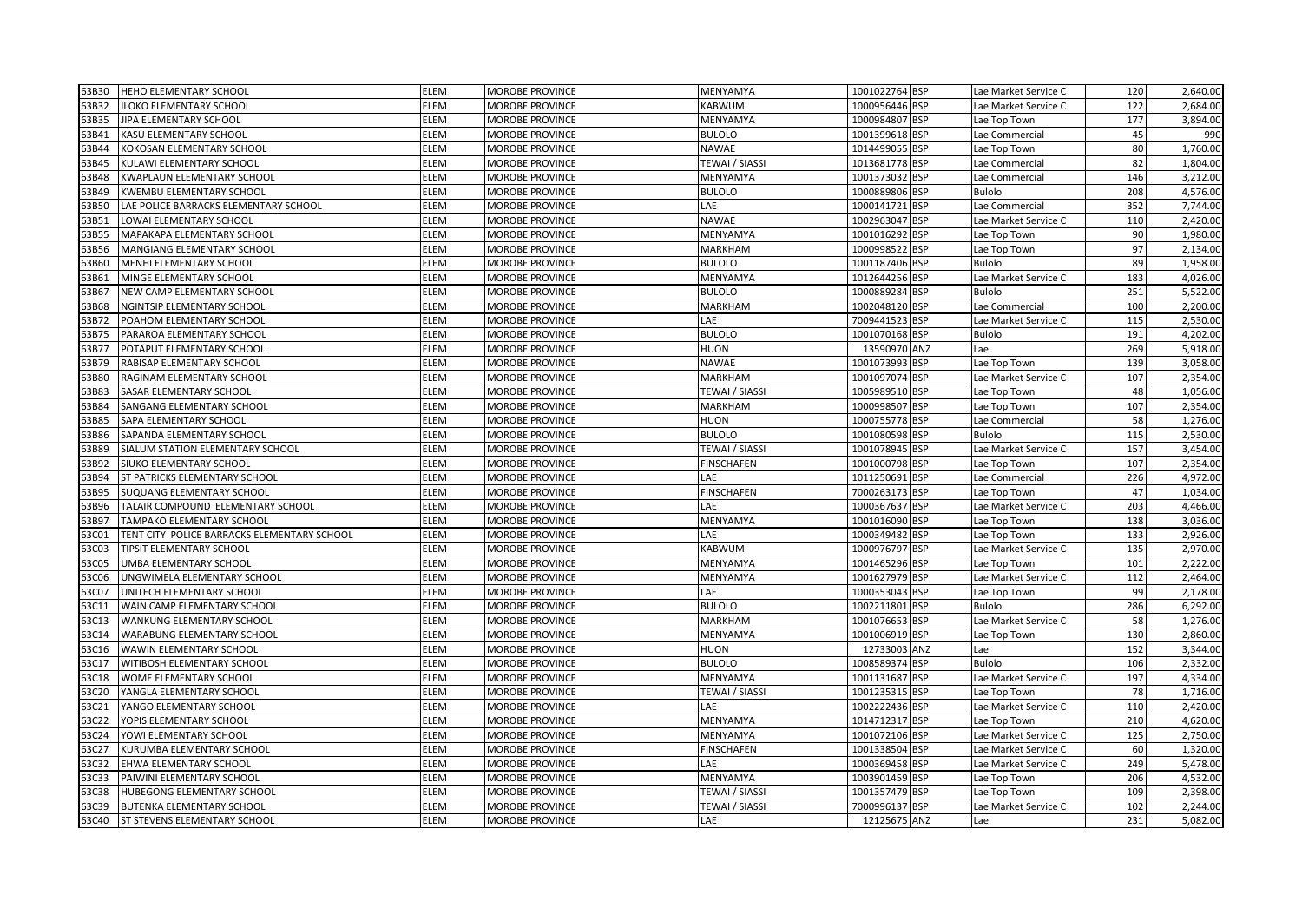| 63B30          | <b>HEHO ELEMENTARY SCHOOL</b>                           | ELEM         | <b>MOROBE PROVINCE</b>                           | MENYAMYA                         | 1001022764 BSP                   | Lae Market Service C                         | 120       | 2,640.00             |
|----------------|---------------------------------------------------------|--------------|--------------------------------------------------|----------------------------------|----------------------------------|----------------------------------------------|-----------|----------------------|
| 63B32          | ILOKO ELEMENTARY SCHOOL                                 | ELEM         | <b>MOROBE PROVINCE</b>                           | KABWUM                           | 1000956446 BSP                   | Lae Market Service C                         | 122       | 2,684.00             |
| 63B35          | JIPA ELEMENTARY SCHOOL                                  | ELEM         | <b>MOROBE PROVINCE</b>                           | MENYAMYA                         | 1000984807 BSP                   | Lae Top Town                                 | 177       | 3,894.00             |
| 53B41          | KASU ELEMENTARY SCHOOL                                  | ELEM         | MOROBE PROVINCE                                  | <b>BULOLO</b>                    | 1001399618 BSP                   | Lae Commercial                               | 45        | 990                  |
| 63B44          | KOKOSAN ELEMENTARY SCHOOL                               | ELEM         | MOROBE PROVINCE                                  | NAWAE                            | 1014499055 BSP                   | Lae Top Town                                 | 80        | 1,760.00             |
| 63B45          | KULAWI ELEMENTARY SCHOOL                                | ELEM         | <b>MOROBE PROVINCE</b>                           | TEWAI / SIASSI                   | 1013681778 BSP                   | Lae Commercial                               | 82        | 1,804.00             |
| 53B48          | KWAPLAUN ELEMENTARY SCHOOL                              | ELEM         | <b>MOROBE PROVINCE</b>                           | MENYAMYA                         | 1001373032 BSP                   | Lae Commercial                               | 146       | 3,212.00             |
| 53B49          | KWEMBU ELEMENTARY SCHOOL                                | ELEM         | <b>MOROBE PROVINCE</b>                           | <b>BULOLO</b>                    | 1000889806 BSP                   | Bulolo                                       | 208       | 4,576.00             |
| 63B50          | LAE POLICE BARRACKS ELEMENTARY SCHOOL                   | ELEM         | <b>MOROBE PROVINCE</b>                           | LAE                              | 1000141721 BSP                   | Lae Commercial                               | 352       | 7,744.00             |
| 63B51          | LOWAI ELEMENTARY SCHOOL                                 | ELEM         | MOROBE PROVINCE                                  | <b>NAWAE</b>                     | 1002963047 BSP                   | Lae Market Service C                         | 110       | 2,420.00             |
| 63B55          | MAPAKAPA ELEMENTARY SCHOOL                              | ELEM         | <b>MOROBE PROVINCE</b>                           | MENYAMYA                         | 1001016292 BSP                   | Lae Top Town                                 | 90        | 1,980.00             |
| 53B56          | MANGIANG ELEMENTARY SCHOOL                              | ELEM         | <b>MOROBE PROVINCE</b>                           | MARKHAM                          | 1000998522 BSP                   | Lae Top Town                                 | 97        | 2,134.00             |
| 53B60          | MENHI ELEMENTARY SCHOOL                                 | ELEM         | <b>MOROBE PROVINCE</b>                           | <b>BULOLO</b>                    | 1001187406 BSP                   | Bulolo                                       | 89        | 1,958.00             |
| 53B61          | MINGE ELEMENTARY SCHOOL                                 | ELEM         | MOROBE PROVINCE                                  | MENYAMYA                         | 1012644256 BSP                   | Lae Market Service C                         | 183       | 4,026.00             |
| 53B67          | NEW CAMP ELEMENTARY SCHOOL                              | ELEM         | <b>MOROBE PROVINCE</b>                           | <b>BULOLO</b>                    | 1000889284 BSP                   | Bulolo                                       | 251       | 5,522.00             |
| 63B68          | NGINTSIP ELEMENTARY SCHOOL                              | ELEM         | <b>MOROBE PROVINCE</b>                           | <b>MARKHAM</b>                   | 1002048120 BSP                   | Lae Commercial                               | 100       | 2,200.00             |
| 63B72          | POAHOM ELEMENTARY SCHOOL                                | ELEM         | <b>MOROBE PROVINCE</b>                           | LAE                              | 7009441523 BSP                   | Lae Market Service C                         | 115       | 2,530.00             |
| 63B75          | PARAROA ELEMENTARY SCHOOL                               | ELEM         | <b>MOROBE PROVINCE</b>                           | <b>BULOLO</b>                    | 1001070168 BSP                   | <b>Bulolo</b>                                | 191       | 4,202.00             |
| 53B77          | POTAPUT ELEMENTARY SCHOOL                               | ELEM         | MOROBE PROVINCE                                  | <b>HUON</b>                      | 13590970 ANZ                     | Lae                                          | 269       | 5,918.00             |
| 53B79          | RABISAP ELEMENTARY SCHOOL                               | ELEM         | MOROBE PROVINCE                                  | <b>NAWAE</b>                     | 1001073993 BSP                   | Lae Top Town                                 | 139       | 3,058.00             |
| 63B80          | RAGINAM ELEMENTARY SCHOOL                               | ELEM         | <b>MOROBE PROVINCE</b>                           | MARKHAM                          | 1001097074 BSP                   | Lae Market Service C                         | 107       | 2,354.00             |
| 53B83          | SASAR ELEMENTARY SCHOOL                                 | ELEM         | <b>MOROBE PROVINCE</b>                           | TEWAI / SIASSI                   | 1005989510 BSP                   | Lae Top Town                                 | 48        | 1,056.00             |
| 53B84          | SANGANG ELEMENTARY SCHOOL                               | ELEM         | <b>MOROBE PROVINCE</b>                           | <b>MARKHAM</b>                   | 1000998507 BSP                   | Lae Top Town                                 | 107       | 2,354.00             |
| 63B85          | SAPA ELEMENTARY SCHOOL                                  | ELEM         | <b>MOROBE PROVINCE</b>                           | <b>HUON</b>                      | 1000755778 BSP                   | Lae Commercial                               | 58        | 1,276.00             |
| 63B86          | SAPANDA ELEMENTARY SCHOOL                               | ELEM         | <b>MOROBE PROVINCE</b>                           | <b>BULOLO</b>                    | 1001080598 BSP                   | Bulolo                                       | 115       | 2,530.00             |
| 53B89          | SIALUM STATION ELEMENTARY SCHOOL                        | ELEM         | MOROBE PROVINCE                                  | TEWAI / SIASSI                   | 1001078945 BSP                   | Lae Market Service C                         | 157       | 3,454.00             |
| 53B92          | SIUKO ELEMENTARY SCHOOL                                 | ELEM         | <b>MOROBE PROVINCE</b>                           | <b>FINSCHAFEN</b>                | 1001000798 BSP                   | Lae Top Town                                 | 107       | 2,354.00             |
| 63B94          | ST PATRICKS ELEMENTARY SCHOOL                           | ELEM         | MOROBE PROVINCE                                  | LAE                              | 1011250691 BSP                   | Lae Commercial                               | 226       | 4,972.00             |
| 63B95          | SUQUANG ELEMENTARY SCHOOL                               | ELEM         | <b>MOROBE PROVINCE</b>                           | <b>FINSCHAFEN</b>                | 7000263173 BSP                   | Lae Top Town                                 | 47        | 1,034.00             |
| 53B96          | TALAIR COMPOUND ELEMENTARY SCHOOL                       | ELEM         | <b>MOROBE PROVINCE</b>                           | LAE                              | 1000367637 BSP                   | Lae Market Service C                         | 203       | 4,466.00             |
| 53B97          | TAMPAKO ELEMENTARY SCHOOL                               | ELEM         | <b>MOROBE PROVINCE</b>                           | MENYAMYA                         | 1001016090 BSP                   | Lae Top Town                                 | 138       | 3,036.00             |
| 63C01          | TENT CITY POLICE BARRACKS ELEMENTARY SCHOOL             | ELEM         | <b>MOROBE PROVINCE</b>                           | LAE                              | 1000349482 BSP                   | Lae Top Town                                 | 133       | 2,926.00             |
| 63C03          | TIPSIT ELEMENTARY SCHOOL                                | ELEM         | <b>MOROBE PROVINCE</b>                           | <b>KABWUM</b>                    | 1000976797 BSP                   | Lae Market Service C                         | 135       | 2,970.00             |
| 63C05          | UMBA ELEMENTARY SCHOOL                                  | ELEM         | MOROBE PROVINCE                                  | MENYAMYA                         | 1001465296 BSP                   | Lae Top Town                                 | 101       | 2,222.00             |
| 53C06          | UNGWIMELA ELEMENTARY SCHOOL                             | ELEM         | MOROBE PROVINCE                                  | MENYAMYA                         | 1001627979 BSP                   | Lae Market Service C                         | 112       | 2,464.00             |
| 53C07          | UNITECH ELEMENTARY SCHOOL                               | ELEM         | MOROBE PROVINCE                                  | LAE                              | 1000353043 BSP                   | Lae Top Town                                 | 99        | 2,178.00             |
| 63C11          | WAIN CAMP ELEMENTARY SCHOOL                             | ELEM         | <b>MOROBE PROVINCE</b>                           | <b>BULOLO</b>                    | 1002211801 BSP                   | Bulolo                                       | 286       | 6,292.00             |
| 53C13          | WANKUNG ELEMENTARY SCHOOL                               | ELEM         | <b>MOROBE PROVINCE</b>                           | <b>MARKHAM</b>                   | 1001076653 BSP                   | Lae Market Service C                         | 58        | 1,276.00             |
| 53C14          | WARABUNG ELEMENTARY SCHOOL                              | ELEM         | <b>MOROBE PROVINCE</b>                           | MENYAMYA                         | 1001006919 BSP                   | Lae Top Town                                 | 130       | 2,860.00             |
| 63C16          | WAWIN ELEMENTARY SCHOOL                                 | ELEM         | <b>MOROBE PROVINCE</b>                           | <b>HUON</b>                      | 12733003 ANZ                     | Lae                                          | 152       | 3,344.00             |
| 63C17          | WITIBOSH ELEMENTARY SCHOOL                              | ELEM         | MOROBE PROVINCE                                  | <b>BULOLO</b>                    | 1008589374 BSP                   | <b>Bulolo</b>                                | 106       | 2,332.00             |
| 63C18          | WOME ELEMENTARY SCHOOL                                  | ELEM         | MOROBE PROVINCE                                  | MENYAMYA                         | 1001131687 BSP                   | Lae Market Service C                         | 197       | 4,334.00             |
| 53C20          | YANGLA ELEMENTARY SCHOOL                                | ELEM<br>ELEM | MOROBE PROVINCE                                  | TEWAI / SIASSI<br>LAE            | 1001235315 BSP                   | Lae Top Town                                 | 78        | 1,716.00             |
| 53C21          | YANGO ELEMENTARY SCHOOL                                 |              | <b>MOROBE PROVINCE</b>                           |                                  | 1002222436 BSP                   | Lae Market Service C                         | 110       | 2,420.00<br>4,620.00 |
| 53C22          | YOPIS ELEMENTARY SCHOOL                                 | ELEM<br>ELEM | <b>MOROBE PROVINCE</b>                           | MENYAMYA                         | 1014712317 BSP                   | Lae Top Town                                 | 210       |                      |
| 53C24          | YOWI ELEMENTARY SCHOOL                                  |              | MOROBE PROVINCE                                  | MENYAMYA                         | 1001072106 BSP                   | Lae Market Service C                         | 125       | 2,750.00             |
| 63C27<br>63C32 | KURUMBA ELEMENTARY SCHOOL<br>EHWA ELEMENTARY SCHOOL     | ELEM<br>ELEM | MOROBE PROVINCE<br><b>MOROBE PROVINCE</b>        | <b>FINSCHAFEN</b><br>LAE         | 1001338504 BSP<br>1000369458 BSP | Lae Market Service C<br>Lae Market Service C | 60<br>249 | 1,320.00<br>5,478.00 |
| 63C33          | PAIWINI ELEMENTARY SCHOOL                               | ELEM         | MOROBE PROVINCE                                  | MENYAMYA                         | 1003901459 BSP                   |                                              | 206       | 4,532.00             |
|                |                                                         | ELEM         |                                                  |                                  |                                  | Lae Top Town                                 | 109       | 2,398.00             |
| 63C38<br>63C39 | HUBEGONG ELEMENTARY SCHOOL<br>BUTENKA ELEMENTARY SCHOOL | ELEM         | <b>MOROBE PROVINCE</b><br><b>MOROBE PROVINCE</b> | TEWAI / SIASSI<br>TEWAI / SIASSI | 1001357479 BSP<br>7000996137 BSP | Lae Top Town<br>Lae Market Service C         | 102       | 2,244.00             |
| 63C40          | <b>ST STEVENS ELEMENTARY SCHOOL</b>                     | ELEM         | <b>MOROBE PROVINCE</b>                           | LAE                              | 12125675 ANZ                     | Lae                                          | 231       | 5,082.00             |
|                |                                                         |              |                                                  |                                  |                                  |                                              |           |                      |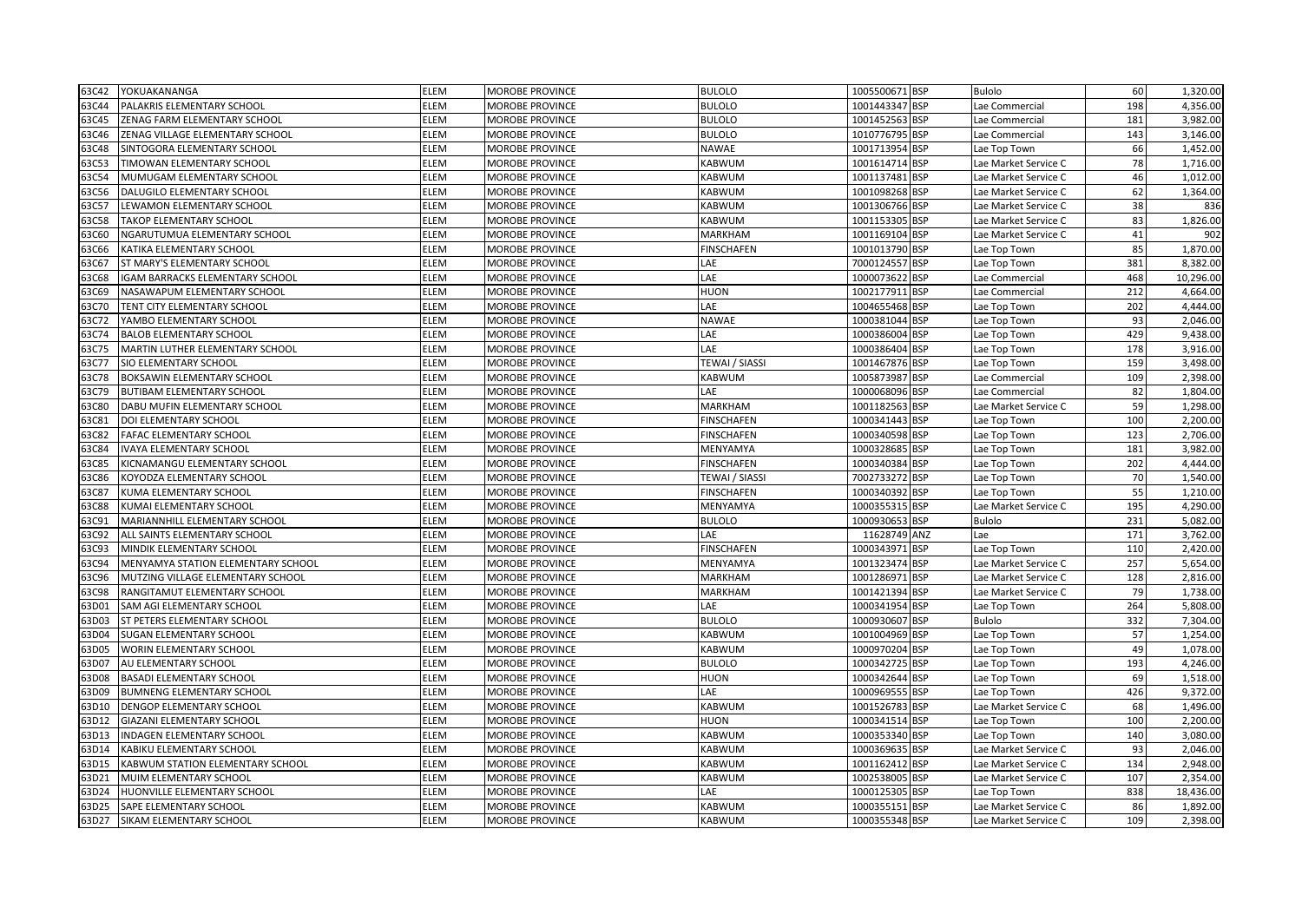| 63C42 | YOKUAKANANGA                       | <b>ELEM</b> | <b>MOROBE PROVINCE</b> | <b>BULOLO</b>         | 1005500671 BSP | <b>Bulolo</b>        | 60  | 1,320.00  |
|-------|------------------------------------|-------------|------------------------|-----------------------|----------------|----------------------|-----|-----------|
| 63C44 | PALAKRIS ELEMENTARY SCHOOL         | <b>ELEM</b> | MOROBE PROVINCE        | <b>BULOLO</b>         | 1001443347 BSP | Lae Commercial       | 198 | 4,356.00  |
| 63C45 | ZENAG FARM ELEMENTARY SCHOOL       | <b>ELEM</b> | <b>MOROBE PROVINCE</b> | <b>BULOLO</b>         | 1001452563 BSP | Lae Commercial       | 181 | 3,982.00  |
| 63C46 | ZENAG VILLAGE ELEMENTARY SCHOOL    | <b>ELEM</b> | <b>MOROBE PROVINCE</b> | <b>BULOLO</b>         | 1010776795 BSP | Lae Commercial       | 143 | 3,146.00  |
| 63C48 | SINTOGORA ELEMENTARY SCHOOL        | <b>ELEM</b> | MOROBE PROVINCE        | <b>NAWAE</b>          | 1001713954 BSP | Lae Top Town         | 66  | 1,452.00  |
| 63C53 | TIMOWAN ELEMENTARY SCHOOL          | ELEM        | MOROBE PROVINCE        | <b>KABWUM</b>         | 1001614714 BSP | Lae Market Service C | 78  | 1,716.00  |
| 63C54 | MUMUGAM ELEMENTARY SCHOOL          | <b>ELEM</b> | <b>MOROBE PROVINCE</b> | KABWUM                | 1001137481 BSP | Lae Market Service C | 46  | 1,012.00  |
| 63C56 | DALUGILO ELEMENTARY SCHOOL         | <b>ELEM</b> | <b>MOROBE PROVINCE</b> | <b>KABWUM</b>         | 1001098268 BSP | Lae Market Service C | 62  | 1,364.00  |
| 63C57 | LEWAMON ELEMENTARY SCHOOL          | <b>ELEM</b> | <b>MOROBE PROVINCE</b> | <b>KABWUM</b>         | 1001306766 BSP | Lae Market Service C | 38  | 836       |
| 63C58 | TAKOP ELEMENTARY SCHOOL            | <b>ELEM</b> | MOROBE PROVINCE        | <b>KABWUM</b>         | 1001153305 BSP | Lae Market Service C | 83  | 1,826.00  |
| 63C60 | NGARUTUMUA ELEMENTARY SCHOOL       | <b>ELEM</b> | MOROBE PROVINCE        | <b>MARKHAM</b>        | 1001169104 BSP | Lae Market Service C | 41  | 902       |
| 63C66 | KATIKA ELEMENTARY SCHOOL           | <b>ELEM</b> | MOROBE PROVINCE        | <b>FINSCHAFEN</b>     | 1001013790 BSP | Lae Top Town         | 85  | 1,870.00  |
| 63C67 | ST MARY'S ELEMENTARY SCHOOL        | <b>ELEM</b> | MOROBE PROVINCE        | LAE                   | 7000124557 BSP | Lae Top Town         | 381 | 8,382.00  |
| 63C68 | IGAM BARRACKS ELEMENTARY SCHOOL    | <b>ELEM</b> | MOROBE PROVINCE        | LAE                   | 1000073622 BSP | Lae Commercial       | 468 | 10,296.00 |
| 63C69 | NASAWAPUM ELEMENTARY SCHOOL        | <b>ELEM</b> | MOROBE PROVINCE        | <b>HUON</b>           | 1002177911 BSP | Lae Commercial       | 212 | 4,664.00  |
| 63C70 | TENT CITY ELEMENTARY SCHOOL        | <b>ELEM</b> | <b>MOROBE PROVINCE</b> | LAE                   | 1004655468 BSP | Lae Top Town         | 202 | 4,444.00  |
| 63C72 | YAMBO ELEMENTARY SCHOOL            | <b>ELEM</b> | MOROBE PROVINCE        | <b>NAWAE</b>          | 1000381044 BSP | Lae Top Town         | 93  | 2,046.00  |
| 63C74 | <b>BALOB ELEMENTARY SCHOOL</b>     | <b>ELEM</b> | <b>MOROBE PROVINCE</b> | LAE                   | 1000386004 BSP | Lae Top Town         | 429 | 9,438.00  |
| 63C75 | MARTIN LUTHER ELEMENTARY SCHOOL    | <b>ELEM</b> | <b>MOROBE PROVINCE</b> | LAE                   | 1000386404 BSP | Lae Top Town         | 178 | 3,916.00  |
| 63C77 | SIO ELEMENTARY SCHOOL              | <b>ELEM</b> | MOROBE PROVINCE        | <b>TEWAI / SIASSI</b> | 1001467876 BSP | Lae Top Town         | 159 | 3,498.00  |
| 63C78 | BOKSAWIN ELEMENTARY SCHOOL         | <b>ELEM</b> | MOROBE PROVINCE        | KABWUM                | 1005873987 BSP | Lae Commercial       | 109 | 2,398.00  |
| 63C79 | BUTIBAM ELEMENTARY SCHOOL          | <b>ELEM</b> | <b>MOROBE PROVINCE</b> | LAE                   | 1000068096 BSP | Lae Commercial       | 82  | 1.804.00  |
| 63C80 | DABU MUFIN ELEMENTARY SCHOOL       | <b>ELEM</b> | <b>MOROBE PROVINCE</b> | MARKHAM               | 1001182563 BSP | Lae Market Service C | 59  | 1,298.00  |
| 63C81 | DOI ELEMENTARY SCHOOL              | <b>ELEM</b> | <b>MOROBE PROVINCE</b> | <b>FINSCHAFEN</b>     | 1000341443 BSP | Lae Top Town         | 100 | 2,200.00  |
| 63C82 | FAFAC ELEMENTARY SCHOOL            | ELEM        | MOROBE PROVINCE        | <b>FINSCHAFEN</b>     | 1000340598 BSP | Lae Top Town         | 123 | 2,706.00  |
| 63C84 | IVAYA ELEMENTARY SCHOOL            | <b>ELEM</b> | MOROBE PROVINCE        | MENYAMYA              | 1000328685 BSP | Lae Top Town         | 181 | 3,982.00  |
| 63C85 | KICNAMANGU ELEMENTARY SCHOOL       | <b>ELEM</b> | <b>MOROBE PROVINCE</b> | <b>FINSCHAFEN</b>     | 1000340384 BSP | Lae Top Town         | 202 | 4,444.00  |
| 63C86 | KOYODZA ELEMENTARY SCHOOL          | <b>ELEM</b> | MOROBE PROVINCE        | <b>TEWAI / SIASSI</b> | 7002733272 BSP | Lae Top Town         | 70  | 1,540.00  |
| 63C87 | KUMA ELEMENTARY SCHOOL             | <b>ELEM</b> | MOROBE PROVINCE        | <b>FINSCHAFEN</b>     | 1000340392 BSP | Lae Top Town         | 55  | 1,210.00  |
| 63C88 | KUMAI ELEMENTARY SCHOOL            | <b>ELEM</b> | <b>MOROBE PROVINCE</b> | MENYAMYA              | 1000355315 BSP | Lae Market Service C | 195 | 4,290.00  |
| 63C91 | MARIANNHILL ELEMENTARY SCHOOL      | ELEM        | MOROBE PROVINCE        | <b>BULOLO</b>         | 1000930653 BSP | <b>Bulolo</b>        | 231 | 5,082.00  |
| 63C92 | ALL SAINTS ELEMENTARY SCHOOL       | <b>ELEM</b> | <b>MOROBE PROVINCE</b> | LAE                   | 11628749 ANZ   | Lae                  | 171 | 3,762.00  |
| 63C93 | MINDIK ELEMENTARY SCHOOL           | <b>ELEM</b> | MOROBE PROVINCE        | <b>FINSCHAFEN</b>     | 1000343971 BSP | Lae Top Town         | 110 | 2,420.00  |
| 63C94 | MENYAMYA STATION ELEMENTARY SCHOOL | <b>ELEM</b> | MOROBE PROVINCE        | MENYAMYA              | 1001323474 BSP | Lae Market Service C | 257 | 5,654.00  |
| 63C96 | MUTZING VILLAGE ELEMENTARY SCHOOL  | <b>ELEM</b> | MOROBE PROVINCE        | <b>MARKHAM</b>        | 1001286971 BSP | Lae Market Service C | 128 | 2,816.00  |
| 63C98 | RANGITAMUT ELEMENTARY SCHOOL       | <b>ELEM</b> | MOROBE PROVINCE        | <b>MARKHAM</b>        | 1001421394 BSP | Lae Market Service C | 79  | 1,738.00  |
| 63D01 | SAM AGI ELEMENTARY SCHOOL          | <b>ELEM</b> | MOROBE PROVINCE        | LAE                   | 1000341954 BSP | Lae Top Town         | 264 | 5,808.00  |
| 63D03 | ST PETERS ELEMENTARY SCHOOL        | <b>ELEM</b> | <b>MOROBE PROVINCE</b> | <b>BULOLO</b>         | 1000930607 BSP | <b>Bulolo</b>        | 332 | 7,304.00  |
| 63D04 | SUGAN ELEMENTARY SCHOOL            | <b>ELEM</b> | <b>MOROBE PROVINCE</b> | KABWUM                | 1001004969 BSP | ae Top Town          | 57  | 1,254.00  |
| 63D05 | WORIN ELEMENTARY SCHOOL            | <b>ELEM</b> | MOROBE PROVINCE        | <b>KABWUM</b>         | 1000970204 BSP | Lae Top Town         | 49  | 1,078.00  |
| 63D07 | AU ELEMENTARY SCHOOL               | <b>ELEM</b> | MOROBE PROVINCE        | <b>BULOLO</b>         | 1000342725 BSP | ae Top Town          | 193 | 4,246.00  |
| 63D08 | <b>BASADI ELEMENTARY SCHOOL</b>    | <b>ELEM</b> | <b>MOROBE PROVINCE</b> | <b>HUON</b>           | 1000342644 BSP | Lae Top Town         | 69  | 1,518.00  |
| 63D09 | <b>BUMNENG ELEMENTARY SCHOOL</b>   | <b>ELEM</b> | MOROBE PROVINCE        | LAE                   | 1000969555 BSP | ae Top Town.         | 426 | 9,372.00  |
| 63D10 | DENGOP ELEMENTARY SCHOOL           | <b>ELEM</b> | MOROBE PROVINCE        | KABWUM                | 1001526783 BSP | Lae Market Service C | 68  | 1,496.00  |
| 63D12 | <b>GIAZANI ELEMENTARY SCHOOL</b>   | <b>ELEM</b> | <b>MOROBE PROVINCE</b> | <b>HUON</b>           | 1000341514 BSP | Lae Top Town         | 100 | 2,200.00  |
| 63D13 | <b>INDAGEN ELEMENTARY SCHOOL</b>   | <b>ELEM</b> | MOROBE PROVINCE        | KABWUM                | 1000353340 BSP | Lae Top Town         | 140 | 3,080.00  |
| 63D14 | KABIKU ELEMENTARY SCHOOL           | <b>ELEM</b> | MOROBE PROVINCE        | KABWUM                | 1000369635 BSP | Lae Market Service C | 93  | 2,046.00  |
| 63D15 | KABWUM STATION ELEMENTARY SCHOOL   | ELEM        | MOROBE PROVINCE        | KABWUM                | 1001162412 BSP | Lae Market Service C | 134 | 2,948.00  |
| 63D21 | MUIM ELEMENTARY SCHOOL             | <b>ELEM</b> | MOROBE PROVINCE        | KABWUM                | 1002538005 BSP | Lae Market Service C | 107 | 2,354.00  |
| 63D24 | HUONVILLE ELEMENTARY SCHOOL        | <b>ELEM</b> | MOROBE PROVINCE        | LAE                   | 1000125305 BSP | Lae Top Town         | 838 | 18,436.00 |
| 63D25 | SAPE ELEMENTARY SCHOOL             | <b>ELEM</b> | <b>MOROBE PROVINCE</b> | <b>KABWUM</b>         | 1000355151 BSP | Lae Market Service C | 86  | 1,892.00  |
| 63D27 | SIKAM ELEMENTARY SCHOOL            | <b>ELEM</b> | <b>MOROBE PROVINCE</b> | <b>KABWUM</b>         | 1000355348 BSP | Lae Market Service C | 109 | 2,398.00  |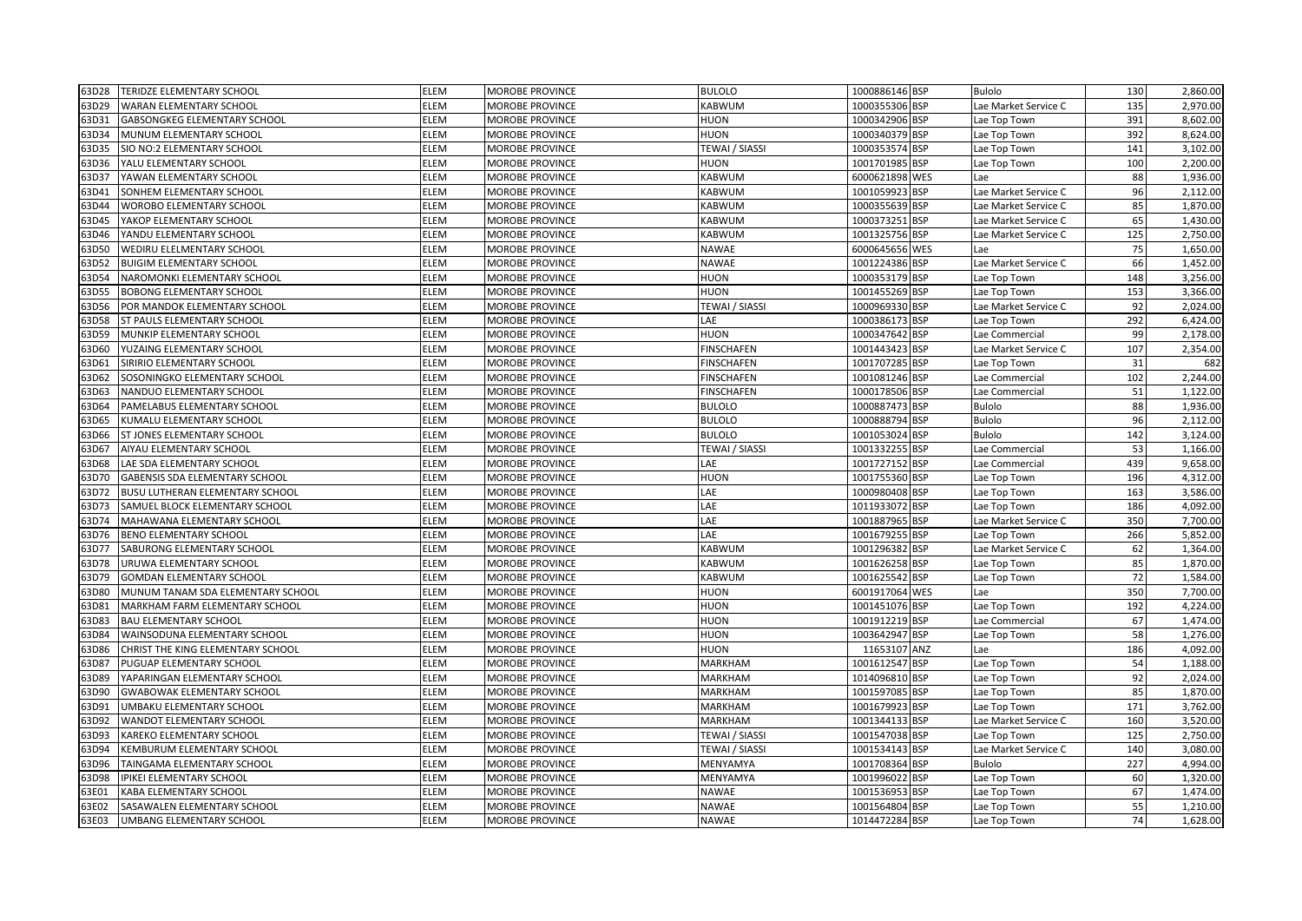| 63D28 | <b>TERIDZE ELEMENTARY SCHOOL</b>    | ELEM        | <b>MOROBE PROVINCE</b> | <b>BULOLO</b>         | 1000886146 BSP | <b>Bulolo</b>        | 130 | 2,860.00 |
|-------|-------------------------------------|-------------|------------------------|-----------------------|----------------|----------------------|-----|----------|
| 63D29 | <b>WARAN ELEMENTARY SCHOOL</b>      | ELEM        | MOROBE PROVINCE        | KABWUM                | 1000355306 BSP | Lae Market Service C | 135 | 2,970.00 |
| 63D31 | <b>GABSONGKEG ELEMENTARY SCHOOL</b> | ELEM        | <b>MOROBE PROVINCE</b> | <b>HUON</b>           | 1000342906 BSP | Lae Top Town         | 391 | 8,602.00 |
| 63D34 | MUNUM ELEMENTARY SCHOOL             | ELEM        | MOROBE PROVINCE        | <b>HUON</b>           | 1000340379 BSP | Lae Top Town         | 392 | 8,624.00 |
| 53D35 | SIO NO:2 ELEMENTARY SCHOOL          | ELEM        | MOROBE PROVINCE        | TEWAI / SIASSI        | 1000353574 BSP | Lae Top Town         | 141 | 3,102.00 |
| 63D36 | YALU ELEMENTARY SCHOOL              | ELEM        | MOROBE PROVINCE        | <b>HUON</b>           | 1001701985 BSP | Lae Top Town         | 100 | 2,200.00 |
| 53D37 | YAWAN ELEMENTARY SCHOOL             | ELEM        | MOROBE PROVINCE        | KABWUM                | 6000621898 WES | Lae                  | 88  | 1,936.00 |
| 63D41 | SONHEM ELEMENTARY SCHOOL            | <b>ELEM</b> | <b>MOROBE PROVINCE</b> | KABWUM                | 1001059923 BSP | Lae Market Service C | 96  | 2,112.00 |
| 63D44 | WOROBO ELEMENTARY SCHOOL            | <b>ELEM</b> | <b>MOROBE PROVINCE</b> | KABWUM                | 1000355639 BSP | Lae Market Service C | 85  | 1,870.00 |
| 63D45 | YAKOP ELEMENTARY SCHOOL             | <b>ELEM</b> | <b>MOROBE PROVINCE</b> | <b>KABWUM</b>         | 1000373251 BSP | Lae Market Service C | 65  | 1,430.00 |
| 63D46 | YANDU ELEMENTARY SCHOOL             | ELEM        | MOROBE PROVINCE        | <b>KABWUM</b>         | 1001325756 BSP | Lae Market Service C | 125 | 2,750.00 |
| 53D50 | WEDIRU ELELMENTARY SCHOOL           | ELEM        | <b>MOROBE PROVINCE</b> | <b>NAWAE</b>          | 6000645656 WES | Lae                  | 75  | 1,650.00 |
| 53D52 | <b>BUIGIM ELEMENTARY SCHOOL</b>     | ELEM        | MOROBE PROVINCE        | <b>NAWAE</b>          | 1001224386 BSP | Lae Market Service C | 66  | 1,452.00 |
| 53D54 | NAROMONKI ELEMENTARY SCHOOL         | ELEM        | MOROBE PROVINCE        | <b>HUON</b>           | 1000353179 BSP | Lae Top Town         | 148 | 3,256.00 |
| 53D55 | <b>BOBONG ELEMENTARY SCHOOL</b>     | ELEM        | MOROBE PROVINCE        | <b>HUON</b>           | 1001455269 BSP | Lae Top Town         | 153 | 3,366.00 |
| 63D56 | POR MANDOK ELEMENTARY SCHOOL        | <b>ELEM</b> | <b>MOROBE PROVINCE</b> | TEWAI / SIASSI        | 1000969330 BSP | Lae Market Service C | 92  | 2,024.00 |
| 63D58 | ST PAULS ELEMENTARY SCHOOL          | ELEM        | MOROBE PROVINCE        | LAE                   | 1000386173 BSP | Lae Top Town         | 292 | 6,424.00 |
| 63D59 | MUNKIP ELEMENTARY SCHOOL            | ELEM        | <b>MOROBE PROVINCE</b> | <b>HUON</b>           | 1000347642 BSP | Lae Commercial       | 99  | 2,178.00 |
| 63D60 | YUZAING ELEMENTARY SCHOOL           | ELEM        | <b>MOROBE PROVINCE</b> | <b>FINSCHAFEN</b>     | 1001443423 BSP | Lae Market Service C | 107 | 2,354.00 |
| 53D61 | SIRIRIO ELEMENTARY SCHOOL           | <b>ELEM</b> | <b>MOROBE PROVINCE</b> | <b>FINSCHAFEN</b>     | 1001707285 BSP | Lae Top Town         | 31  | 682      |
| 63D62 | SOSONINGKO ELEMENTARY SCHOOL        | ELEM        | MOROBE PROVINCE        | <b>FINSCHAFEN</b>     | 1001081246 BSP | Lae Commercial       | 102 | 2,244.00 |
| 53D63 | NANDUO ELEMENTARY SCHOOL            | ELEM        | <b>MOROBE PROVINCE</b> | <b>FINSCHAFEN</b>     | 1000178506 BSP | Lae Commercial       | 51  | 1,122.00 |
| 53D64 | PAMELABUS ELEMENTARY SCHOOL         | <b>ELEM</b> | MOROBE PROVINCE        | <b>BULOLO</b>         | 1000887473 BSP | <b>Bulolo</b>        | 88  | 1,936.00 |
| 63D65 | KUMALU ELEMENTARY SCHOOL            | <b>ELEM</b> | <b>MOROBE PROVINCE</b> | <b>BULOLO</b>         | 1000888794 BSP | Bulolo               | 96  | 2,112.00 |
| 63D66 | ST JONES ELEMENTARY SCHOOL          | ELEM        | MOROBE PROVINCE        | <b>BULOLO</b>         | 1001053024 BSP | Bulolo               | 142 | 3,124.00 |
| 63D67 | AIYAU ELEMENTARY SCHOOL             | ELEM        | <b>MOROBE PROVINCE</b> | <b>TEWAI / SIASSI</b> | 1001332255 BSP | Lae Commercial       | 53  | 1,166.00 |
| 63D68 | LAE SDA ELEMENTARY SCHOOL           | ELEM        | MOROBE PROVINCE        | LAE                   | 1001727152 BSP | Lae Commercial       | 439 | 9,658.00 |
| 63D70 | GABENSIS SDA ELEMENTARY SCHOOL      | <b>ELEM</b> | MOROBE PROVINCE        | <b>HUON</b>           | 1001755360 BSP | Lae Top Town         | 196 | 4,312.00 |
| 53D72 | BUSU LUTHERAN ELEMENTARY SCHOOL     | ELEM        | <b>MOROBE PROVINCE</b> | LAE                   | 1000980408 BSP | Lae Top Town         | 163 | 3,586.00 |
| 53D73 | SAMUEL BLOCK ELEMENTARY SCHOOL      | ELEM        | MOROBE PROVINCE        | LAE                   | 1011933072 BSP | Lae Top Town         | 186 | 4,092.00 |
| 53D74 | MAHAWANA ELEMENTARY SCHOOL          | ELEM        | MOROBE PROVINCE        | LAE                   | 1001887965 BSP | Lae Market Service C | 350 | 7,700.00 |
| 63D76 | <b>BENO ELEMENTARY SCHOOL</b>       | <b>ELEM</b> | <b>MOROBE PROVINCE</b> | LAE                   | 1001679255 BSP | Lae Top Town         | 266 | 5,852.00 |
| 63D77 | SABURONG ELEMENTARY SCHOOL          | <b>ELEM</b> | <b>MOROBE PROVINCE</b> | <b>KABWUM</b>         | 1001296382 BSP | Lae Market Service C | 62  | 1,364.00 |
| 63D78 | URUWA ELEMENTARY SCHOOL             | <b>ELEM</b> | MOROBE PROVINCE        | <b>KABWUM</b>         | 1001626258 BSP | Lae Top Town         | 85  | 1,870.00 |
| 53D79 | <b>GOMDAN ELEMENTARY SCHOOL</b>     | ELEM        | MOROBE PROVINCE        | KABWUM                | 1001625542 BSP | Lae Top Town         | 72  | 1,584.00 |
| 53D80 | MUNUM TANAM SDA ELEMENTARY SCHOOL   | ELEM        | MOROBE PROVINCE        | <b>HUON</b>           | 6001917064 WES | Lae                  | 350 | 7,700.00 |
| 53D81 | MARKHAM FARM ELEMENTARY SCHOOL      | ELEM        | MOROBE PROVINCE        | <b>HUON</b>           | 1001451076 BSP | Lae Top Town         | 192 | 4,224.00 |
| 53D83 | <b>BAU ELEMENTARY SCHOOL</b>        | ELEM        | MOROBE PROVINCE        | <b>HUON</b>           | 1001912219 BSP | Lae Commercial       | 67  | 1,474.00 |
| 53D84 | WAINSODUNA ELEMENTARY SCHOOL        | ELEM        | MOROBE PROVINCE        | <b>HUON</b>           | 1003642947 BSP | Lae Top Town         | 58  | 1,276.00 |
| 63D86 | CHRIST THE KING ELEMENTARY SCHOOL   | <b>ELEM</b> | <b>MOROBE PROVINCE</b> | <b>HUON</b>           | 11653107 ANZ   | Lae                  | 186 | 4,092.00 |
| 63D87 | PUGUAP ELEMENTARY SCHOOL            | ELEM        | <b>MOROBE PROVINCE</b> | <b>MARKHAM</b>        | 1001612547 BSP | Lae Top Town         | 54  | 1,188.00 |
| 63D89 | YAPARINGAN ELEMENTARY SCHOOL        | ELEM        | <b>MOROBE PROVINCE</b> | MARKHAM               | 1014096810 BSP | Lae Top Town         | 92  | 2,024.00 |
| 63D90 | <b>GWABOWAK ELEMENTARY SCHOOL</b>   | ELEM        | MOROBE PROVINCE        | MARKHAM               | 1001597085 BSP | Lae Top Town         | 85  | 1,870.00 |
| 63D91 | UMBAKU ELEMENTARY SCHOOL            | ELEM        | MOROBE PROVINCE        | <b>MARKHAM</b>        | 1001679923 BSP | Lae Top Town         | 171 | 3,762.00 |
| 53D92 | WANDOT ELEMENTARY SCHOOL            | ELEM        | MOROBE PROVINCE        | <b>MARKHAM</b>        | 1001344133 BSP | Lae Market Service C | 160 | 3,520.00 |
| 53D93 | KAREKO ELEMENTARY SCHOOL            | ELEM        | MOROBE PROVINCE        | <b>TEWAI / SIASSI</b> | 1001547038 BSP | Lae Top Town         | 125 | 2,750.00 |
| 63D94 | KEMBURUM ELEMENTARY SCHOOL          | <b>ELEM</b> | <b>MOROBE PROVINCE</b> | TEWAI / SIASSI        | 1001534143 BSP | Lae Market Service C | 140 | 3,080.00 |
| 63D96 | TAINGAMA ELEMENTARY SCHOOL          | <b>ELEM</b> | <b>MOROBE PROVINCE</b> | MENYAMYA              | 1001708364 BSP | <b>Bulolo</b>        | 227 | 4,994.00 |
| 63D98 | IPIKEI ELEMENTARY SCHOOL            | ELEM        | <b>MOROBE PROVINCE</b> | MENYAMYA              | 1001996022 BSP | Lae Top Town         | 60  | 1,320.00 |
| 63E01 | KABA ELEMENTARY SCHOOL              | ELEM        | MOROBE PROVINCE        | <b>NAWAE</b>          | 1001536953 BSP | Lae Top Town         | 67  | 1,474.00 |
| 63E02 | SASAWALEN ELEMENTARY SCHOOL         | ELEM        | <b>MOROBE PROVINCE</b> | <b>NAWAE</b>          | 1001564804 BSP | Lae Top Town         | 55  | 1,210.00 |
| 63E03 | UMBANG ELEMENTARY SCHOOL            | <b>ELEM</b> | <b>MOROBE PROVINCE</b> | <b>NAWAE</b>          | 1014472284 BSP | Lae Top Town         | 74  | 1,628.00 |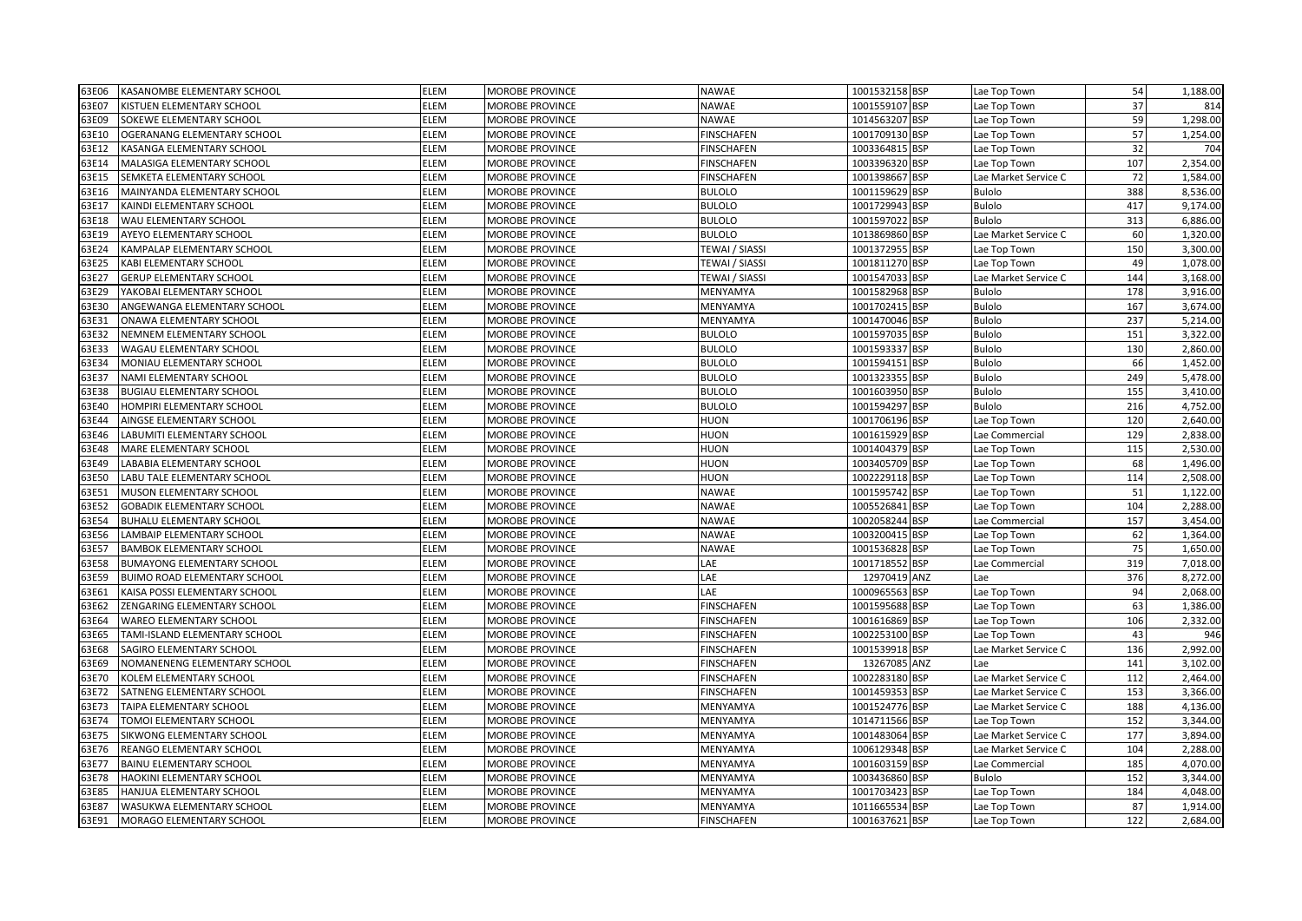| 63E06 | KASANOMBE ELEMENTARY SCHOOL       | ELEM        | MOROBE PROVINCE        | <b>NAWAE</b>      | 1001532158 BSP | Lae Top Town         | 54  | 1,188.00 |
|-------|-----------------------------------|-------------|------------------------|-------------------|----------------|----------------------|-----|----------|
| 63E07 | KISTUEN ELEMENTARY SCHOOL         | ELEM        | <b>MOROBE PROVINCE</b> | <b>NAWAE</b>      | 1001559107 BSP | Lae Top Town         | 37  | 814      |
| 63E09 | SOKEWE ELEMENTARY SCHOOL          | <b>ELEM</b> | <b>MOROBE PROVINCE</b> | <b>NAWAE</b>      | 1014563207 BSP | Lae Top Town         | 59  | 1,298.00 |
| 63E10 | OGERANANG ELEMENTARY SCHOOL       | ELEM        | MOROBE PROVINCE        | <b>FINSCHAFEN</b> | 1001709130 BSP | Lae Top Town         | 57  | 1,254.00 |
| 63E12 | KASANGA ELEMENTARY SCHOOL         | ELEM        | <b>MOROBE PROVINCE</b> | <b>FINSCHAFEN</b> | 1003364815 BSP | Lae Top Town         | 32  | 704      |
| 63E14 | MALASIGA ELEMENTARY SCHOOL        | ELEM        | <b>MOROBE PROVINCE</b> | <b>FINSCHAFEN</b> | 1003396320 BSP | Lae Top Town         | 107 | 2,354.00 |
| 63E15 | SEMKETA ELEMENTARY SCHOOL         | ELEM        | <b>MOROBE PROVINCE</b> | <b>FINSCHAFEN</b> | 1001398667 BSP | Lae Market Service C | 72  | 1,584.00 |
| 63E16 | MAINYANDA ELEMENTARY SCHOOL       | ELEM        | MOROBE PROVINCE        | <b>BULOLO</b>     | 1001159629 BSP | <b>Bulolo</b>        | 388 | 8,536.00 |
| 63E17 | KAINDI ELEMENTARY SCHOOL          | ELEM        | <b>MOROBE PROVINCE</b> | <b>BULOLO</b>     | 1001729943 BSP | <b>Bulolo</b>        | 417 | 9,174.00 |
| 63E18 | WAU ELEMENTARY SCHOOL             | ELEM        | <b>MOROBE PROVINCE</b> | <b>BULOLO</b>     | 1001597022 BSP | <b>Bulolo</b>        | 313 | 6,886.00 |
| 63E19 | AYEYO ELEMENTARY SCHOOL           | ELEM        | MOROBE PROVINCE        | <b>BULOLO</b>     | 1013869860 BSP | Lae Market Service C | 60  | 1,320.00 |
| 63E24 | KAMPALAP ELEMENTARY SCHOOL        | ELEM        | <b>MOROBE PROVINCE</b> | TEWAI / SIASSI    | 1001372955 BSP | Lae Top Town         | 150 | 3,300.00 |
| 63E25 | KABI ELEMENTARY SCHOOL            | ELEM        | <b>MOROBE PROVINCE</b> | TEWAI / SIASSI    | 1001811270 BSP | Lae Top Town         | 49  | 1,078.00 |
| 63E27 | <b>GERUP ELEMENTARY SCHOOL</b>    | ELEM        | MOROBE PROVINCE        | TEWAI / SIASSI    | 1001547033 BSP | Lae Market Service C | 144 | 3,168.00 |
| 63E29 | YAKOBAI ELEMENTARY SCHOOL         | ELEM        | <b>MOROBE PROVINCE</b> | MENYAMYA          | 1001582968 BSP | <b>Bulolo</b>        | 178 | 3,916.00 |
| 63E30 | ANGEWANGA ELEMENTARY SCHOOL       | ELEM        | <b>MOROBE PROVINCE</b> | MENYAMYA          | 1001702415 BSP | <b>Bulolo</b>        | 167 | 3,674.00 |
| 63E31 | ONAWA ELEMENTARY SCHOOL           | ELEM        | <b>MOROBE PROVINCE</b> | MENYAMYA          | 1001470046 BSP | <b>Bulolo</b>        | 237 | 5,214.00 |
| 63E32 | NEMNEM ELEMENTARY SCHOOL          | ELEM        | <b>MOROBE PROVINCE</b> | <b>BULOLO</b>     | 1001597035 BSP | <b>Bulolo</b>        | 151 | 3,322.00 |
| 53E33 | WAGAU ELEMENTARY SCHOOL           | ELEM        | <b>MOROBE PROVINCE</b> | <b>BULOLO</b>     | 1001593337 BSP | <b>Bulolo</b>        | 130 | 2,860.00 |
| 63E34 | MONIAU ELEMENTARY SCHOOL          | ELEM        | <b>MOROBE PROVINCE</b> | <b>BULOLO</b>     | 1001594151 BSP | <b>Bulolo</b>        | 66  | 1,452.00 |
| 63E37 | NAMI ELEMENTARY SCHOOL            | ELEM        | <b>MOROBE PROVINCE</b> | <b>BULOLO</b>     | 1001323355 BSP | Bulolo               | 249 | 5,478.00 |
| 53E38 | <b>BUGIAU ELEMENTARY SCHOOL</b>   | ELEM        | <b>MOROBE PROVINCE</b> | <b>BULOLO</b>     | 1001603950 BSP | <b>Bulolo</b>        | 155 | 3,410.00 |
| 63E40 | HOMPIRI ELEMENTARY SCHOOL         | ELEM        | <b>MOROBE PROVINCE</b> | <b>BULOLO</b>     | 1001594297 BSP | <b>Bulolo</b>        | 216 | 4,752.00 |
| 63E44 | AINGSE ELEMENTARY SCHOOL          | ELEM        | <b>MOROBE PROVINCE</b> | <b>HUON</b>       | 1001706196 BSP | Lae Top Town         | 120 | 2,640.00 |
| 63E46 | LABUMITI ELEMENTARY SCHOOL        | ELEM        | <b>MOROBE PROVINCE</b> | <b>HUON</b>       | 1001615929 BSP | Lae Commercial       | 129 | 2,838.00 |
| 63E48 | MARE ELEMENTARY SCHOOL            | ELEM        | MOROBE PROVINCE        | <b>HUON</b>       | 1001404379 BSP | Lae Top Town         | 115 | 2,530.00 |
| 63E49 | LABABIA ELEMENTARY SCHOOL         | ELEM        | <b>MOROBE PROVINCE</b> | <b>HUON</b>       | 1003405709 BSP | Lae Top Town         | 68  | 1,496.00 |
| 63E50 | LABU TALE ELEMENTARY SCHOOL       | ELEM        | <b>MOROBE PROVINCE</b> | <b>HUON</b>       | 1002229118 BSP | Lae Top Town         | 114 | 2,508.00 |
| 63E51 | MUSON ELEMENTARY SCHOOL           | ELEM        | <b>MOROBE PROVINCE</b> | <b>NAWAE</b>      | 1001595742 BSP | Lae Top Town         | 51  | 1,122.00 |
| 63E52 | <b>GOBADIK ELEMENTARY SCHOOL</b>  | ELEM        | <b>MOROBE PROVINCE</b> | <b>NAWAE</b>      | 1005526841 BSP | Lae Top Town         | 104 | 2,288.00 |
| 63E54 | BUHALU ELEMENTARY SCHOOL          | ELEM        | <b>MOROBE PROVINCE</b> | <b>NAWAE</b>      | 1002058244 BSP | Lae Commercial       | 157 | 3,454.00 |
| 63E56 | LAMBAIP ELEMENTARY SCHOOL         | ELEM        | <b>MOROBE PROVINCE</b> | <b>NAWAE</b>      | 1003200415 BSP | Lae Top Town         | 62  | 1,364.00 |
| 63E57 | <b>BAMBOK ELEMENTARY SCHOOL</b>   | ELEM        | <b>MOROBE PROVINCE</b> | <b>NAWAE</b>      | 1001536828 BSP | Lae Top Town         | 75  | 1,650.00 |
| 63E58 | <b>BUMAYONG ELEMENTARY SCHOOL</b> | ELEM        | MOROBE PROVINCE        | LAE               | 1001718552 BSP | Lae Commercial       | 319 | 7,018.00 |
| 53E59 | BUIMO ROAD ELEMENTARY SCHOOL      | ELEM        | <b>MOROBE PROVINCE</b> | LAE               | 12970419 ANZ   | Lae                  | 376 | 8,272.00 |
| 63E61 | KAISA POSSI ELEMENTARY SCHOOL     | ELEM        | <b>MOROBE PROVINCE</b> | LAE               | 1000965563 BSP | Lae Top Town         | 94  | 2,068.00 |
| 63E62 | ZENGARING ELEMENTARY SCHOOL       | ELEM        | MOROBE PROVINCE        | <b>FINSCHAFEN</b> | 1001595688 BSP | Lae Top Town         | 63  | 1,386.00 |
| 53E64 | WAREO ELEMENTARY SCHOOL           | ELEM        | <b>MOROBE PROVINCE</b> | <b>FINSCHAFEN</b> | 1001616869 BSP | Lae Top Town         | 106 | 2,332.00 |
| 63E65 | TAMI-ISLAND ELEMENTARY SCHOOL     | ELEM        | <b>MOROBE PROVINCE</b> | <b>FINSCHAFEN</b> | 1002253100 BSP | Lae Top Town         | 43  | 946      |
| 63E68 | SAGIRO ELEMENTARY SCHOOL          | ELEM        | <b>MOROBE PROVINCE</b> | <b>FINSCHAFEN</b> | 1001539918 BSP | Lae Market Service C | 136 | 2,992.00 |
| 63E69 | NOMANENENG ELEMENTARY SCHOOL      | ELEM        | <b>MOROBE PROVINCE</b> | <b>FINSCHAFEN</b> | 13267085 ANZ   | Lae                  | 141 | 3,102.00 |
| 63E70 | KOLEM ELEMENTARY SCHOOL           | ELEM        | <b>MOROBE PROVINCE</b> | <b>FINSCHAFEN</b> | 1002283180 BSP | Lae Market Service C | 112 | 2,464.00 |
| 63E72 | SATNENG ELEMENTARY SCHOOL         | ELEM        | MOROBE PROVINCE        | <b>FINSCHAFEN</b> | 1001459353 BSP | Lae Market Service C | 153 | 3,366.00 |
| 63E73 | TAIPA ELEMENTARY SCHOOL           | ELEM        | <b>MOROBE PROVINCE</b> | MENYAMYA          | 1001524776 BSP | Lae Market Service C | 188 | 4,136.00 |
| 63E74 | <b>TOMOI ELEMENTARY SCHOOL</b>    | ELEM        | <b>MOROBE PROVINCE</b> | MENYAMYA          | 1014711566 BSP | Lae Top Town         | 152 | 3,344.00 |
| 53E75 | SIKWONG ELEMENTARY SCHOOL         | ELEM        | MOROBE PROVINCE        | MENYAMYA          | 1001483064 BSP | Lae Market Service C | 177 | 3,894.00 |
| 63E76 | REANGO ELEMENTARY SCHOOL          | ELEM        | <b>MOROBE PROVINCE</b> | MENYAMYA          | 1006129348 BSP | Lae Market Service C | 104 | 2,288.00 |
| 63E77 | <b>BAINU ELEMENTARY SCHOOL</b>    | ELEM        | <b>MOROBE PROVINCE</b> | MENYAMYA          | 1001603159 BSP | Lae Commercial       | 185 | 4,070.00 |
| 63E78 | HAOKINI ELEMENTARY SCHOOL         | ELEM        | <b>MOROBE PROVINCE</b> | MENYAMYA          | 1003436860 BSP | <b>Bulolo</b>        | 152 | 3,344.00 |
| 63E85 | HANJUA ELEMENTARY SCHOOL          | ELEM        | <b>MOROBE PROVINCE</b> | MENYAMYA          | 1001703423 BSP | Lae Top Town         | 184 | 4,048.00 |
| 63E87 | WASUKWA ELEMENTARY SCHOOL         | ELEM        | <b>MOROBE PROVINCE</b> | MENYAMYA          | 1011665534 BSP | Lae Top Town         | 87  | 1,914.00 |
| 63E91 | MORAGO ELEMENTARY SCHOOL          | ELEM        | <b>MOROBE PROVINCE</b> | <b>FINSCHAFEN</b> | 1001637621 BSP | Lae Top Town         | 122 | 2,684.00 |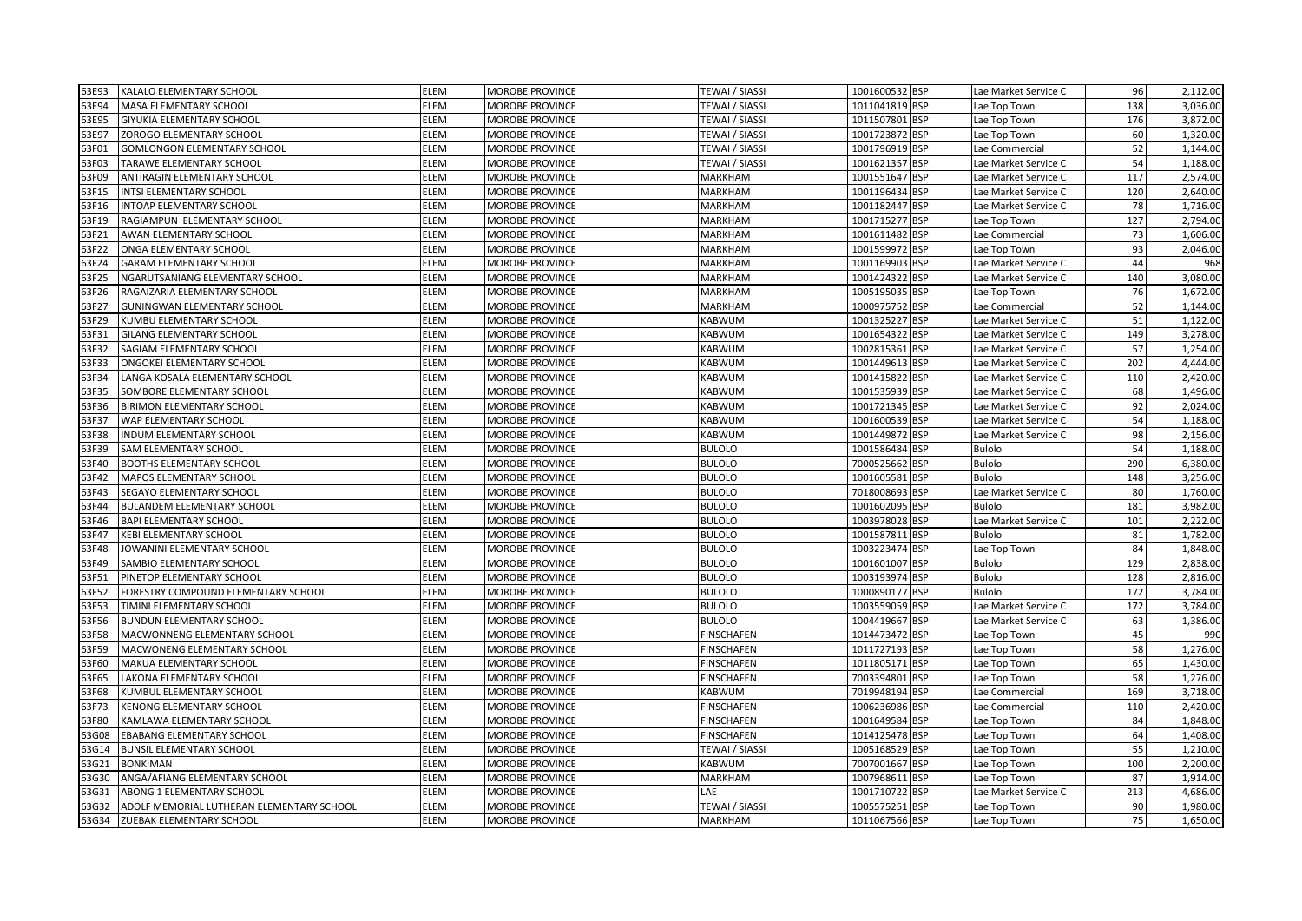| 63E93 | KALALO ELEMENTARY SCHOOL                  | <b>ELEM</b> | <b>MOROBE PROVINCE</b> | <b>TEWAI / SIASSI</b> | 1001600532 BSP | Lae Market Service C | 96  | 2,112.00 |
|-------|-------------------------------------------|-------------|------------------------|-----------------------|----------------|----------------------|-----|----------|
| 63E94 | MASA ELEMENTARY SCHOOL                    | <b>ELEM</b> | MOROBE PROVINCE        | <b>TEWAI / SIASSI</b> | 1011041819 BSP | Lae Top Town         | 138 | 3,036.00 |
| 63E95 | <b>GIYUKIA ELEMENTARY SCHOOL</b>          | <b>ELEM</b> | MOROBE PROVINCE        | <b>TEWAI / SIASSI</b> | 1011507801 BSP | Lae Top Town         | 176 | 3,872.00 |
| 63E97 | ZOROGO ELEMENTARY SCHOOL                  | ELEM        | MOROBE PROVINCE        | TEWAI / SIASSI        | 1001723872 BSP | Lae Top Town         | 60  | 1,320.00 |
| 63F01 | <b>GOMLONGON ELEMENTARY SCHOOL</b>        | ELEM        | MOROBE PROVINCE        | TEWAI / SIASSI        | 1001796919 BSP | Lae Commercial       | 52  | 1,144.00 |
| 63F03 | <b>TARAWE ELEMENTARY SCHOOL</b>           | ELEM        | <b>MOROBE PROVINCE</b> | TEWAI / SIASSI        | 1001621357 BSP | Lae Market Service C | 54  | 1,188.00 |
| 63F09 | ANTIRAGIN ELEMENTARY SCHOOL               | ELEM        | MOROBE PROVINCE        | <b>MARKHAM</b>        | 1001551647 BSP | Lae Market Service C | 117 | 2,574.00 |
| 63F15 | INTSI ELEMENTARY SCHOOL                   | ELEM        | <b>MOROBE PROVINCE</b> | MARKHAM               | 1001196434 BSP | Lae Market Service C | 120 | 2,640.00 |
| 63F16 | INTOAP ELEMENTARY SCHOOL                  | <b>ELEM</b> | <b>MOROBE PROVINCE</b> | <b>MARKHAM</b>        | 1001182447 BSP | Lae Market Service C | 78  | 1,716.00 |
| 63F19 | RAGIAMPUN ELEMENTARY SCHOOL               | <b>ELEM</b> | MOROBE PROVINCE        | MARKHAM               | 1001715277 BSP | Lae Top Town         | 127 | 2,794.00 |
| 63F21 | AWAN ELEMENTARY SCHOOL                    | ELEM        | MOROBE PROVINCE        | MARKHAM               | 1001611482 BSP | Lae Commercial       | 73  | 1,606.00 |
| 63F22 | ONGA ELEMENTARY SCHOOL                    | ELEM        | MOROBE PROVINCE        | MARKHAM               | 1001599972 BSP | Lae Top Town         | 93  | 2,046.00 |
| 63F24 | <b>GARAM ELEMENTARY SCHOOL</b>            | ELEM        | MOROBE PROVINCE        | MARKHAM               | 1001169903 BSP | Lae Market Service C | 44  | 968      |
| 63F25 | NGARUTSANIANG ELEMENTARY SCHOOL           | ELEM        | MOROBE PROVINCE        | MARKHAM               | 1001424322 BSP | Lae Market Service C | 140 | 3,080.00 |
| 63F26 | RAGAIZARIA ELEMENTARY SCHOOL              | ELEM        | MOROBE PROVINCE        | <b>MARKHAM</b>        | 1005195035 BSP | Lae Top Town         | 76  | 1,672.00 |
| 63F27 | <b>GUNINGWAN ELEMENTARY SCHOOL</b>        | <b>ELEM</b> | MOROBE PROVINCE        | MARKHAM               | 1000975752 BSP | Lae Commercial       | 52  | 1,144.00 |
| 63F29 | KUMBU ELEMENTARY SCHOOL                   | ELEM        | <b>MOROBE PROVINCE</b> | KABWUM                | 1001325227 BSP | Lae Market Service C | 51  | 1,122.00 |
| 63F31 | <b>GILANG ELEMENTARY SCHOOL</b>           | ELEM        | <b>MOROBE PROVINCE</b> | <b>KABWUM</b>         | 1001654322 BSP | Lae Market Service C | 149 | 3,278.00 |
| 53F32 | SAGIAM ELEMENTARY SCHOOL                  | ELEM        | MOROBE PROVINCE        | KABWUM                | 1002815361 BSP | Lae Market Service C | 57  | 1,254.00 |
| 63F33 | <b>ONGOKEI ELEMENTARY SCHOOL</b>          | ELEM        | MOROBE PROVINCE        | KABWUM                | 1001449613 BSP | Lae Market Service C | 202 | 4,444.00 |
| 63F34 | LANGA KOSALA ELEMENTARY SCHOOL            | ELEM        | <b>MOROBE PROVINCE</b> | KABWUM                | 1001415822 BSP | Lae Market Service C | 110 | 2,420.00 |
| 63F35 | SOMBORE ELEMENTARY SCHOOL                 | ELEM        | MOROBE PROVINCE        | KABWUM                | 1001535939 BSP | Lae Market Service C | 68  | 1,496.00 |
| 63F36 | <b>BIRIMON ELEMENTARY SCHOOL</b>          | <b>ELEM</b> | MOROBE PROVINCE        | KABWUM                | 1001721345 BSP | Lae Market Service C | 92  | 2,024.00 |
| 63F37 | WAP ELEMENTARY SCHOOL                     | <b>ELEM</b> | <b>MOROBE PROVINCE</b> | <b>KABWUM</b>         | 1001600539 BSP | Lae Market Service C | 54  | 1,188.00 |
| 63F38 | INDUM ELEMENTARY SCHOOL                   | <b>ELEM</b> | <b>MOROBE PROVINCE</b> | <b>KABWUM</b>         | 1001449872 BSP | Lae Market Service C | 98  | 2,156.00 |
| 63F39 | <b>SAM ELEMENTARY SCHOOL</b>              | ELEM        | MOROBE PROVINCE        | <b>BULOLO</b>         | 1001586484 BSP | <b>Bulolo</b>        | 54  | 1,188.00 |
| 63F40 | <b>BOOTHS ELEMENTARY SCHOOL</b>           | <b>ELEM</b> | MOROBE PROVINCE        | <b>BULOLO</b>         | 7000525662 BSP | <b>Bulolo</b>        | 290 | 6,380.00 |
| 63F42 | <b>MAPOS ELEMENTARY SCHOOL</b>            | ELEM        | MOROBE PROVINCE        | <b>BULOLO</b>         | 1001605581 BSP | <b>Bulolo</b>        | 148 | 3,256.00 |
| 63F43 | SEGAYO ELEMENTARY SCHOOL                  | ELEM        | MOROBE PROVINCE        | <b>BULOLO</b>         | 7018008693 BSP | Lae Market Service C | 80  | 1,760.00 |
| 63F44 | <b>BULANDEM ELEMENTARY SCHOOL</b>         | ELEM        | MOROBE PROVINCE        | <b>BULOLO</b>         | 1001602095 BSP | <b>Bulolo</b>        | 181 | 3,982.00 |
| 63F46 | <b>BAPI ELEMENTARY SCHOOL</b>             | ELEM        | MOROBE PROVINCE        | <b>BULOLO</b>         | 1003978028 BSP | Lae Market Service C | 101 | 2,222.00 |
| 63F47 | <b>KEBI ELEMENTARY SCHOOL</b>             | <b>ELEM</b> | <b>MOROBE PROVINCE</b> | <b>BULOLO</b>         | 1001587811 BSP | Bulolo               | 81  | 1,782.00 |
| 63F48 | JOWANINI ELEMENTARY SCHOOL                | <b>ELEM</b> | <b>MOROBE PROVINCE</b> | <b>BULOLO</b>         | 1003223474 BSP | Lae Top Town         | 84  | 1,848.00 |
| 63F49 | SAMBIO ELEMENTARY SCHOOL                  | ELEM        | MOROBE PROVINCE        | <b>BULOLO</b>         | 1001601007 BSP | Bulolo               | 129 | 2,838.00 |
| 53F51 | PINETOP ELEMENTARY SCHOOL                 | ELEM        | MOROBE PROVINCE        | <b>BULOLO</b>         | 1003193974 BSP | Bulolo               | 128 | 2,816.00 |
| 53F52 | FORESTRY COMPOUND ELEMENTARY SCHOOL       | ELEM        | MOROBE PROVINCE        | <b>BULOLO</b>         | 1000890177 BSP | <b>Bulolo</b>        | 172 | 3,784.00 |
| 53F53 | TIMINI ELEMENTARY SCHOOL                  | ELEM        | MOROBE PROVINCE        | <b>BULOLO</b>         | 1003559059 BSP | Lae Market Service C | 172 | 3,784.00 |
| 63F56 | <b>BUNDUN ELEMENTARY SCHOOL</b>           | ELEM        | MOROBE PROVINCE        | <b>BULOLO</b>         | 1004419667 BSP | Lae Market Service C | 63  | 1,386.00 |
| 63F58 | MACWONNENG ELEMENTARY SCHOOL              | ELEM        | MOROBE PROVINCE        | <b>FINSCHAFEN</b>     | 1014473472 BSP | Lae Top Town         | 45  | 990      |
| 63F59 | MACWONENG ELEMENTARY SCHOOL               | <b>ELEM</b> | MOROBE PROVINCE        | <b>FINSCHAFEN</b>     | 1011727193 BSP | Lae Top Town         | 58  | 1,276.00 |
| 63F60 | MAKUA ELEMENTARY SCHOOL                   | ELEM        | <b>MOROBE PROVINCE</b> | <b>FINSCHAFEN</b>     | 1011805171 BSP | Lae Top Town         | 65  | 1,430.00 |
| 63F65 | LAKONA ELEMENTARY SCHOOL                  | ELEM        | <b>MOROBE PROVINCE</b> | <b>FINSCHAFEN</b>     | 7003394801 BSP | Lae Top Town         | 58  | 1,276.00 |
| 63F68 | KUMBUL ELEMENTARY SCHOOL                  | ELEM        | MOROBE PROVINCE        | <b>KABWUM</b>         | 7019948194 BSP | Lae Commercial       | 169 | 3,718.00 |
| 63F73 | <b>KENONG ELEMENTARY SCHOOL</b>           | ELEM        | MOROBE PROVINCE        | <b>FINSCHAFEN</b>     | 1006236986 BSP | Lae Commercial       | 110 | 2,420.00 |
| 63F80 | KAMLAWA ELEMENTARY SCHOOL                 | ELEM        | MOROBE PROVINCE        | <b>FINSCHAFEN</b>     | 1001649584 BSP | Lae Top Town         | 84  | 1,848.00 |
| 63G08 | <b>EBABANG ELEMENTARY SCHOOL</b>          | <b>ELEM</b> | MOROBE PROVINCE        | <b>FINSCHAFEN</b>     | 1014125478 BSP | Lae Top Town         | 64  | 1,408.00 |
| 63G14 | <b>BUNSIL ELEMENTARY SCHOOL</b>           | <b>ELEM</b> | <b>MOROBE PROVINCE</b> | TEWAI / SIASSI        | 1005168529 BSP | Lae Top Town         | 55  | 1,210.00 |
| 63G21 | <b>BONKIMAN</b>                           | <b>ELEM</b> | MOROBE PROVINCE        | <b>KABWUM</b>         | 7007001667 BSP | Lae Top Town         | 100 | 2,200.00 |
| 63G30 | ANGA/AFIANG ELEMENTARY SCHOOL             | ELEM        | <b>MOROBE PROVINCE</b> | <b>MARKHAM</b>        | 1007968611 BSP | Lae Top Town         | 87  | 1,914.00 |
| 63G31 | ABONG 1 ELEMENTARY SCHOOL                 | ELEM        | MOROBE PROVINCE        | LAE                   | 1001710722 BSP | Lae Market Service C | 213 | 4,686.00 |
| 63G32 | ADOLF MEMORIAL LUTHERAN ELEMENTARY SCHOOL | ELEM        | <b>MOROBE PROVINCE</b> | TEWAI / SIASSI        | 1005575251 BSP | Lae Top Town         | 90  | 1,980.00 |
| 63G34 | ZUEBAK ELEMENTARY SCHOOL                  | <b>ELEM</b> | <b>MOROBE PROVINCE</b> | MARKHAM               | 1011067566 BSP | Lae Top Town         | 75  | 1,650.00 |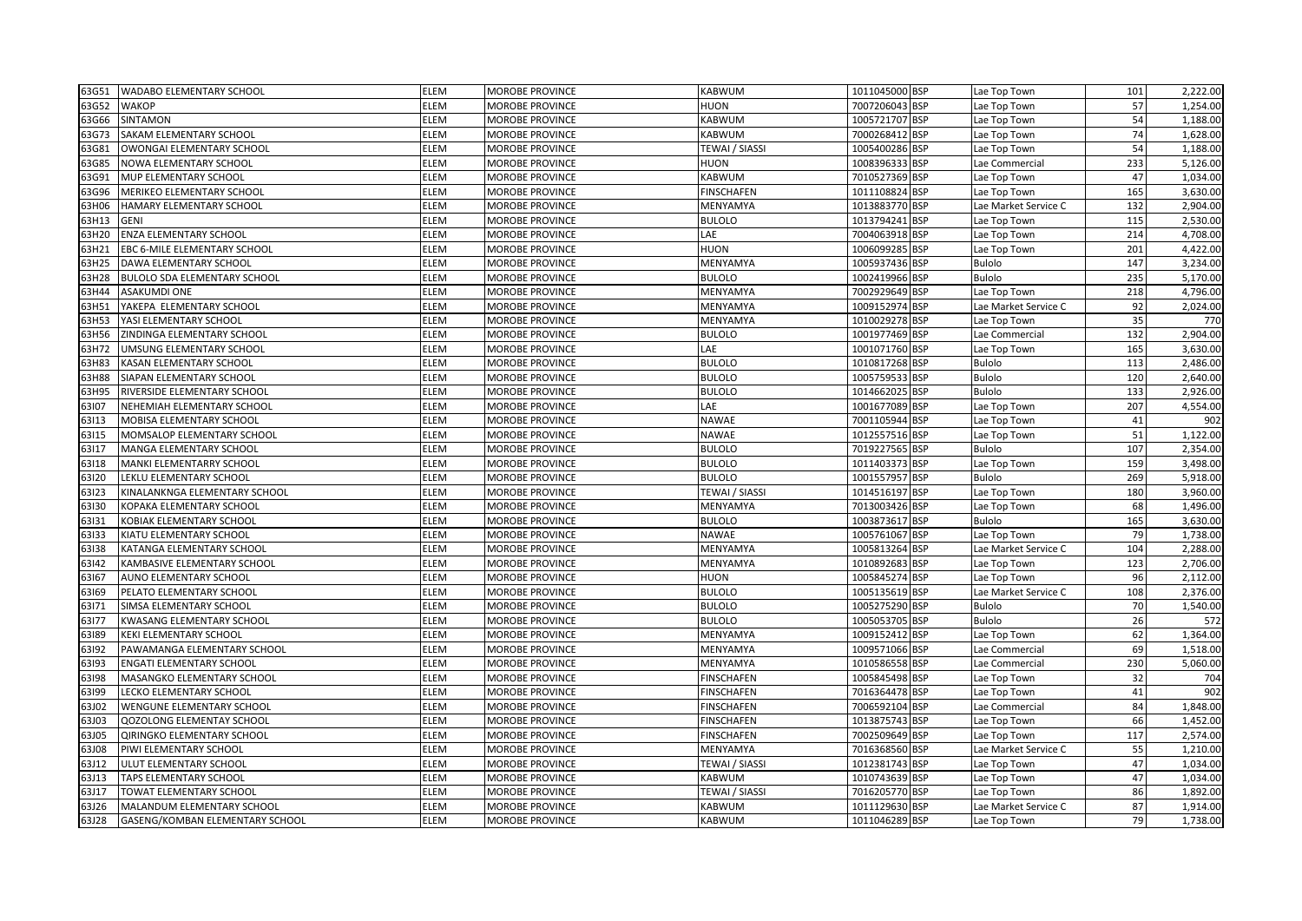| 63G51 | WADABO ELEMENTARY SCHOOL            | <b>ELEM</b> | <b>MOROBE PROVINCE</b> | <b>KABWUM</b>     | 1011045000 BSP | Lae Top Town         | 101 | 2,222.00 |
|-------|-------------------------------------|-------------|------------------------|-------------------|----------------|----------------------|-----|----------|
| 63G52 | <b>WAKOP</b>                        | ELEM        | MOROBE PROVINCE        | <b>HUON</b>       | 7007206043 BSP | Lae Top Town         | 57  | 1,254.00 |
| 63G66 | SINTAMON                            | <b>ELEM</b> | MOROBE PROVINCE        | KABWUM            | 1005721707 BSP | Lae Top Town         | 54  | 1,188.00 |
| 63G73 | SAKAM ELEMENTARY SCHOOL             | ELEM        | MOROBE PROVINCE        | KABWUM            | 7000268412 BSP | Lae Top Town         | 74  | 1,628.00 |
| 63G81 | OWONGAI ELEMENTARY SCHOOL           | ELEM        | MOROBE PROVINCE        | TEWAI / SIASSI    | 1005400286 BSP | Lae Top Town         | 54  | 1,188.00 |
| 63G85 | NOWA ELEMENTARY SCHOOL              | ELEM        | <b>MOROBE PROVINCE</b> | HUON              | 1008396333 BSP | Lae Commercial       | 233 | 5,126.00 |
| 63G91 | MUP ELEMENTARY SCHOOL               | ELEM        | MOROBE PROVINCE        | KABWUM            | 7010527369 BSP | Lae Top Town         | 47  | 1,034.00 |
| 63G96 | MERIKEO ELEMENTARY SCHOOL           | ELEM        | MOROBE PROVINCE        | <b>FINSCHAFEN</b> | 1011108824 BSP | Lae Top Town         | 165 | 3,630.00 |
| 63H06 | <b>HAMARY ELEMENTARY SCHOOL</b>     | <b>ELEM</b> | <b>MOROBE PROVINCE</b> | MENYAMYA          | 1013883770 BSP | Lae Market Service C | 132 | 2,904.00 |
| 63H13 | <b>GENI</b>                         | <b>ELEM</b> | MOROBE PROVINCE        | <b>BULOLO</b>     | 1013794241 BSP | Lae Top Town         | 115 | 2,530.00 |
| 63H20 | <b>ENZA ELEMENTARY SCHOOL</b>       | ELEM        | MOROBE PROVINCE        | LAE               | 7004063918 BSP | Lae Top Town         | 214 | 4,708.00 |
| 53H21 | <b>EBC 6-MILE ELEMENTARY SCHOOL</b> | ELEM        | MOROBE PROVINCE        | <b>HUON</b>       | 1006099285 BSP | Lae Top Town         | 201 | 4,422.00 |
| 63H25 | DAWA ELEMENTARY SCHOOL              | ELEM        | MOROBE PROVINCE        | MENYAMYA          | 1005937436 BSP | Bulolo               | 147 | 3,234.00 |
| 63H28 | <b>BULOLO SDA ELEMENTARY SCHOOL</b> | ELEM        | MOROBE PROVINCE        | <b>BULOLO</b>     | 1002419966 BSP | Bulolo               | 235 | 5,170.00 |
| 63H44 | <b>ASAKUMDI ONE</b>                 | ELEM        | <b>MOROBE PROVINCE</b> | MENYAMYA          | 7002929649 BSP | Lae Top Town         | 218 | 4,796.00 |
| 63H51 | YAKEPA ELEMENTARY SCHOOL            | <b>ELEM</b> | MOROBE PROVINCE        | MENYAMYA          | 1009152974 BSP | Lae Market Service C | 92  | 2,024.00 |
| 63H53 | YASI ELEMENTARY SCHOOL              | ELEM        | <b>MOROBE PROVINCE</b> | MENYAMYA          | 1010029278 BSP | Lae Top Town         | 35  | 770      |
| 63H56 | <b>ZINDINGA ELEMENTARY SCHOOL</b>   | ELEM        | <b>MOROBE PROVINCE</b> | <b>BULOLO</b>     | 1001977469 BSP | Lae Commercial       | 132 | 2,904.00 |
| 53H72 | UMSUNG ELEMENTARY SCHOOL            | ELEM        | MOROBE PROVINCE        | LAE               | 1001071760 BSP | Lae Top Town         | 165 | 3,630.00 |
| 63H83 | KASAN ELEMENTARY SCHOOL             | ELEM        | MOROBE PROVINCE        | <b>BULOLO</b>     | 1010817268 BSP | Bulolo               | 113 | 2,486.00 |
| 63H88 | SIAPAN ELEMENTARY SCHOOL            | ELEM        | MOROBE PROVINCE        | <b>BULOLO</b>     | 1005759533 BSP | <b>Bulolo</b>        | 120 | 2,640.00 |
| 63H95 | RIVERSIDE ELEMENTARY SCHOOL         | ELEM        | MOROBE PROVINCE        | <b>BULOLO</b>     | 1014662025 BSP | <b>Bulolo</b>        | 133 | 2,926.00 |
| 63107 | NEHEMIAH ELEMENTARY SCHOOL          | <b>ELEM</b> | MOROBE PROVINCE        | LAE               | 1001677089 BSP | Lae Top Town         | 207 | 4,554.00 |
| 63113 | MOBISA ELEMENTARY SCHOOL            | <b>ELEM</b> | <b>MOROBE PROVINCE</b> | <b>NAWAE</b>      | 7001105944 BSP | Lae Top Town         | 41  | 902      |
| 63115 | MOMSALOP ELEMENTARY SCHOOL          | <b>ELEM</b> | <b>MOROBE PROVINCE</b> | <b>NAWAE</b>      | 1012557516 BSP | Lae Top Town         | 51  | 1,122.00 |
| 63117 | MANGA ELEMENTARY SCHOOL             | ELEM        | MOROBE PROVINCE        | <b>BULOLO</b>     | 7019227565 BSP | Bulolo               | 107 | 2,354.00 |
| 63118 | MANKI ELEMENTARRY SCHOOL            | <b>ELEM</b> | MOROBE PROVINCE        | <b>BULOLO</b>     | 1011403373 BSP | Lae Top Town         | 159 | 3,498.00 |
| 63120 | LEKLU ELEMENTARY SCHOOL             | ELEM        | MOROBE PROVINCE        | <b>BULOLO</b>     | 1001557957 BSP | Bulolo               | 269 | 5,918.00 |
| 63123 | KINALANKNGA ELEMENTARY SCHOOL       | ELEM        | MOROBE PROVINCE        | TEWAI / SIASSI    | 1014516197 BSP | Lae Top Town         | 180 | 3,960.00 |
| 63130 | KOPAKA ELEMENTARY SCHOOL            | ELEM        | <b>MOROBE PROVINCE</b> | MENYAMYA          | 7013003426 BSP | Lae Top Town         | 68  | 1,496.00 |
| 63131 | KOBIAK ELEMENTARY SCHOOL            | ELEM        | MOROBE PROVINCE        | <b>BULOLO</b>     | 1003873617 BSP | <b>Bulolo</b>        | 165 | 3,630.00 |
| 63133 | KIATU ELEMENTARY SCHOOL             | ELEM        | <b>MOROBE PROVINCE</b> | <b>NAWAE</b>      | 1005761067 BSP | Lae Top Town         | 79  | 1,738.00 |
| 63138 | KATANGA ELEMENTARY SCHOOL           | <b>ELEM</b> | <b>MOROBE PROVINCE</b> | MENYAMYA          | 1005813264 BSP | Lae Market Service C | 104 | 2,288.00 |
| 63142 | KAMBASIVE ELEMENTARY SCHOOL         | <b>ELEM</b> | MOROBE PROVINCE        | MENYAMYA          | 1010892683 BSP | Lae Top Town         | 123 | 2,706.00 |
| 63167 | AUNO ELEMENTARY SCHOOL              | ELEM        | MOROBE PROVINCE        | <b>HUON</b>       | 1005845274 BSP | Lae Top Town         | 96  | 2,112.00 |
| 63169 | PELATO ELEMENTARY SCHOOL            | ELEM        | MOROBE PROVINCE        | <b>BULOLO</b>     | 1005135619 BSP | Lae Market Service C | 108 | 2,376.00 |
| 63171 | SIMSA ELEMENTARY SCHOOL             | ELEM        | MOROBE PROVINCE        | <b>BULOLO</b>     | 1005275290 BSP | Bulolo               | 70  | 1,540.00 |
| 63177 | KWASANG ELEMENTARY SCHOOL           | ELEM        | MOROBE PROVINCE        | <b>BULOLO</b>     | 1005053705 BSP | Bulolo               | 26  | 572      |
| 63189 | <b>KEKI ELEMENTARY SCHOOL</b>       | ELEM        | <b>MOROBE PROVINCE</b> | MENYAMYA          | 1009152412 BSP | Lae Top Town         | 62  | 1,364.00 |
| 63192 | PAWAMANGA ELEMENTARY SCHOOL         | <b>ELEM</b> | MOROBE PROVINCE        | MENYAMYA          | 1009571066 BSP | Lae Commercial       | 69  | 1,518.00 |
| 63193 | <b>ENGATI ELEMENTARY SCHOOL</b>     | ELEM        | <b>MOROBE PROVINCE</b> | MENYAMYA          | 1010586558 BSP | Lae Commercial       | 230 | 5,060.00 |
| 63198 | MASANGKO ELEMENTARY SCHOOL          | ELEM        | <b>MOROBE PROVINCE</b> | <b>FINSCHAFEN</b> | 1005845498 BSP | Lae Top Town         | 32  | 704      |
| 63199 | LECKO ELEMENTARY SCHOOL             | ELEM        | MOROBE PROVINCE        | <b>FINSCHAFEN</b> | 7016364478 BSP | Lae Top Town         | 41  | 902      |
| 63J02 | <b>WENGUNE ELEMENTARY SCHOOL</b>    | ELEM        | MOROBE PROVINCE        | <b>FINSCHAFEN</b> | 7006592104 BSP | Lae Commercial       | 84  | 1,848.00 |
| 63J03 | <b>QOZOLONG ELEMENTAY SCHOOL</b>    | ELEM        | MOROBE PROVINCE        | <b>FINSCHAFEN</b> | 1013875743 BSP | Lae Top Town         | 66  | 1,452.00 |
| 63J05 | QIRINGKO ELEMENTARY SCHOOL          | ELEM        | MOROBE PROVINCE        | <b>FINSCHAFEN</b> | 7002509649 BSP | Lae Top Town         | 117 | 2,574.00 |
| 63J08 | PIWI ELEMENTARY SCHOOL              | <b>ELEM</b> | <b>MOROBE PROVINCE</b> | MENYAMYA          | 7016368560 BSP | Lae Market Service C | 55  | 1,210.00 |
| 63J12 | ULUT ELEMENTARY SCHOOL              | <b>ELEM</b> | <b>MOROBE PROVINCE</b> | TEWAI / SIASSI    | 1012381743 BSP | Lae Top Town         | 47  | 1,034.00 |
| 63J13 | <b>TAPS ELEMENTARY SCHOOL</b>       | ELEM        | <b>MOROBE PROVINCE</b> | KABWUM            | 1010743639 BSP | Lae Top Town         | 47  | 1,034.00 |
| 63J17 | <b>TOWAT ELEMENTARY SCHOOL</b>      | ELEM        | MOROBE PROVINCE        | TEWAI / SIASSI    | 7016205770 BSP | Lae Top Town         | 86  | 1,892.00 |
| 63J26 | MALANDUM ELEMENTARY SCHOOL          | ELEM        | MOROBE PROVINCE        | KABWUM            | 1011129630 BSP | Lae Market Service C | 87  | 1,914.00 |
| 63J28 | GASENG/KOMBAN ELEMENTARY SCHOOL     | <b>ELEM</b> | MOROBE PROVINCE        | KABWUM            | 1011046289 BSP | Lae Top Town         | 79  | 1,738.00 |